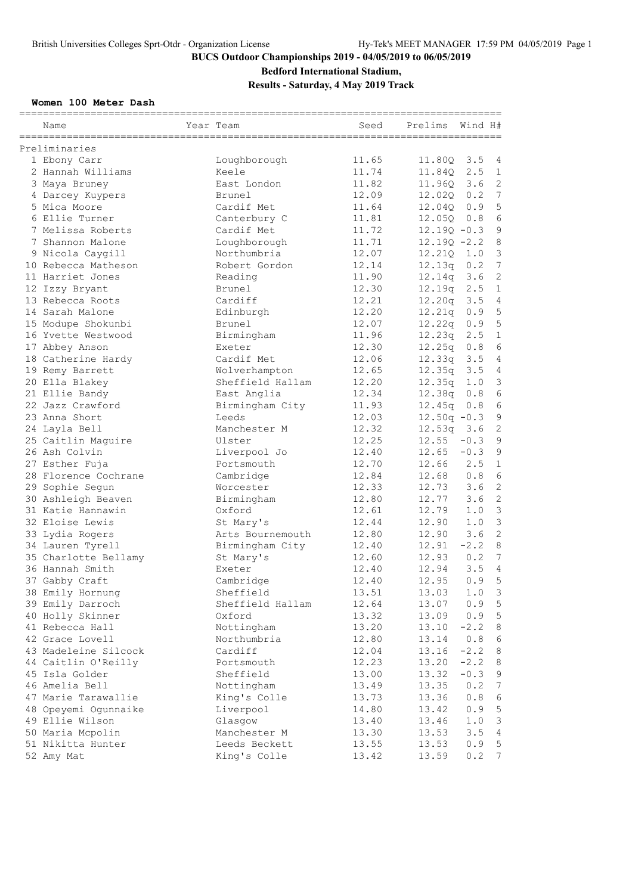### **Bedford International Stadium,**

**Results - Saturday, 4 May 2019 Track**

### **Women 100 Meter Dash**

| Name                 | Year Team        | Seed  | Prelims        | Wind H# |                 |
|----------------------|------------------|-------|----------------|---------|-----------------|
| Preliminaries        |                  |       |                |         |                 |
| 1 Ebony Carr         | Loughborough     | 11.65 | 11.80Q 3.5     |         | $\overline{4}$  |
| 2 Hannah Williams    | Keele            | 11.74 | 11.84Q 2.5     |         | 1               |
| 3 Maya Bruney        | East London      | 11.82 | 11.960 3.6     |         | $\mathbf{2}$    |
| 4 Darcey Kuypers     | Brunel           | 12.09 | 12.02Q         | 0.2     | $7\overline{ }$ |
| 5 Mica Moore         | Cardif Met       | 11.64 | 12.040         | 0.9     | 5               |
| 6 Ellie Turner       | Canterbury C     | 11.81 | 12.050 0.8     |         | 6               |
| 7 Melissa Roberts    | Cardif Met       | 11.72 | $12.190 - 0.3$ |         | $\overline{9}$  |
| 7 Shannon Malone     | Loughborough     | 11.71 | $12.190 - 2.2$ |         | 8               |
| 9 Nicola Caygill     | Northumbria      | 12.07 | 12.210         | 1.0     | $\mathfrak{Z}$  |
| 10 Rebecca Matheson  | Robert Gordon    | 12.14 | 12.13q         | 0.2     | $\sqrt{ }$      |
| 11 Harriet Jones     | Reading          | 11.90 | 12.14q         | 3.6     | $\mathbf{2}$    |
| 12 Izzy Bryant       | Brunel           | 12.30 | 12.19q         | 2.5     | $\mathbf{1}$    |
| 13 Rebecca Roots     | Cardiff          | 12.21 | 12.20q         | 3.5     | $\overline{4}$  |
| 14 Sarah Malone      | Edinburgh        | 12.20 | 12.21q 0.9     |         | 5               |
| 15 Modupe Shokunbi   | Brunel           | 12.07 | $12.22q$ 0.9   |         | 5               |
| 16 Yvette Westwood   | Birmingham       | 11.96 | 12.23q         | 2.5     | $\mathbf{1}$    |
| 17 Abbey Anson       | Exeter           | 12.30 | 12.25q         | 0.8     | 6               |
| 18 Catherine Hardy   | Cardif Met       | 12.06 | $12.33q$ 3.5   |         | $\overline{4}$  |
| 19 Remy Barrett      | Wolverhampton    | 12.65 | 12.35q 3.5     |         | $\overline{4}$  |
| 20 Ella Blakey       | Sheffield Hallam | 12.20 | 12.35q         | 1.0     | $\mathfrak{Z}$  |
| 21 Ellie Bandy       | East Anglia      | 12.34 | 12.38q         | 0.8     | $\epsilon$      |
| 22 Jazz Crawford     | Birmingham City  | 11.93 | 12.45q         | 0.8     | 6               |
| 23 Anna Short        | Leeds            | 12.03 | $12.50q - 0.3$ |         | $\mathsf 9$     |
| 24 Layla Bell        | Manchester M     | 12.32 | $12.53q$ 3.6   |         | $\mathbf{2}$    |
| 25 Caitlin Maguire   | Ulster           | 12.25 | $12.55 - 0.3$  |         | $\mathfrak{g}$  |
| 26 Ash Colvin        | Liverpool Jo     | 12.40 | 12.65          | $-0.3$  | $\mathsf 9$     |
| 27 Esther Fuja       | Portsmouth       | 12.70 | 12.66          | 2.5     | $\mathbf 1$     |
| 28 Florence Cochrane | Cambridge        | 12.84 | 12.68          | 0.8     | 6               |
| 29 Sophie Segun      | Worcester        | 12.33 | 12.73          | 3.6     | $\mathbf{2}$    |
| 30 Ashleigh Beaven   | Birmingham       | 12.80 | 12.77          | 3.6     | $\overline{2}$  |
| 31 Katie Hannawin    | Oxford           | 12.61 | 12.79          | 1.0     | $\mathcal{S}$   |
| 32 Eloise Lewis      | St Mary's        | 12.44 | 12.90          | 1.0     | $\mathfrak{Z}$  |
| 33 Lydia Rogers      | Arts Bournemouth | 12.80 | 12.90          | 3.6     | $\mathbf{2}$    |
| 34 Lauren Tyrell     | Birmingham City  | 12.40 | 12.91          | $-2.2$  | $\,8\,$         |
| 35 Charlotte Bellamy | St Mary's        | 12.60 | 12.93          | 0.2     | 7               |
| 36 Hannah Smith      | Exeter           | 12.40 | 12.94          | 3.5     | $\overline{4}$  |
| 37 Gabby Craft       | Cambridge        | 12.40 | 12.95          | 0.9     | 5               |
| 38 Emily Hornung     | Sheffield        | 13.51 | 13.03          | 1.0     | 3               |
| 39 Emily Darroch     | Sheffield Hallam | 12.64 | 13.07          | 0.9     | $\mathsf S$     |
| 40 Holly Skinner     | Oxford           | 13.32 | 13.09          | 0.9     | $\mathsf S$     |
| 41 Rebecca Hall      | Nottingham       | 13.20 | 13.10          | $-2.2$  | $\,8\,$         |
| 42 Grace Lovell      | Northumbria      | 12.80 | 13.14          | 0.8     | $\epsilon$      |
| 43 Madeleine Silcock | Cardiff          | 12.04 | 13.16          | $-2.2$  | $\,8\,$         |
| 44 Caitlin O'Reilly  | Portsmouth       | 12.23 | 13.20          | $-2.2$  | $\,8\,$         |
| 45 Isla Golder       | Sheffield        | 13.00 | 13.32          | $-0.3$  | $\mathsf 9$     |
| 46 Amelia Bell       | Nottingham       | 13.49 | 13.35          | 0.2     | $\overline{7}$  |
| 47 Marie Tarawallie  | King's Colle     | 13.73 | 13.36          | 0.8     | 6               |
| 48 Opeyemi Ogunnaike | Liverpool        | 14.80 | 13.42          | 0.9     | $\mathsf S$     |
| 49 Ellie Wilson      | Glasgow          | 13.40 | 13.46          | 1.0     | $\mathfrak{Z}$  |
| 50 Maria Mcpolin     | Manchester M     | 13.30 | 13.53          | 3.5     | $\overline{4}$  |
| 51 Nikitta Hunter    | Leeds Beckett    | 13.55 | 13.53          | 0.9     | $\mathsf S$     |
| 52 Amy Mat           | King's Colle     | 13.42 | 13.59          | 0.2     | $7\phantom{.0}$ |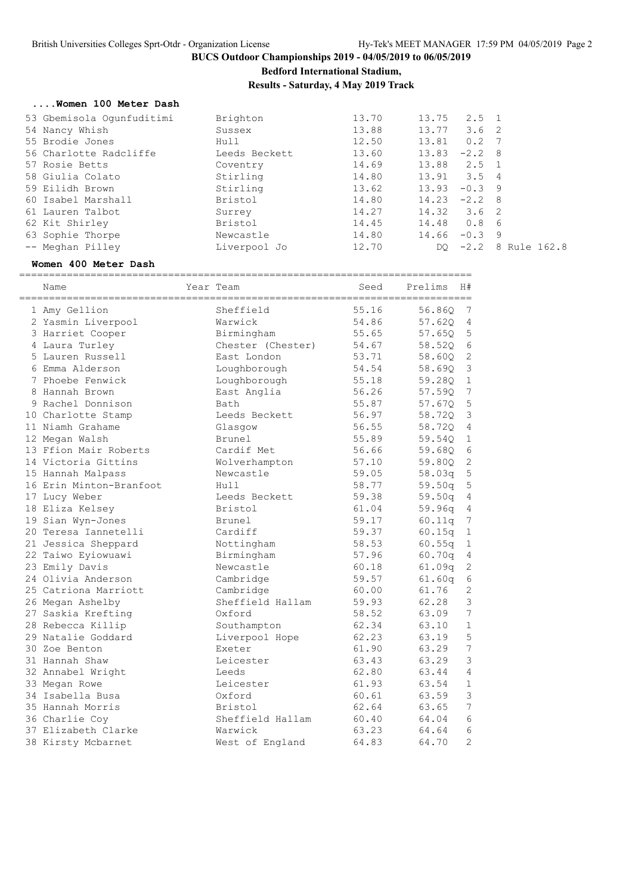**Bedford International Stadium,**

**Results - Saturday, 4 May 2019 Track**

#### **....Women 100 Meter Dash**

| 53 Gbemisola Oqunfuditimi | Brighton      | 13.70 | 13.75           | $2.5 \quad 1$ |              |
|---------------------------|---------------|-------|-----------------|---------------|--------------|
| 54 Nancy Whish            | Sussex        | 13.88 | 13.77           | 3.6 2         |              |
| 55 Brodie Jones           | Hull          | 12.50 | 13.81           | $0.2 \quad 7$ |              |
| 56 Charlotte Radcliffe    | Leeds Beckett | 13.60 | 13.83           | $-2.2$ 8      |              |
| 57 Rosie Betts            | Coventry      | 14.69 | 13.88 2.5 1     |               |              |
| 58 Giulia Colato          | Stirling      | 14.80 | $13.91$ $3.5$ 4 |               |              |
| 59 Eilidh Brown           | Stirling      | 13.62 | 13.93           | $-0.3$ 9      |              |
| 60 Isabel Marshall        | Bristol       | 14.80 | $14.23 -2.2$ 8  |               |              |
| 61 Lauren Talbot          | Surrey        | 14.27 | $14.32$ $3.6$ 2 |               |              |
| 62 Kit Shirley            | Bristol       | 14.45 | 14.48           | 0.8           | - 6          |
| 63 Sophie Thorpe          | Newcastle     | 14.80 | 14.66           | $-0.3$        | - 9          |
| -- Meghan Pilley          | Liverpool Jo  | 12.70 |                 | DO $-2.2$     | 8 Rule 162.8 |
|                           |               |       |                 |               |              |

#### **Women 400 Meter Dash**

============================================================================

| Name                    | Year Team         | Seed  | Prelims | H#               |
|-------------------------|-------------------|-------|---------|------------------|
| 1 Amy Gellion           | Sheffield         | 55.16 | 56.86Q  | 7                |
| 2 Yasmin Liverpool      | Warwick           | 54.86 | 57.62Q  | $\overline{4}$   |
| 3 Harriet Cooper        | Birmingham        | 55.65 | 57.650  | $\mathsf S$      |
| 4 Laura Turley          | Chester (Chester) | 54.67 | 58.520  | $\epsilon$       |
| 5 Lauren Russell        | East London       | 53.71 | 58.60Q  | $\overline{c}$   |
| 6 Emma Alderson         | Loughborough      | 54.54 | 58.69Q  | $\mathfrak{Z}$   |
| 7 Phoebe Fenwick        | Loughborough      | 55.18 | 59.28Q  | $1\,$            |
| 8 Hannah Brown          | East Anglia       | 56.26 | 57.59Q  | $7\phantom{.0}$  |
| 9 Rachel Donnison       | Bath              | 55.87 | 57.67Q  | $\mathbf 5$      |
| 10 Charlotte Stamp      | Leeds Beckett     | 56.97 | 58.720  | $\mathsf 3$      |
| 11 Niamh Grahame        | Glasgow           | 56.55 | 58.720  | $\overline{4}$   |
| 12 Megan Walsh          | Brunel            | 55.89 | 59.54Q  | $\mathbf 1$      |
| 13 Ffion Mair Roberts   | Cardif Met        | 56.66 | 59.680  | $\sqrt{6}$       |
| 14 Victoria Gittins     | Wolverhampton     | 57.10 | 59.80Q  | $\sqrt{2}$       |
| 15 Hannah Malpass       | Newcastle         | 59.05 | 58.03q  | $\overline{5}$   |
| 16 Erin Minton-Branfoot | Hull              | 58.77 | 59.50q  | $\mathbb 5$      |
| 17 Lucy Weber           | Leeds Beckett     | 59.38 | 59.50q  | $\sqrt{4}$       |
| 18 Eliza Kelsey         | Bristol           | 61.04 | 59.96q  | 4                |
| 19 Sian Wyn-Jones       | Brunel            | 59.17 | 60.11q  | $\boldsymbol{7}$ |
| 20 Teresa Iannetelli    | Cardiff           | 59.37 | 60.15q  | $\mathbf 1$      |
| 21 Jessica Sheppard     | Nottingham        | 58.53 | 60.55q  | $1\,$            |
| 22 Taiwo Eyiowuawi      | Birmingham        | 57.96 | 60.70q  | $\sqrt{4}$       |
| 23 Emily Davis          | Newcastle         | 60.18 | 61.09q  | $\overline{c}$   |
| 24 Olivia Anderson      | Cambridge         | 59.57 | 61.60q  | $\sqrt{6}$       |
| 25 Catriona Marriott    | Cambridge         | 60.00 | 61.76   | $\overline{2}$   |
| 26 Megan Ashelby        | Sheffield Hallam  | 59.93 | 62.28   | 3                |
| 27 Saskia Krefting      | Oxford            | 58.52 | 63.09   | 7                |
| 28 Rebecca Killip       | Southampton       | 62.34 | 63.10   | $\mathbf{1}$     |
| 29 Natalie Goddard      | Liverpool Hope    | 62.23 | 63.19   | 5                |
| 30 Zoe Benton           | Exeter            | 61.90 | 63.29   | $\overline{7}$   |
| 31 Hannah Shaw          | Leicester         | 63.43 | 63.29   | 3                |
| 32 Annabel Wright       | Leeds             | 62.80 | 63.44   | $\overline{4}$   |
| 33 Megan Rowe           | Leicester         | 61.93 | 63.54   | $\mathbf 1$      |
| 34 Isabella Busa        | Oxford            | 60.61 | 63.59   | 3                |
| 35 Hannah Morris        | Bristol           | 62.64 | 63.65   | 7                |
| 36 Charlie Coy          | Sheffield Hallam  | 60.40 | 64.04   | 6                |
| 37 Elizabeth Clarke     | Warwick           | 63.23 | 64.64   | 6                |
| 38 Kirsty Mcbarnet      | West of England   | 64.83 | 64.70   | $\overline{2}$   |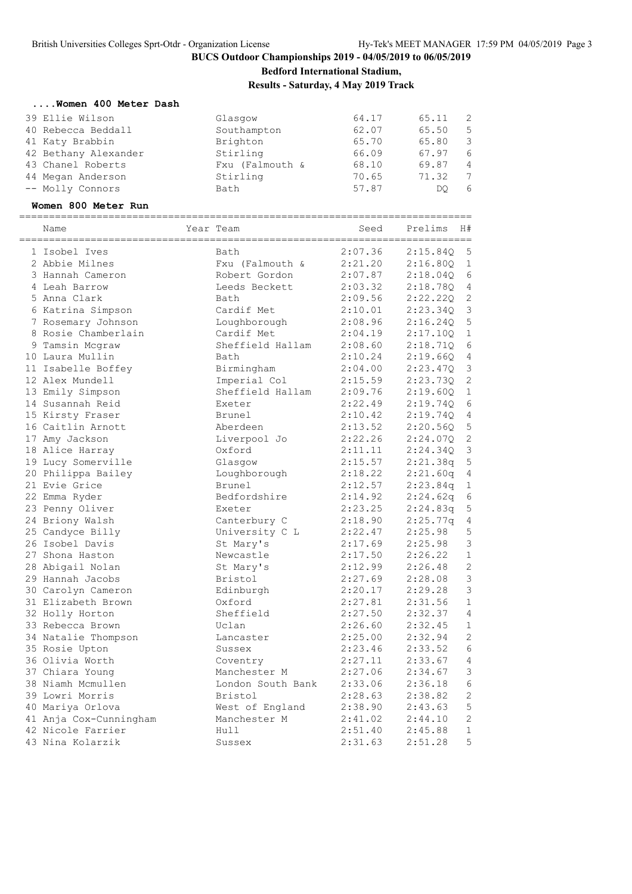**Bedford International Stadium,**

**Results - Saturday, 4 May 2019 Track**

#### **....Women 400 Meter Dash**

| 39 Ellie Wilson      | Glasgow         | 64.17 | 65.11 | - 2            |
|----------------------|-----------------|-------|-------|----------------|
| 40 Rebecca Beddall   | Southampton     | 62.07 | 65.50 | - 5            |
| 41 Katy Brabbin      | Brighton        | 65.70 | 65.80 | - 3            |
| 42 Bethany Alexander | Stirling        | 66.09 | 67.97 | -6             |
| 43 Chanel Roberts    | Fxu (Falmouth & | 68.10 | 69.87 | $\overline{4}$ |
| 44 Megan Anderson    | Stirling        | 70.65 | 71.32 | -7             |
| -- Molly Connors     | Bath            | 57.87 | DO    | 6              |

#### **Women 800 Meter Run**

| 2:07.36<br>1 Isobel Ives<br><b>Bath</b><br>2:15.840<br>5<br>2 Abbie Milnes<br>Fxu (Falmouth &<br>2:21.20<br>1<br>2:16.80Q<br>2:07.87<br>6<br>3 Hannah Cameron<br>Robert Gordon<br>2:18.04Q<br>2:03.32<br>$\overline{4}$<br>4 Leah Barrow<br>Leeds Beckett<br>2:18.78Q<br>$\mathbf{2}$<br>5 Anna Clark<br>2:09.56<br>2:22.220<br>Bath<br>3<br>6 Katrina Simpson<br>Cardif Met<br>2:10.01<br>2:23.340<br>5<br>7 Rosemary Johnson<br>Loughborough<br>2:08.96<br>2:16.24Q<br>Cardif Met<br>$\mathbf 1$<br>8 Rosie Chamberlain<br>2:04.19<br>2:17.10Q<br>Sheffield Hallam<br>2:08.60<br>6<br>9 Tamsin Mcgraw<br>2:18.710<br>2:10.24<br>2:19.660<br>4<br>10 Laura Mullin<br>Bath<br>3<br>Birmingham<br>2:04.00<br>2:23.47Q<br>11 Isabelle Boffey<br>Imperial Col<br>2<br>12 Alex Mundell<br>2:15.59<br>2:23.73Q<br>Sheffield Hallam<br>$\mathbf 1$<br>13 Emily Simpson<br>2:09.76<br>2:19.60Q<br>2:22.49<br>2:19.740<br>6<br>14 Susannah Reid<br>Exeter<br>Brunel<br>2:10.42<br>2:19.740<br>4<br>15 Kirsty Fraser<br>5<br>16 Caitlin Arnott<br>2:13.52<br>2:20.56Q<br>Aberdeen<br>2:22.26<br>2<br>17 Amy Jackson<br>Liverpool Jo<br>2:24.07Q<br>2:24.34Q<br>3<br>18 Alice Harray<br>Oxford<br>2:11.11<br>19 Lucy Somerville<br>5<br>Glasgow<br>2:15.57<br>2:21.38q<br>20 Philippa Bailey<br>Loughborough<br>2:18.22<br>2:21.60q<br>4<br>21 Evie Grice<br>Brunel<br>2:12.57<br>2:23.84q<br>1<br>22 Emma Ryder<br>Bedfordshire<br>2:14.92<br>2:24.62q<br>6<br>2:23.25<br>2:24.83q<br>5<br>23 Penny Oliver<br>Exeter<br>24 Briony Walsh<br>2:18.90<br>2:25.77q<br>$\overline{4}$<br>Canterbury C<br>5<br>University C L<br>2:22.47<br>2:25.98<br>25 Candyce Billy<br>3<br>26 Isobel Davis<br>2:25.98<br>St Mary's<br>2:17.69<br>$\mathbf 1$<br>2:17.50<br>2:26.22<br>27 Shona Haston<br>Newcastle<br>$\mathbf{2}$<br>2:12.99<br>2:26.48<br>28 Abigail Nolan<br>St Mary's<br>3<br>29 Hannah Jacobs<br>2:27.69<br>2:28.08<br>Bristol<br>3<br>30 Carolyn Cameron<br>Edinburgh<br>2:20.17<br>2:29.28<br>2:27.81<br>2:31.56<br>$\mathbf 1$<br>31 Elizabeth Brown<br>Oxford<br>$\overline{4}$<br>Sheffield<br>2:27.50<br>2:32.37<br>32 Holly Horton<br>33 Rebecca Brown<br>2:26.60<br>2:32.45<br>$\mathbf 1$<br>Uclan<br>$\mathbf{2}$<br>2:25.00<br>2:32.94<br>34 Natalie Thompson<br>Lancaster<br>6<br>2:23.46<br>2:33.52<br>35 Rosie Upton<br>Sussex<br>36 Olivia Worth<br>2:27.11<br>4<br>2:33.67<br>Coventry<br>3<br>2:27.06<br>37 Chiara Young<br>Manchester M<br>2:34.67<br>6<br>38 Niamh Mcmullen<br>London South Bank<br>2:33.06<br>2:36.18<br>$\mathbf{2}$<br>39 Lowri Morris<br>Bristol<br>2:28.63<br>2:38.82<br>5<br>40 Mariya Orlova<br>West of England<br>2:38.90<br>2:43.63 | Name | Year Team | Seed | :==========<br>Prelims | H# |
|----------------------------------------------------------------------------------------------------------------------------------------------------------------------------------------------------------------------------------------------------------------------------------------------------------------------------------------------------------------------------------------------------------------------------------------------------------------------------------------------------------------------------------------------------------------------------------------------------------------------------------------------------------------------------------------------------------------------------------------------------------------------------------------------------------------------------------------------------------------------------------------------------------------------------------------------------------------------------------------------------------------------------------------------------------------------------------------------------------------------------------------------------------------------------------------------------------------------------------------------------------------------------------------------------------------------------------------------------------------------------------------------------------------------------------------------------------------------------------------------------------------------------------------------------------------------------------------------------------------------------------------------------------------------------------------------------------------------------------------------------------------------------------------------------------------------------------------------------------------------------------------------------------------------------------------------------------------------------------------------------------------------------------------------------------------------------------------------------------------------------------------------------------------------------------------------------------------------------------------------------------------------------------------------------------------------------------------------------------------------------------------------------------------------------------------------------------------------------------------------------------------------------------------------------------------------------------------------------------------------------------------------------------------------------|------|-----------|------|------------------------|----|
|                                                                                                                                                                                                                                                                                                                                                                                                                                                                                                                                                                                                                                                                                                                                                                                                                                                                                                                                                                                                                                                                                                                                                                                                                                                                                                                                                                                                                                                                                                                                                                                                                                                                                                                                                                                                                                                                                                                                                                                                                                                                                                                                                                                                                                                                                                                                                                                                                                                                                                                                                                                                                                                                            |      |           |      |                        |    |
|                                                                                                                                                                                                                                                                                                                                                                                                                                                                                                                                                                                                                                                                                                                                                                                                                                                                                                                                                                                                                                                                                                                                                                                                                                                                                                                                                                                                                                                                                                                                                                                                                                                                                                                                                                                                                                                                                                                                                                                                                                                                                                                                                                                                                                                                                                                                                                                                                                                                                                                                                                                                                                                                            |      |           |      |                        |    |
|                                                                                                                                                                                                                                                                                                                                                                                                                                                                                                                                                                                                                                                                                                                                                                                                                                                                                                                                                                                                                                                                                                                                                                                                                                                                                                                                                                                                                                                                                                                                                                                                                                                                                                                                                                                                                                                                                                                                                                                                                                                                                                                                                                                                                                                                                                                                                                                                                                                                                                                                                                                                                                                                            |      |           |      |                        |    |
|                                                                                                                                                                                                                                                                                                                                                                                                                                                                                                                                                                                                                                                                                                                                                                                                                                                                                                                                                                                                                                                                                                                                                                                                                                                                                                                                                                                                                                                                                                                                                                                                                                                                                                                                                                                                                                                                                                                                                                                                                                                                                                                                                                                                                                                                                                                                                                                                                                                                                                                                                                                                                                                                            |      |           |      |                        |    |
|                                                                                                                                                                                                                                                                                                                                                                                                                                                                                                                                                                                                                                                                                                                                                                                                                                                                                                                                                                                                                                                                                                                                                                                                                                                                                                                                                                                                                                                                                                                                                                                                                                                                                                                                                                                                                                                                                                                                                                                                                                                                                                                                                                                                                                                                                                                                                                                                                                                                                                                                                                                                                                                                            |      |           |      |                        |    |
|                                                                                                                                                                                                                                                                                                                                                                                                                                                                                                                                                                                                                                                                                                                                                                                                                                                                                                                                                                                                                                                                                                                                                                                                                                                                                                                                                                                                                                                                                                                                                                                                                                                                                                                                                                                                                                                                                                                                                                                                                                                                                                                                                                                                                                                                                                                                                                                                                                                                                                                                                                                                                                                                            |      |           |      |                        |    |
|                                                                                                                                                                                                                                                                                                                                                                                                                                                                                                                                                                                                                                                                                                                                                                                                                                                                                                                                                                                                                                                                                                                                                                                                                                                                                                                                                                                                                                                                                                                                                                                                                                                                                                                                                                                                                                                                                                                                                                                                                                                                                                                                                                                                                                                                                                                                                                                                                                                                                                                                                                                                                                                                            |      |           |      |                        |    |
|                                                                                                                                                                                                                                                                                                                                                                                                                                                                                                                                                                                                                                                                                                                                                                                                                                                                                                                                                                                                                                                                                                                                                                                                                                                                                                                                                                                                                                                                                                                                                                                                                                                                                                                                                                                                                                                                                                                                                                                                                                                                                                                                                                                                                                                                                                                                                                                                                                                                                                                                                                                                                                                                            |      |           |      |                        |    |
|                                                                                                                                                                                                                                                                                                                                                                                                                                                                                                                                                                                                                                                                                                                                                                                                                                                                                                                                                                                                                                                                                                                                                                                                                                                                                                                                                                                                                                                                                                                                                                                                                                                                                                                                                                                                                                                                                                                                                                                                                                                                                                                                                                                                                                                                                                                                                                                                                                                                                                                                                                                                                                                                            |      |           |      |                        |    |
|                                                                                                                                                                                                                                                                                                                                                                                                                                                                                                                                                                                                                                                                                                                                                                                                                                                                                                                                                                                                                                                                                                                                                                                                                                                                                                                                                                                                                                                                                                                                                                                                                                                                                                                                                                                                                                                                                                                                                                                                                                                                                                                                                                                                                                                                                                                                                                                                                                                                                                                                                                                                                                                                            |      |           |      |                        |    |
|                                                                                                                                                                                                                                                                                                                                                                                                                                                                                                                                                                                                                                                                                                                                                                                                                                                                                                                                                                                                                                                                                                                                                                                                                                                                                                                                                                                                                                                                                                                                                                                                                                                                                                                                                                                                                                                                                                                                                                                                                                                                                                                                                                                                                                                                                                                                                                                                                                                                                                                                                                                                                                                                            |      |           |      |                        |    |
|                                                                                                                                                                                                                                                                                                                                                                                                                                                                                                                                                                                                                                                                                                                                                                                                                                                                                                                                                                                                                                                                                                                                                                                                                                                                                                                                                                                                                                                                                                                                                                                                                                                                                                                                                                                                                                                                                                                                                                                                                                                                                                                                                                                                                                                                                                                                                                                                                                                                                                                                                                                                                                                                            |      |           |      |                        |    |
|                                                                                                                                                                                                                                                                                                                                                                                                                                                                                                                                                                                                                                                                                                                                                                                                                                                                                                                                                                                                                                                                                                                                                                                                                                                                                                                                                                                                                                                                                                                                                                                                                                                                                                                                                                                                                                                                                                                                                                                                                                                                                                                                                                                                                                                                                                                                                                                                                                                                                                                                                                                                                                                                            |      |           |      |                        |    |
|                                                                                                                                                                                                                                                                                                                                                                                                                                                                                                                                                                                                                                                                                                                                                                                                                                                                                                                                                                                                                                                                                                                                                                                                                                                                                                                                                                                                                                                                                                                                                                                                                                                                                                                                                                                                                                                                                                                                                                                                                                                                                                                                                                                                                                                                                                                                                                                                                                                                                                                                                                                                                                                                            |      |           |      |                        |    |
|                                                                                                                                                                                                                                                                                                                                                                                                                                                                                                                                                                                                                                                                                                                                                                                                                                                                                                                                                                                                                                                                                                                                                                                                                                                                                                                                                                                                                                                                                                                                                                                                                                                                                                                                                                                                                                                                                                                                                                                                                                                                                                                                                                                                                                                                                                                                                                                                                                                                                                                                                                                                                                                                            |      |           |      |                        |    |
|                                                                                                                                                                                                                                                                                                                                                                                                                                                                                                                                                                                                                                                                                                                                                                                                                                                                                                                                                                                                                                                                                                                                                                                                                                                                                                                                                                                                                                                                                                                                                                                                                                                                                                                                                                                                                                                                                                                                                                                                                                                                                                                                                                                                                                                                                                                                                                                                                                                                                                                                                                                                                                                                            |      |           |      |                        |    |
|                                                                                                                                                                                                                                                                                                                                                                                                                                                                                                                                                                                                                                                                                                                                                                                                                                                                                                                                                                                                                                                                                                                                                                                                                                                                                                                                                                                                                                                                                                                                                                                                                                                                                                                                                                                                                                                                                                                                                                                                                                                                                                                                                                                                                                                                                                                                                                                                                                                                                                                                                                                                                                                                            |      |           |      |                        |    |
|                                                                                                                                                                                                                                                                                                                                                                                                                                                                                                                                                                                                                                                                                                                                                                                                                                                                                                                                                                                                                                                                                                                                                                                                                                                                                                                                                                                                                                                                                                                                                                                                                                                                                                                                                                                                                                                                                                                                                                                                                                                                                                                                                                                                                                                                                                                                                                                                                                                                                                                                                                                                                                                                            |      |           |      |                        |    |
|                                                                                                                                                                                                                                                                                                                                                                                                                                                                                                                                                                                                                                                                                                                                                                                                                                                                                                                                                                                                                                                                                                                                                                                                                                                                                                                                                                                                                                                                                                                                                                                                                                                                                                                                                                                                                                                                                                                                                                                                                                                                                                                                                                                                                                                                                                                                                                                                                                                                                                                                                                                                                                                                            |      |           |      |                        |    |
|                                                                                                                                                                                                                                                                                                                                                                                                                                                                                                                                                                                                                                                                                                                                                                                                                                                                                                                                                                                                                                                                                                                                                                                                                                                                                                                                                                                                                                                                                                                                                                                                                                                                                                                                                                                                                                                                                                                                                                                                                                                                                                                                                                                                                                                                                                                                                                                                                                                                                                                                                                                                                                                                            |      |           |      |                        |    |
|                                                                                                                                                                                                                                                                                                                                                                                                                                                                                                                                                                                                                                                                                                                                                                                                                                                                                                                                                                                                                                                                                                                                                                                                                                                                                                                                                                                                                                                                                                                                                                                                                                                                                                                                                                                                                                                                                                                                                                                                                                                                                                                                                                                                                                                                                                                                                                                                                                                                                                                                                                                                                                                                            |      |           |      |                        |    |
|                                                                                                                                                                                                                                                                                                                                                                                                                                                                                                                                                                                                                                                                                                                                                                                                                                                                                                                                                                                                                                                                                                                                                                                                                                                                                                                                                                                                                                                                                                                                                                                                                                                                                                                                                                                                                                                                                                                                                                                                                                                                                                                                                                                                                                                                                                                                                                                                                                                                                                                                                                                                                                                                            |      |           |      |                        |    |
|                                                                                                                                                                                                                                                                                                                                                                                                                                                                                                                                                                                                                                                                                                                                                                                                                                                                                                                                                                                                                                                                                                                                                                                                                                                                                                                                                                                                                                                                                                                                                                                                                                                                                                                                                                                                                                                                                                                                                                                                                                                                                                                                                                                                                                                                                                                                                                                                                                                                                                                                                                                                                                                                            |      |           |      |                        |    |
|                                                                                                                                                                                                                                                                                                                                                                                                                                                                                                                                                                                                                                                                                                                                                                                                                                                                                                                                                                                                                                                                                                                                                                                                                                                                                                                                                                                                                                                                                                                                                                                                                                                                                                                                                                                                                                                                                                                                                                                                                                                                                                                                                                                                                                                                                                                                                                                                                                                                                                                                                                                                                                                                            |      |           |      |                        |    |
|                                                                                                                                                                                                                                                                                                                                                                                                                                                                                                                                                                                                                                                                                                                                                                                                                                                                                                                                                                                                                                                                                                                                                                                                                                                                                                                                                                                                                                                                                                                                                                                                                                                                                                                                                                                                                                                                                                                                                                                                                                                                                                                                                                                                                                                                                                                                                                                                                                                                                                                                                                                                                                                                            |      |           |      |                        |    |
|                                                                                                                                                                                                                                                                                                                                                                                                                                                                                                                                                                                                                                                                                                                                                                                                                                                                                                                                                                                                                                                                                                                                                                                                                                                                                                                                                                                                                                                                                                                                                                                                                                                                                                                                                                                                                                                                                                                                                                                                                                                                                                                                                                                                                                                                                                                                                                                                                                                                                                                                                                                                                                                                            |      |           |      |                        |    |
|                                                                                                                                                                                                                                                                                                                                                                                                                                                                                                                                                                                                                                                                                                                                                                                                                                                                                                                                                                                                                                                                                                                                                                                                                                                                                                                                                                                                                                                                                                                                                                                                                                                                                                                                                                                                                                                                                                                                                                                                                                                                                                                                                                                                                                                                                                                                                                                                                                                                                                                                                                                                                                                                            |      |           |      |                        |    |
|                                                                                                                                                                                                                                                                                                                                                                                                                                                                                                                                                                                                                                                                                                                                                                                                                                                                                                                                                                                                                                                                                                                                                                                                                                                                                                                                                                                                                                                                                                                                                                                                                                                                                                                                                                                                                                                                                                                                                                                                                                                                                                                                                                                                                                                                                                                                                                                                                                                                                                                                                                                                                                                                            |      |           |      |                        |    |
|                                                                                                                                                                                                                                                                                                                                                                                                                                                                                                                                                                                                                                                                                                                                                                                                                                                                                                                                                                                                                                                                                                                                                                                                                                                                                                                                                                                                                                                                                                                                                                                                                                                                                                                                                                                                                                                                                                                                                                                                                                                                                                                                                                                                                                                                                                                                                                                                                                                                                                                                                                                                                                                                            |      |           |      |                        |    |
|                                                                                                                                                                                                                                                                                                                                                                                                                                                                                                                                                                                                                                                                                                                                                                                                                                                                                                                                                                                                                                                                                                                                                                                                                                                                                                                                                                                                                                                                                                                                                                                                                                                                                                                                                                                                                                                                                                                                                                                                                                                                                                                                                                                                                                                                                                                                                                                                                                                                                                                                                                                                                                                                            |      |           |      |                        |    |
|                                                                                                                                                                                                                                                                                                                                                                                                                                                                                                                                                                                                                                                                                                                                                                                                                                                                                                                                                                                                                                                                                                                                                                                                                                                                                                                                                                                                                                                                                                                                                                                                                                                                                                                                                                                                                                                                                                                                                                                                                                                                                                                                                                                                                                                                                                                                                                                                                                                                                                                                                                                                                                                                            |      |           |      |                        |    |
|                                                                                                                                                                                                                                                                                                                                                                                                                                                                                                                                                                                                                                                                                                                                                                                                                                                                                                                                                                                                                                                                                                                                                                                                                                                                                                                                                                                                                                                                                                                                                                                                                                                                                                                                                                                                                                                                                                                                                                                                                                                                                                                                                                                                                                                                                                                                                                                                                                                                                                                                                                                                                                                                            |      |           |      |                        |    |
|                                                                                                                                                                                                                                                                                                                                                                                                                                                                                                                                                                                                                                                                                                                                                                                                                                                                                                                                                                                                                                                                                                                                                                                                                                                                                                                                                                                                                                                                                                                                                                                                                                                                                                                                                                                                                                                                                                                                                                                                                                                                                                                                                                                                                                                                                                                                                                                                                                                                                                                                                                                                                                                                            |      |           |      |                        |    |
|                                                                                                                                                                                                                                                                                                                                                                                                                                                                                                                                                                                                                                                                                                                                                                                                                                                                                                                                                                                                                                                                                                                                                                                                                                                                                                                                                                                                                                                                                                                                                                                                                                                                                                                                                                                                                                                                                                                                                                                                                                                                                                                                                                                                                                                                                                                                                                                                                                                                                                                                                                                                                                                                            |      |           |      |                        |    |
|                                                                                                                                                                                                                                                                                                                                                                                                                                                                                                                                                                                                                                                                                                                                                                                                                                                                                                                                                                                                                                                                                                                                                                                                                                                                                                                                                                                                                                                                                                                                                                                                                                                                                                                                                                                                                                                                                                                                                                                                                                                                                                                                                                                                                                                                                                                                                                                                                                                                                                                                                                                                                                                                            |      |           |      |                        |    |
|                                                                                                                                                                                                                                                                                                                                                                                                                                                                                                                                                                                                                                                                                                                                                                                                                                                                                                                                                                                                                                                                                                                                                                                                                                                                                                                                                                                                                                                                                                                                                                                                                                                                                                                                                                                                                                                                                                                                                                                                                                                                                                                                                                                                                                                                                                                                                                                                                                                                                                                                                                                                                                                                            |      |           |      |                        |    |
|                                                                                                                                                                                                                                                                                                                                                                                                                                                                                                                                                                                                                                                                                                                                                                                                                                                                                                                                                                                                                                                                                                                                                                                                                                                                                                                                                                                                                                                                                                                                                                                                                                                                                                                                                                                                                                                                                                                                                                                                                                                                                                                                                                                                                                                                                                                                                                                                                                                                                                                                                                                                                                                                            |      |           |      |                        |    |
|                                                                                                                                                                                                                                                                                                                                                                                                                                                                                                                                                                                                                                                                                                                                                                                                                                                                                                                                                                                                                                                                                                                                                                                                                                                                                                                                                                                                                                                                                                                                                                                                                                                                                                                                                                                                                                                                                                                                                                                                                                                                                                                                                                                                                                                                                                                                                                                                                                                                                                                                                                                                                                                                            |      |           |      |                        |    |
|                                                                                                                                                                                                                                                                                                                                                                                                                                                                                                                                                                                                                                                                                                                                                                                                                                                                                                                                                                                                                                                                                                                                                                                                                                                                                                                                                                                                                                                                                                                                                                                                                                                                                                                                                                                                                                                                                                                                                                                                                                                                                                                                                                                                                                                                                                                                                                                                                                                                                                                                                                                                                                                                            |      |           |      |                        |    |
|                                                                                                                                                                                                                                                                                                                                                                                                                                                                                                                                                                                                                                                                                                                                                                                                                                                                                                                                                                                                                                                                                                                                                                                                                                                                                                                                                                                                                                                                                                                                                                                                                                                                                                                                                                                                                                                                                                                                                                                                                                                                                                                                                                                                                                                                                                                                                                                                                                                                                                                                                                                                                                                                            |      |           |      |                        |    |
| $\mathbf{2}$<br>2:41.02<br>41 Anja Cox-Cunningham<br>Manchester M<br>2:44.10                                                                                                                                                                                                                                                                                                                                                                                                                                                                                                                                                                                                                                                                                                                                                                                                                                                                                                                                                                                                                                                                                                                                                                                                                                                                                                                                                                                                                                                                                                                                                                                                                                                                                                                                                                                                                                                                                                                                                                                                                                                                                                                                                                                                                                                                                                                                                                                                                                                                                                                                                                                               |      |           |      |                        |    |
| $\mathbf 1$<br>42 Nicole Farrier<br>Hull<br>2:51.40<br>2:45.88                                                                                                                                                                                                                                                                                                                                                                                                                                                                                                                                                                                                                                                                                                                                                                                                                                                                                                                                                                                                                                                                                                                                                                                                                                                                                                                                                                                                                                                                                                                                                                                                                                                                                                                                                                                                                                                                                                                                                                                                                                                                                                                                                                                                                                                                                                                                                                                                                                                                                                                                                                                                             |      |           |      |                        |    |
| 5<br>2:31.63<br>2:51.28<br>43 Nina Kolarzik<br>Sussex                                                                                                                                                                                                                                                                                                                                                                                                                                                                                                                                                                                                                                                                                                                                                                                                                                                                                                                                                                                                                                                                                                                                                                                                                                                                                                                                                                                                                                                                                                                                                                                                                                                                                                                                                                                                                                                                                                                                                                                                                                                                                                                                                                                                                                                                                                                                                                                                                                                                                                                                                                                                                      |      |           |      |                        |    |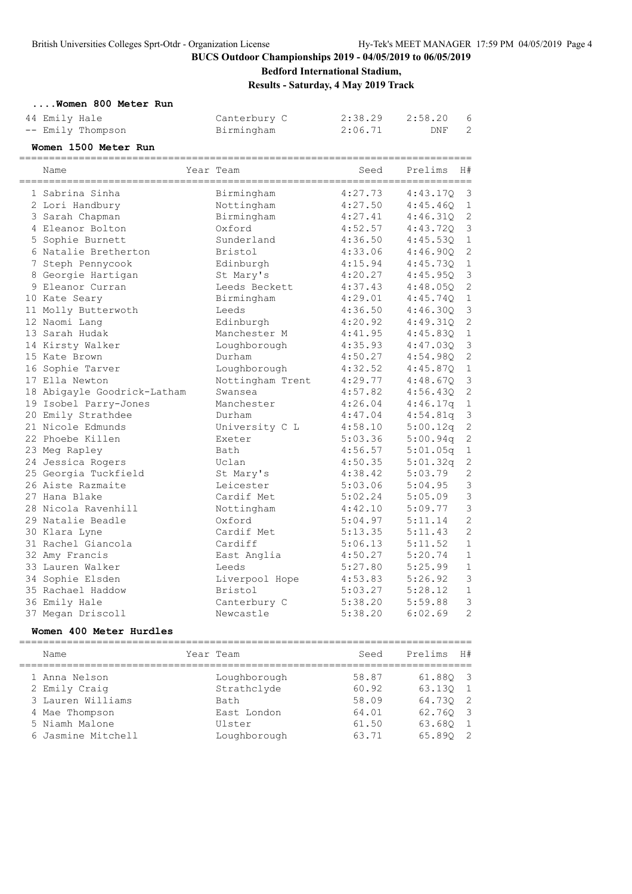**Bedford International Stadium,**

**Results - Saturday, 4 May 2019 Track**

|  |  |  | Women 800 Meter Run |  |  |  |
|--|--|--|---------------------|--|--|--|
|--|--|--|---------------------|--|--|--|

| 44 Emily Hale     | Canterbury C |         | 2:38.29 2:58.20 6 |  |
|-------------------|--------------|---------|-------------------|--|
| -- Emily Thompson | Birmingham   | 2:06.71 | DNF               |  |

**Women 1500 Meter Run**

| Name                        | Year Team        | Seed    | Prelims  | H#             |
|-----------------------------|------------------|---------|----------|----------------|
| 1 Sabrina Sinha             | Birmingham       | 4:27.73 | 4:43.17Q | $\mathsf 3$    |
| 2 Lori Handbury             | Nottingham       | 4:27.50 | 4:45.460 | $\mathbf 1$    |
| 3 Sarah Chapman             | Birmingham       | 4:27.41 | 4:46.31Q | $\mathbf{2}$   |
| 4 Eleanor Bolton            | Oxford           | 4:52.57 | 4:43.72Q | $\mathsf 3$    |
| 5 Sophie Burnett            | Sunderland       | 4:36.50 | 4:45.53Q | $1\,$          |
| 6 Natalie Bretherton        | Bristol          | 4:33.06 | 4:46.90Q | $\overline{c}$ |
| 7 Steph Pennycook           | Edinburgh        | 4:15.94 | 4:45.73Q | $\,1\,$        |
| 8 Georgie Hartigan          | St Mary's        | 4:20.27 | 4:45.950 | $\mathfrak{Z}$ |
| 9 Eleanor Curran            | Leeds Beckett    | 4:37.43 | 4:48.050 | $\overline{c}$ |
| 10 Kate Seary               | Birmingham       | 4:29.01 | 4:45.74Q | $\mathbf 1$    |
| 11 Molly Butterwoth         | Leeds            | 4:36.50 | 4:46.300 | $\mathfrak{Z}$ |
| 12 Naomi Lang               | Edinburgh        | 4:20.92 | 4:49.310 | $\mathbf{2}$   |
| 13 Sarah Hudak              | Manchester M     | 4:41.95 | 4:45.830 | $1\,$          |
| 14 Kirsty Walker            | Loughborough     | 4:35.93 | 4:47.03Q | $\mathsf 3$    |
| 15 Kate Brown               | Durham           | 4:50.27 | 4:54.980 | $\overline{c}$ |
| 16 Sophie Tarver            | Loughborough     | 4:32.52 | 4:45.87Q | $\mathbf 1$    |
| 17 Ella Newton              | Nottingham Trent | 4:29.77 | 4:48.670 | $\mathsf 3$    |
| 18 Abigayle Goodrick-Latham | Swansea          | 4:57.82 | 4:56.430 | $\mathbf{2}$   |
| 19 Isobel Parry-Jones       | Manchester       | 4:26.04 | 4:46.17q | $\mathbf 1$    |
| 20 Emily Strathdee          | Durham           | 4:47.04 | 4:54.81q | $\mathsf 3$    |
| 21 Nicole Edmunds           | University C L   | 4:58.10 | 5:00.12q | $\sqrt{2}$     |
| 22 Phoebe Killen            | Exeter           | 5:03.36 | 5:00.94q | $\mathbf{2}$   |
| 23 Meg Rapley               | Bath             | 4:56.57 | 5:01.05q | $\mathbf 1$    |
| 24 Jessica Rogers           | Uclan            | 4:50.35 | 5:01.32q | $\mathbf 2$    |
| 25 Georgia Tuckfield        | St Mary's        | 4:38.42 | 5:03.79  | $\overline{c}$ |
| 26 Aiste Razmaite           | Leicester        | 5:03.06 | 5:04.95  | 3              |
| 27 Hana Blake               | Cardif Met       | 5:02.24 | 5:05.09  | 3              |
| 28 Nicola Ravenhill         | Nottingham       | 4:42.10 | 5:09.77  | 3              |
| 29 Natalie Beadle           | Oxford           | 5:04.97 | 5:11.14  | $\overline{c}$ |
| 30 Klara Lyne               | Cardif Met       | 5:13.35 | 5:11.43  | $\overline{c}$ |
| 31 Rachel Giancola          | Cardiff          | 5:06.13 | 5:11.52  | $\mathbf{1}$   |
| 32 Amy Francis              | East Anglia      | 4:50.27 | 5:20.74  | $1\,$          |
| 33 Lauren Walker            | Leeds            | 5:27.80 | 5:25.99  | $\mathbf 1$    |
| 34 Sophie Elsden            | Liverpool Hope   | 4:53.83 | 5:26.92  | 3              |
| 35 Rachael Haddow           | Bristol          | 5:03.27 | 5:28.12  | $\mathbf{1}$   |
| 36 Emily Hale               | Canterbury C     | 5:38.20 | 5:59.88  | 3              |
| 37 Megan Driscoll           | Newcastle        | 5:38.20 | 6:02.69  | $\overline{2}$ |

#### **Women 400 Meter Hurdles**

| Name               | Year Team    | Seed  | Prelims H# |  |
|--------------------|--------------|-------|------------|--|
| 1 Anna Nelson      | Loughborough | 58.87 | 61.880 3   |  |
| 2 Emily Craig      | Strathclyde  | 60.92 | 63.130 1   |  |
| 3 Lauren Williams  | Bath         | 58.09 | 64.730 2   |  |
| 4 Mae Thompson     | East London  | 64.01 | 62.760 3   |  |
| 5 Niamh Malone     | Ulster       | 61.50 | 63.680 1   |  |
| 6 Jasmine Mitchell | Loughborough | 63.71 | 65.890 2   |  |
|                    |              |       |            |  |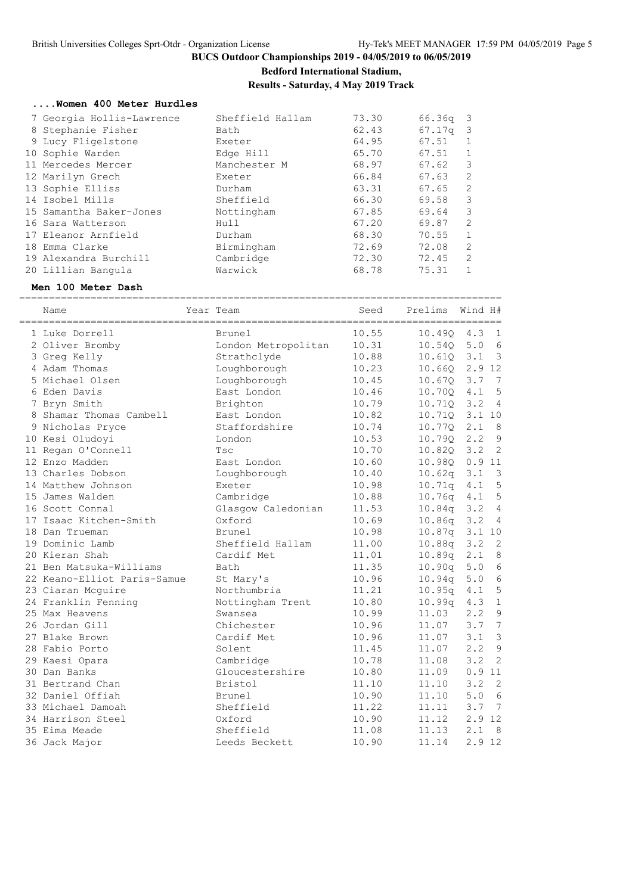# **Bedford International Stadium,**

**Results - Saturday, 4 May 2019 Track**

#### **....Women 400 Meter Hurdles**

|  | 7 Georgia Hollis-Lawrence | Sheffield Hallam | 73.30 | 66.36g | - 3                     |
|--|---------------------------|------------------|-------|--------|-------------------------|
|  | 8 Stephanie Fisher        | Bath             | 62.43 | 67.17q | $\overline{\mathbf{3}}$ |
|  | 9 Lucy Fligelstone        | Exeter           | 64.95 | 67.51  |                         |
|  | 10 Sophie Warden          | Edge Hill        | 65.70 | 67.51  |                         |
|  | 11 Mercedes Mercer        | Manchester M     | 68.97 | 67.62  | 3                       |
|  | 12 Marilyn Grech          | Exeter           | 66.84 | 67.63  | 2                       |
|  | 13 Sophie Elliss          | Durham           | 63.31 | 67.65  | 2                       |
|  | 14 Isobel Mills           | Sheffield        | 66.30 | 69.58  | 3                       |
|  | 15 Samantha Baker-Jones   | Nottingham       | 67.85 | 69.64  | 3                       |
|  | 16 Sara Watterson         | Hull             | 67.20 | 69.87  | 2                       |
|  | 17 Eleanor Arnfield       | Durham           | 68.30 | 70.55  | $\mathbf{1}$            |
|  | 18 Emma Clarke            | Birmingham       | 72.69 | 72.08  | 2                       |
|  | 19 Alexandra Burchill     | Cambridge        | 72.30 | 72.45  | 2                       |
|  | 20 Lillian Bangula        | Warwick          | 68.78 | 75.31  |                         |
|  |                           |                  |       |        |                         |

### **Men 100 Meter Dash**

| ______________________<br>Name | Year Team           | Seed  | Prelims            | Wind H#  |                         |
|--------------------------------|---------------------|-------|--------------------|----------|-------------------------|
| 1 Luke Dorrell                 | Brunel              | 10.55 | 10.490             | 4.3      | $=$ $=$ $=$<br>1        |
| 2 Oliver Bromby                | London Metropolitan | 10.31 | 10.540             | 5.0      | 6                       |
| 3 Greg Kelly                   | Strathclyde         | 10.88 | 10.610             | 3.1      | $\overline{\mathbf{3}}$ |
| 4 Adam Thomas                  | Loughborough        | 10.23 | 10.660             | 2.9 12   |                         |
| 5 Michael Olsen                | Loughborough        | 10.45 | 10.670             | 3.7      | 7                       |
| 6 Eden Davis                   | East London         | 10.46 | 10.70Q             | 4.1      | 5                       |
| 7 Bryn Smith                   | Brighton            | 10.79 | 10.710             | 3.2      | $\overline{4}$          |
| 8 Shamar Thomas Cambell        | East London         | 10.82 | 10.71Q             | 3.1 10   |                         |
| 9 Nicholas Pryce               | Staffordshire       | 10.74 | 10.77Q             | 2.1      | 8                       |
| 10 Kesi Oludoyi                | London              | 10.53 | 10.79Q             | 2.2      | $\overline{9}$          |
| 11 Regan O'Connell             | Tsc                 | 10.70 | 10.820             | 3.2      | $\overline{c}$          |
| 12 Enzo Madden                 | East London         | 10.60 | 10.98Q             | 0.911    |                         |
| 13 Charles Dobson              | Loughborough        | 10.40 | 10.62q 3.1         |          | $\overline{\mathbf{3}}$ |
| 14 Matthew Johnson             | Exeter              | 10.98 | 10.71q             | 4.1      | 5                       |
| 15 James Walden                | Cambridge           | 10.88 | 10.76q             | 4.1      | 5                       |
| 16 Scott Connal                | Glasgow Caledonian  | 11.53 | 10.84q             | 3.2      | $\overline{4}$          |
| 17 Isaac Kitchen-Smith         | Oxford              | 10.69 | 10.86q             | 3.2      | $\overline{4}$          |
| 18 Dan Trueman                 | <b>Brunel</b>       | 10.98 | 10.87q             | 3.110    |                         |
| 19 Dominic Lamb                | Sheffield Hallam    | 11.00 | 10.88q             | 3.2      | 2                       |
| 20 Kieran Shah                 | Cardif Met          | 11.01 | 10.89q             | 2.1      | 8                       |
| 21 Ben Matsuka-Williams        | Bath                | 11.35 | 10.90q             | 5.0      | $6\phantom{1}6$         |
| 22 Keano-Elliot Paris-Samue    | St Mary's           | 10.96 | 10.94 <sub>q</sub> | 5.0      | 6                       |
| 23 Ciaran Mcguire              | Northumbria         | 11.21 | 10.95q             | 4.1      | 5                       |
| 24 Franklin Fenning            | Nottingham Trent    | 10.80 | 10.99q             | 4.3      | $1\,$                   |
| 25 Max Heavens                 | Swansea             | 10.99 | 11.03              | 2.2      | $\mathfrak{g}$          |
| 26 Jordan Gill                 | Chichester          | 10.96 | 11.07              | 3.7      | 7                       |
| 27 Blake Brown                 | Cardif Met          | 10.96 | 11.07              | 3.1      | $\mathcal{S}$           |
| 28 Fabio Porto                 | Solent              | 11.45 | 11.07              | 2.2      | 9                       |
| 29 Kaesi Opara                 | Cambridge           | 10.78 | 11.08              | 3.2      | $\overline{c}$          |
| 30 Dan Banks                   | Gloucestershire     | 10.80 | 11.09              | 0.911    |                         |
| 31 Bertrand Chan               | Bristol             | 11.10 | 11.10              | 3.2      | $\overline{c}$          |
| 32 Daniel Offiah               | Brunel              | 10.90 | 11.10              | 5.0      | 6                       |
| 33 Michael Damoah              | Sheffield           | 11.22 | 11.11              | 3.7      | 7                       |
| 34 Harrison Steel              | Oxford              | 10.90 | 11.12              | 2.9      | 12                      |
| 35 Eima Meade                  | Sheffield           | 11.08 | 11.13              | 2.1      | 8                       |
| 36 Jack Major                  | Leeds Beckett       | 10.90 | 11.14              | $2.9$ 12 |                         |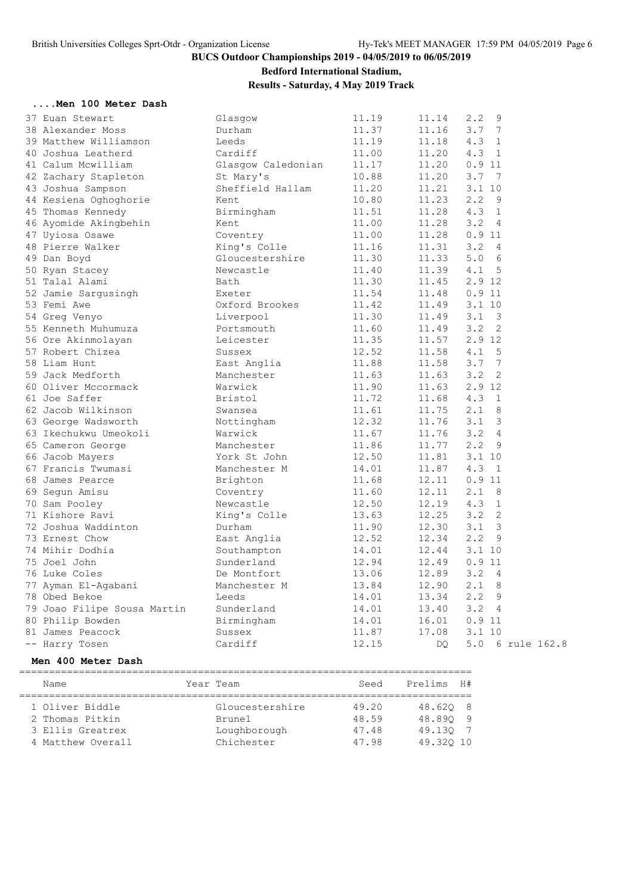### **Bedford International Stadium,**

**Results - Saturday, 4 May 2019 Track**

#### **....Men 100 Meter Dash**

| 37 Euan Stewart             | Glasgow            | 11.19 | 11.14     | 2.2<br>9                                  |  |
|-----------------------------|--------------------|-------|-----------|-------------------------------------------|--|
| 38 Alexander Moss           | Durham             | 11.37 | 11.16     | 7<br>3.7                                  |  |
| 39 Matthew Williamson       | Leeds              | 11.19 | 11.18     | 4.3<br>1                                  |  |
| 40 Joshua Leatherd          | Cardiff            | 11.00 | 11.20     | 4.3<br>1                                  |  |
| 41 Calum Mcwilliam          | Glasgow Caledonian | 11.17 | 11.20     | 0.911                                     |  |
| 42 Zachary Stapleton        | St Mary's          | 10.88 | 11.20     | 3.7<br>7                                  |  |
| 43 Joshua Sampson           | Sheffield Hallam   | 11.20 | 11.21     | 3.110                                     |  |
| 44 Kesiena Oghoghorie       | Kent               | 10.80 | 11.23     | 2.2<br>9                                  |  |
| 45 Thomas Kennedy           | Birmingham         | 11.51 | 11.28     | 1<br>4.3                                  |  |
| 46 Ayomide Akingbehin       | Kent               | 11.00 | 11.28     | 3.2<br>$\overline{4}$                     |  |
| 47 Uyiosa Osawe             | Coventry           | 11.00 | 11.28     | 0.911                                     |  |
| 48 Pierre Walker            | King's Colle       | 11.16 | 11.31     | 3.2<br>-4                                 |  |
| 49 Dan Boyd                 | Gloucestershire    | 11.30 | 11.33     | 6<br>5.0                                  |  |
| 50 Ryan Stacey              | Newcastle          | 11.40 | 11.39     | 4.1<br>5                                  |  |
| 51 Talal Alami              | Bath               | 11.30 | 11.45     | 2.9 12                                    |  |
| 52 Jamie Sargusingh         | Exeter             | 11.54 | 11.48     | 0.911                                     |  |
| 53 Femi Awe                 | Oxford Brookes     | 11.42 | 11.49     | $3.1$ 10                                  |  |
| 54 Greg Venyo               | Liverpool          | 11.30 | 11.49     | 3.1 <sup>3</sup>                          |  |
| 55 Kenneth Muhumuza         | Portsmouth         | 11.60 | 11.49     | 3.2<br>2                                  |  |
| 56 Ore Akinmolayan          | Leicester          | 11.35 | 11.57     | 2.9 12                                    |  |
| 57 Robert Chizea            | Sussex             | 12.52 | 11.58     | 4.1<br>5                                  |  |
| 58 Liam Hunt                | East Anglia        | 11.88 | 11.58     | 7<br>3.7                                  |  |
| 59 Jack Medforth            | Manchester         | 11.63 | 11.63     | 3.2<br>2                                  |  |
| 60 Oliver Mccormack         | Warwick            | 11.90 | 11.63     | 2.9 12                                    |  |
| 61 Joe Saffer               | Bristol            | 11.72 | 11.68     | 4.3<br>$\mathbf{1}$                       |  |
| 62 Jacob Wilkinson          | Swansea            | 11.61 | 11.75     | $2 \cdot 1$<br>8                          |  |
| 63 George Wadsworth         | Nottingham         | 12.32 | 11.76     | 3.1<br>3                                  |  |
| 63 Ikechukwu Umeokoli       | Warwick            | 11.67 | 11.76     | 3.2<br>$\overline{4}$                     |  |
| 65 Cameron George           | Manchester         | 11.86 | 11.77     | $2 \cdot 2$<br>9                          |  |
| 66 Jacob Mayers             | York St John       | 12.50 | 11.81     | $3.1$ 10                                  |  |
| 67 Francis Twumasi          | Manchester M       | 14.01 | 11.87     | 4.3<br>$\overline{1}$                     |  |
| 68 James Pearce             | Brighton           | 11.68 | 12.11     | 0.911                                     |  |
| 69 Segun Amisu              | Coventry           | 11.60 | 12.11     | $2.1$ 8                                   |  |
| 70 Sam Pooley               | Newcastle          | 12.50 | 12.19     | 4.3<br>1                                  |  |
| 71 Kishore Ravi             | King's Colle       | 13.63 | 12.25     | 2<br>3.2                                  |  |
| 72 Joshua Waddinton         | Durham             | 11.90 | 12.30     | 3<br>3.1                                  |  |
| 73 Ernest Chow              | East Anglia        | 12.52 | 12.34     | 2.2<br>9                                  |  |
| 74 Mihir Dodhia             | Southampton        | 14.01 | 12.44     | $3.1$ 10                                  |  |
| 75 Joel John                | Sunderland         | 12.94 | 12.49     | 0.911                                     |  |
| 76 Luke Coles               | De Montfort        | 13.06 | 12.89     | 3.2<br>$\overline{4}$                     |  |
| 77 Ayman El-Agabani         | Manchester M       |       |           | $2 \cdot 1$<br>-8                         |  |
|                             |                    | 13.84 | 12.90     |                                           |  |
| 78 Obed Bekoe               | Leeds              | 14.01 | 13.34     | $2 \cdot 2$<br>9<br>3.2<br>$\overline{4}$ |  |
| 79 Joao Filipe Sousa Martin | Sunderland         | 14.01 | 13.40     | 0.911                                     |  |
| 80 Philip Bowden            | Birmingham         | 14.01 | 16.01     |                                           |  |
| 81 James Peacock            | Sussex             | 11.87 | 17.08     | $3.1$ 10                                  |  |
| -- Harry Tosen              | Cardiff            | 12.15 | <b>DO</b> | 5.0<br>6 rule 162.8                       |  |

#### **Men 400 Meter Dash**

============================================================================ Name Tear Team Seed Prelims H# ============================================================================ 1 Oliver Biddle Gloucestershire 49.20 48.62Q 8 2 Thomas Pitkin Brunel 48.59 48.89Q 9 3 Ellis Greatrex Loughborough 47.48 49.13Q 7 4 Matthew Overall Chichester 47.98 49.32Q 10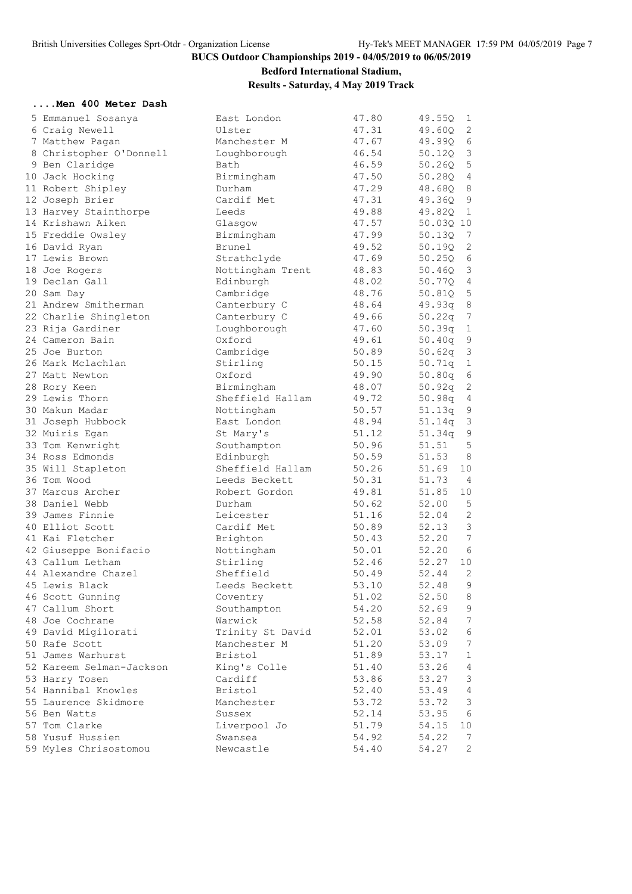# **Bedford International Stadium,**

### **Results - Saturday, 4 May 2019 Track**

#### **....Men 400 Meter Dash**

| 5 Emmanuel Sosanya                 | East London      | 47.80 | 49.55Q<br>$\mathbf{1}$            |
|------------------------------------|------------------|-------|-----------------------------------|
| 6 Craig Newell                     | Ulster           | 47.31 | 2<br>49.60Q                       |
| 7 Matthew Pagan                    | Manchester M     | 47.67 | 6<br>49.99Q                       |
| 8 Christopher O'Donnell            | Loughborough     | 46.54 | 3<br>50.12Q                       |
| 9 Ben Claridge                     | Bath             | 46.59 | $\mathbf 5$<br>50.26Q             |
| 10 Jack Hocking                    | Birmingham       | 47.50 | $\overline{4}$<br>50.28Q          |
| 11 Robert Shipley                  | Durham           | 47.29 | 8<br>48.68Q                       |
| 12 Joseph Brier                    | Cardif Met       | 47.31 | 9<br>49.360                       |
| 13 Harvey Stainthorpe              | Leeds            | 49.88 | 49.82Q<br>1                       |
| 14 Krishawn Aiken                  | Glasgow          | 47.57 | 50.03Q 10                         |
| 15 Freddie Owsley                  | Birmingham       | 47.99 | 50.13Q<br>7                       |
| 16 David Ryan                      | Brunel           | 49.52 | $\mathbf{2}$<br>50.19Q            |
| 17 Lewis Brown                     | Strathclyde      | 47.69 | $\sqrt{6}$<br>50.250              |
| 18 Joe Rogers                      | Nottingham Trent | 48.83 | 3<br>50.46Q                       |
| 19 Declan Gall                     | Edinburgh        | 48.02 | 4<br>50.77Q                       |
| 20 Sam Day                         | Cambridge        | 48.76 | $\overline{5}$<br>50.81Q          |
| 21 Andrew Smitherman               | Canterbury C     | 48.64 | $\,8\,$<br>49.93q                 |
| 22 Charlie Shingleton              | Canterbury C     | 49.66 | 50.22q<br>$7\phantom{.0}$         |
| 23 Rija Gardiner                   | Loughborough     | 47.60 | 50.39q<br>$\mathbf{1}$            |
| 24 Cameron Bain                    | Oxford           | 49.61 | 9<br>50.40q                       |
| 25 Joe Burton                      | Cambridge        | 50.89 | 3<br>50.62q                       |
| 26 Mark Mclachlan                  | Stirling         | 50.15 | $\mathbf 1$<br>50.71q             |
| 27 Matt Newton                     | Oxford           | 49.90 | $\epsilon$<br>50.80q              |
| 28 Rory Keen                       | Birmingham       | 48.07 | 50.92q<br>$\sqrt{2}$              |
| 29 Lewis Thorn                     | Sheffield Hallam | 49.72 | $\sqrt{4}$<br>50.98q              |
| 30 Makun Madar                     | Nottingham       | 50.57 | 9<br>51.13q                       |
| 31 Joseph Hubbock                  | East London      | 48.94 | $\mathsf 3$<br>51.14q             |
| 32 Muiris Egan                     | St Mary's        | 51.12 | $\mathsf 9$<br>51.34q             |
| 33 Tom Kenwright                   | Southampton      | 50.96 | 5<br>51.51                        |
| 34 Ross Edmonds                    | Edinburgh        | 50.59 | 51.53<br>8                        |
| 35 Will Stapleton                  | Sheffield Hallam | 50.26 | 10<br>51.69                       |
| 36 Tom Wood                        | Leeds Beckett    | 50.31 | 51.73<br>$\overline{4}$           |
| 37 Marcus Archer                   | Robert Gordon    | 49.81 | 51.85<br>10                       |
| 38 Daniel Webb                     | Durham           | 50.62 | 52.00<br>5                        |
| 39 James Finnie                    | Leicester        | 51.16 | $\mathbf{2}$<br>52.04             |
| 40 Elliot Scott                    | Cardif Met       | 50.89 | $\mathsf 3$<br>52.13              |
| 41 Kai Fletcher                    | Brighton         | 50.43 | 7<br>52.20                        |
| 42 Giuseppe Bonifacio              | Nottingham       | 50.01 | 6<br>52.20                        |
| 43 Callum Letham                   | Stirling         | 52.46 | 52.27<br>10                       |
| 44 Alexandre Chazel                | Sheffield        | 50.49 | 52.44<br>2                        |
| 45 Lewis Black                     | Leeds Beckett    | 53.10 | 9<br>52.48                        |
| 46 Scott Gunning                   | Coventry         | 51.02 | 52.50<br>8                        |
| 47 Callum Short                    | Southampton      | 54.20 | 52.69<br>9                        |
| 48 Joe Cochrane                    | Warwick          | 52.58 | $7\phantom{.0}$<br>52.84          |
|                                    |                  |       | $\epsilon$                        |
| 49 David Migilorati                | Trinity St David | 52.01 | 53.02<br>$7\phantom{.0}$<br>53.09 |
| 50 Rafe Scott<br>51 James Warhurst | Manchester M     | 51.20 | $\mathbf{1}$                      |
|                                    | Bristol          | 51.89 | 53.17                             |
| 52 Kareem Selman-Jackson           | King's Colle     | 51.40 | 53.26<br>4                        |
| 53 Harry Tosen                     | Cardiff          | 53.86 | $\mathfrak{Z}$<br>53.27<br>53.49  |
| 54 Hannibal Knowles                | Bristol          | 52.40 | $\overline{4}$                    |
| 55 Laurence Skidmore               | Manchester       | 53.72 | 53.72<br>3                        |
| 56 Ben Watts                       | Sussex           | 52.14 | $\sqrt{6}$<br>53.95               |
| 57 Tom Clarke                      | Liverpool Jo     | 51.79 | 54.15<br>10                       |
| 58 Yusuf Hussien                   | Swansea          | 54.92 | 54.22<br>7                        |
| 59 Myles Chrisostomou              | Newcastle        | 54.40 | 2<br>54.27                        |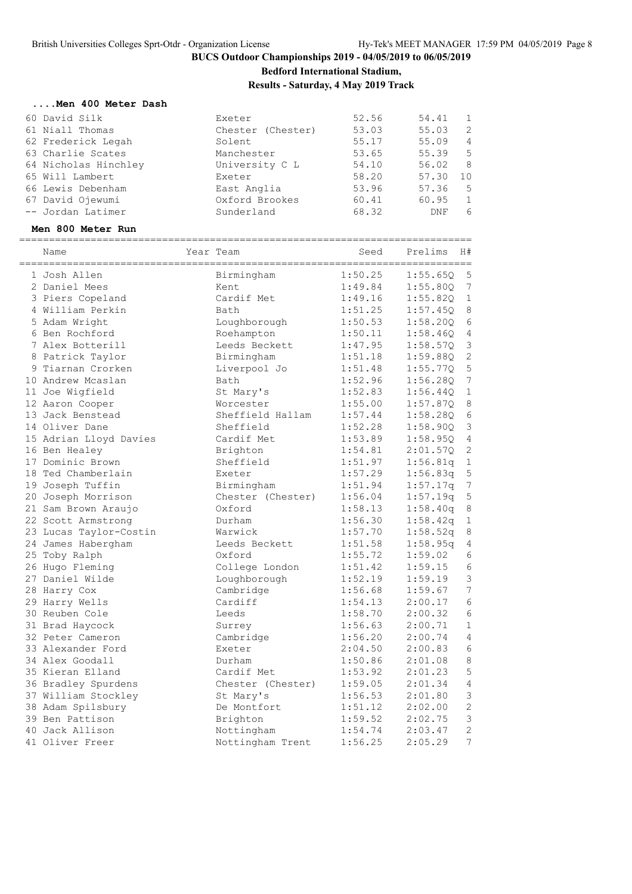**Bedford International Stadium,**

**Results - Saturday, 4 May 2019 Track**

#### **....Men 400 Meter Dash**

| 60 David Silk        | Exeter            | 52.56 | 54.41 | $\overline{1}$ |
|----------------------|-------------------|-------|-------|----------------|
| 61 Niall Thomas      | Chester (Chester) | 53.03 | 55.03 | $\overline{2}$ |
| 62 Frederick Legah   | Solent            | 55.17 | 55.09 | $\overline{4}$ |
| 63 Charlie Scates    | Manchester        | 53.65 | 55.39 | $-5$           |
| 64 Nicholas Hinchley | University C L    | 54.10 | 56.02 | 8              |
| 65 Will Lambert      | Exeter            | 58.20 | 57.30 | 10             |
| 66 Lewis Debenham    | East Anglia       | 53.96 | 57.36 | $-5$           |
| 67 David Ojewumi     | Oxford Brookes    | 60.41 | 60.95 | $\overline{1}$ |
| -- Jordan Latimer    | Sunderland        | 68.32 | DNF   | 6              |
|                      |                   |       |       |                |

### **Men 800 Meter Run**

| Name                   | Year Team         | Seed    | Prelims  | H#               |
|------------------------|-------------------|---------|----------|------------------|
| 1 Josh Allen           | Birmingham        | 1:50.25 | 1:55.65Q | 5                |
| 2 Daniel Mees          | Kent              | 1:49.84 | 1:55.80Q | 7                |
| 3 Piers Copeland       | Cardif Met        | 1:49.16 | 1:55.820 | 1                |
| 4 William Perkin       | Bath              | 1:51.25 | 1:57.45Q | 8                |
| 5 Adam Wright          | Loughborough      | 1:50.53 | 1:58.200 | 6                |
| 6 Ben Rochford         | Roehampton        | 1:50.11 | 1:58.46Q | $\overline{4}$   |
| 7 Alex Botterill       | Leeds Beckett     | 1:47.95 | 1:58.570 | $\mathfrak{Z}$   |
| 8 Patrick Taylor       | Birmingham        | 1:51.18 | 1:59.880 | $\mathbf{2}$     |
| 9 Tiarnan Crorken      | Liverpool Jo      | 1:51.48 | 1:55.77Q | 5                |
| 10 Andrew Mcaslan      | Bath              | 1:52.96 | 1:56.28Q | $\boldsymbol{7}$ |
| 11 Joe Wigfield        | St Mary's         | 1:52.83 | 1:56.44Q | $\mathbf 1$      |
| 12 Aaron Cooper        | Worcester         | 1:55.00 | 1:57.87Q | 8                |
| 13 Jack Benstead       | Sheffield Hallam  | 1:57.44 | 1:58.28Q | 6                |
| 14 Oliver Dane         | Sheffield         | 1:52.28 | 1:58.90Q | $\mathsf 3$      |
| 15 Adrian Lloyd Davies | Cardif Met        | 1:53.89 | 1:58.95Q | $\sqrt{4}$       |
| 16 Ben Healey          | Brighton          | 1:54.81 | 2:01.57Q | 2                |
| 17 Dominic Brown       | Sheffield         | 1:51.97 | 1:56.81q | $\mathbf 1$      |
| 18 Ted Chamberlain     | Exeter            | 1:57.29 | 1:56.83q | 5                |
| 19 Joseph Tuffin       | Birmingham        | 1:51.94 | 1:57.17q | $\boldsymbol{7}$ |
| 20 Joseph Morrison     | Chester (Chester) | 1:56.04 | 1:57.19q | $\mathsf S$      |
| 21 Sam Brown Araujo    | Oxford            | 1:58.13 | 1:58.40q | $\,8\,$          |
| 22 Scott Armstrong     | Durham            | 1:56.30 | 1:58.42q | 1                |
| 23 Lucas Taylor-Costin | Warwick           | 1:57.70 | 1:58.52q | 8                |
| 24 James Habergham     | Leeds Beckett     | 1:51.58 | 1:58.95q | 4                |
| 25 Toby Ralph          | Oxford            | 1:55.72 | 1:59.02  | 6                |
| 26 Hugo Fleming        | College London    | 1:51.42 | 1:59.15  | $\epsilon$       |
| 27 Daniel Wilde        | Loughborough      | 1:52.19 | 1:59.19  | 3                |
| 28 Harry Cox           | Cambridge         | 1:56.68 | 1:59.67  | $\overline{7}$   |
| 29 Harry Wells         | Cardiff           | 1:54.13 | 2:00.17  | $\epsilon$       |
| 30 Reuben Cole         | Leeds             | 1:58.70 | 2:00.32  | $\epsilon$       |
| 31 Brad Haycock        | Surrey            | 1:56.63 | 2:00.71  | $\mathbf{1}$     |
| 32 Peter Cameron       | Cambridge         | 1:56.20 | 2:00.74  | $\overline{4}$   |
| 33 Alexander Ford      | Exeter            | 2:04.50 | 2:00.83  | 6                |
| 34 Alex Goodall        | Durham            | 1:50.86 | 2:01.08  | $\,8\,$          |
| 35 Kieran Elland       | Cardif Met        | 1:53.92 | 2:01.23  | 5                |
| 36 Bradley Spurdens    | Chester (Chester) | 1:59.05 | 2:01.34  | $\overline{4}$   |
| 37 William Stockley    | St Mary's         | 1:56.53 | 2:01.80  | 3                |
| 38 Adam Spilsbury      | De Montfort       | 1:51.12 | 2:02.00  | $\overline{c}$   |
| 39 Ben Pattison        | Brighton          | 1:59.52 | 2:02.75  | 3                |
| 40 Jack Allison        | Nottingham        | 1:54.74 | 2:03.47  | $\overline{c}$   |
| 41 Oliver Freer        | Nottingham Trent  | 1:56.25 | 2:05.29  | 7                |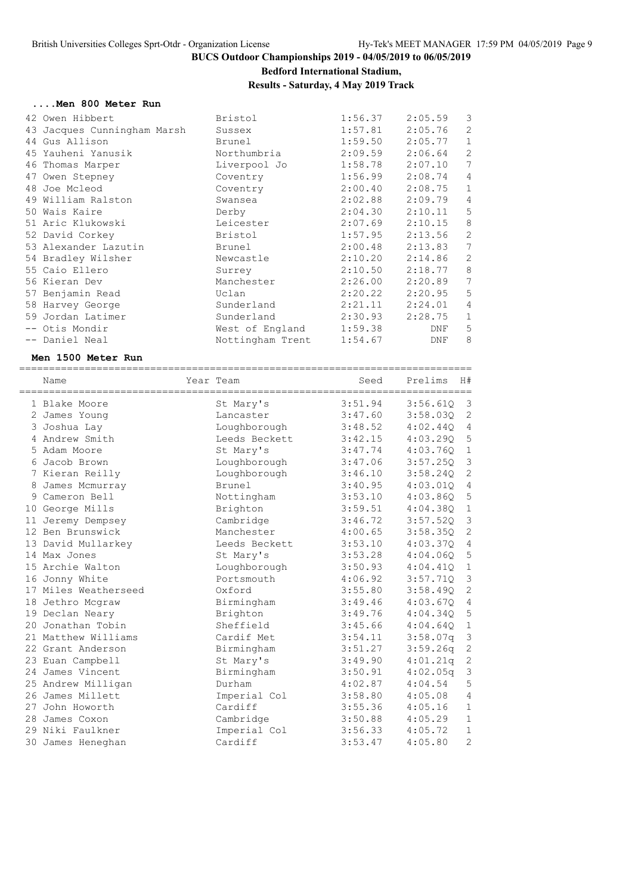## **Bedford International Stadium,**

### **Results - Saturday, 4 May 2019 Track**

#### **....Men 800 Meter Run**

| 42 Owen Hibbert             | Bristol                 | 1:56.37 | 2:05.59 | $\overline{3}$ |
|-----------------------------|-------------------------|---------|---------|----------------|
| 43 Jacques Cunningham Marsh | Sussex                  | 1:57.81 | 2:05.76 | $\overline{2}$ |
| 44 Gus Allison              | Brunel                  | 1:59.50 | 2:05.77 | $\mathbf 1$    |
| 45 Yauheni Yanusik          | Northumbria             | 2:09.59 | 2:06.64 | $\mathbf{2}$   |
| 46 Thomas Marper            | Liverpool Jo            | 1:58.78 | 2:07.10 | 7              |
| 47 Owen Stepney             | Coventry                | 1:56.99 | 2:08.74 | $\overline{4}$ |
| 48 Joe Mcleod               | Coventry                | 2:00.40 | 2:08.75 | $\mathbf{1}$   |
| 49 William Ralston          | Swansea                 | 2:02.88 | 2:09.79 | $\overline{4}$ |
| 50 Wais Kaire               | Derby                   | 2:04.30 | 2:10.11 | 5              |
| 51 Aric Klukowski           | Leicester               | 2:07.69 | 2:10.15 | 8              |
| 52 David Corkey             | Bristol                 | 1:57.95 | 2:13.56 | $\mathbf{2}$   |
| 53 Alexander Lazutin        | Brunel                  | 2:00.48 | 2:13.83 | 7              |
| 54 Bradley Wilsher          | Newcastle               | 2:10.20 | 2:14.86 | 2              |
| 55 Caio Ellero              | Surrey                  | 2:10.50 | 2:18.77 | 8              |
| 56 Kieran Dev               | Manchester              | 2:26.00 | 2:20.89 | 7              |
| 57 Benjamin Read            | Uclan                   | 2:20.22 | 2:20.95 | 5              |
| 58 Harvey George            | Sunderland              | 2:21.11 | 2:24.01 | $\overline{4}$ |
| 59 Jordan Latimer           | Sunderland              | 2:30.93 | 2:28.75 | $\mathbf{1}$   |
| -- Otis Mondir              | West of England 1:59.38 |         | DNF     | 5              |
| -- Daniel Neal              | Nottingham Trent        | 1:54.67 | DNF     | 8              |
|                             |                         |         |         |                |

#### **Men 1500 Meter Run**

| Name                 | Year Team     | Seed    | Prelims  | H#             |
|----------------------|---------------|---------|----------|----------------|
| 1 Blake Moore        | St Mary's     | 3:51.94 | 3:56.610 | -3             |
| 2 James Young        | Lancaster     | 3:47.60 | 3:58.030 | 2              |
| 3 Joshua Lay         | Loughborough  | 3:48.52 | 4:02.440 | 4              |
| 4 Andrew Smith       | Leeds Beckett | 3:42.15 | 4:03.290 | 5              |
| 5 Adam Moore         | St Mary's     | 3:47.74 | 4:03.760 | $\mathbf{1}$   |
| 6 Jacob Brown        | Loughborough  | 3:47.06 | 3:57.250 | 3              |
| 7 Kieran Reilly      | Loughborough  | 3:46.10 | 3:58.240 | $\mathbf{2}$   |
| 8 James Mcmurray     | <b>Brunel</b> | 3:40.95 | 4:03.010 | $\overline{4}$ |
| 9 Cameron Bell       | Nottingham    | 3:53.10 | 4:03.860 | 5              |
| 10 George Mills      | Brighton      | 3:59.51 | 4:04.380 | $\mathbf 1$    |
| 11 Jeremy Dempsey    | Cambridge     | 3:46.72 | 3:57.52Q | $\mathsf 3$    |
| 12 Ben Brunswick     | Manchester    | 4:00.65 | 3:58.35Q | 2              |
| 13 David Mullarkey   | Leeds Beckett | 3:53.10 | 4:03.370 | $\overline{4}$ |
| 14 Max Jones         | St Mary's     | 3:53.28 | 4:04.06Q | $\mathsf S$    |
| 15 Archie Walton     | Loughborough  | 3:50.93 | 4:04.41Q | $\mathbf 1$    |
| 16 Jonny White       | Portsmouth    | 4:06.92 | 3:57.710 | $\mathcal{S}$  |
| 17 Miles Weatherseed | Oxford        | 3:55.80 | 3:58.49Q | $\mathbf{2}$   |
| 18 Jethro Mcgraw     | Birmingham    | 3:49.46 | 4:03.67Q | $\overline{4}$ |
| 19 Declan Neary      | Brighton      | 3:49.76 | 4:04.340 | 5              |
| 20 Jonathan Tobin    | Sheffield     | 3:45.66 | 4:04.64Q | $\,1\,$        |
| 21 Matthew Williams  | Cardif Met    | 3:54.11 | 3:58.07q | $\mathsf 3$    |
| 22 Grant Anderson    | Birmingham    | 3:51.27 | 3:59.26q | $\sqrt{2}$     |
| 23 Euan Campbell     | St Mary's     | 3:49.90 | 4:01.21q | $\sqrt{2}$     |
| 24 James Vincent     | Birmingham    | 3:50.91 | 4:02.05q | $\mathsf 3$    |
| 25 Andrew Milligan   | Durham        | 4:02.87 | 4:04.54  | 5              |
| 26 James Millett     | Imperial Col  | 3:58.80 | 4:05.08  | 4              |
| 27 John Howorth      | Cardiff       | 3:55.36 | 4:05.16  | $\mathbf 1$    |
| 28 James Coxon       | Cambridge     | 3:50.88 | 4:05.29  | $\mathbf{1}$   |
| 29 Niki Faulkner     | Imperial Col  | 3:56.33 | 4:05.72  | $\mathbf{1}$   |
| 30 James Heneghan    | Cardiff       | 3:53.47 | 4:05.80  | $\overline{c}$ |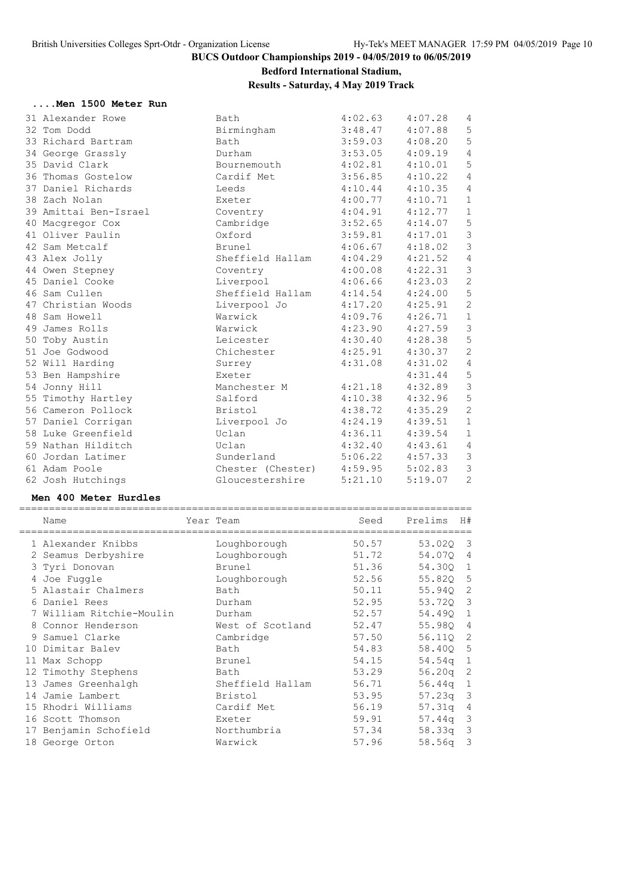# **Bedford International Stadium,**

# **Results - Saturday, 4 May 2019 Track**

#### **....Men 1500 Meter Run**

| 31 Alexander Rowe     | Bath                      | 4:02.63 | 4:07.28 | $\overline{4}$ |
|-----------------------|---------------------------|---------|---------|----------------|
| 32 Tom Dodd           | Birmingham                | 3:48.47 | 4:07.88 | 5              |
| 33 Richard Bartram    | Bath                      | 3:59.03 | 4:08.20 | 5              |
| 34 George Grassly     | Durham                    | 3:53.05 | 4:09.19 | $\overline{4}$ |
| 35 David Clark        | Bournemouth               | 4:02.81 | 4:10.01 | $\mathbf 5$    |
| 36 Thomas Gostelow    | Cardif Met                | 3:56.85 | 4:10.22 | $\overline{4}$ |
| 37 Daniel Richards    | Leeds                     | 4:10.44 | 4:10.35 | $\overline{4}$ |
| 38 Zach Nolan         | Exeter                    | 4:00.77 | 4:10.71 | $\mathbf 1$    |
| 39 Amittai Ben-Israel | Coventry                  | 4:04.91 | 4:12.77 | $\mathbf{1}$   |
| 40 Macqregor Cox      | Cambridge                 | 3:52.65 | 4:14.07 | $\mathsf S$    |
| 41 Oliver Paulin      | Oxford                    | 3:59.81 | 4:17.01 | $\mathfrak{Z}$ |
| 42 Sam Metcalf        | Brunel                    | 4:06.67 | 4:18.02 | $\mathfrak{Z}$ |
| 43 Alex Jolly         | Sheffield Hallam          | 4:04.29 | 4:21.52 | $\overline{4}$ |
| 44 Owen Stepney       | Coventry                  | 4:00.08 | 4:22.31 | $\mathsf 3$    |
| 45 Daniel Cooke       | Liverpool                 | 4:06.66 | 4:23.03 | $\sqrt{2}$     |
| 46 Sam Cullen         | Sheffield Hallam          | 4:14.54 | 4:24.00 | $\mathbf 5$    |
| 47 Christian Woods    | Liverpool Jo              | 4:17.20 | 4:25.91 | $\overline{c}$ |
| 48 Sam Howell         | Warwick                   | 4:09.76 | 4:26.71 | $\mathbf{1}$   |
| 49 James Rolls        | Warwick                   | 4:23.90 | 4:27.59 | $\mathcal{S}$  |
| 50 Toby Austin        | Leicester                 | 4:30.40 | 4:28.38 | 5              |
| 51 Joe Godwood        | Chichester                | 4:25.91 | 4:30.37 | $\overline{2}$ |
| 52 Will Harding       | Surrey                    | 4:31.08 | 4:31.02 | $\overline{4}$ |
| 53 Ben Hampshire      | Exeter                    |         | 4:31.44 | $\mathsf S$    |
| 54 Jonny Hill         | Manchester M              | 4:21.18 | 4:32.89 | $\mathfrak{Z}$ |
| 55 Timothy Hartley    | Salford                   | 4:10.38 | 4:32.96 | 5              |
| 56 Cameron Pollock    | Bristol                   | 4:38.72 | 4:35.29 | $\overline{2}$ |
| 57 Daniel Corrigan    | Liverpool Jo              | 4:24.19 | 4:39.51 | $\mathbf 1$    |
| 58 Luke Greenfield    | Uclan                     | 4:36.11 | 4:39.54 | $\mathbf{1}$   |
| 59 Nathan Hilditch    | Uclan                     | 4:32.40 | 4:43.61 | $\overline{4}$ |
| 60 Jordan Latimer     | Sunderland                | 5:06.22 | 4:57.33 | $\mathcal{S}$  |
| 61 Adam Poole         | Chester (Chester) 4:59.95 |         | 5:02.83 | $\mathfrak{Z}$ |
| 62 Josh Hutchings     | Gloucestershire           | 5:21.10 | 5:19.07 | 2              |
|                       |                           |         |         |                |

### **Men 400 Meter Hurdles**

| Name                     | Year Team        | Seed  | Prelims    | H#                      |
|--------------------------|------------------|-------|------------|-------------------------|
| 1 Alexander Knibbs       | Loughborough     | 50.57 | 53.020     | $\overline{\mathbf{3}}$ |
| 2 Seamus Derbyshire      | Loughborough     | 51.72 | 54.070     | 4                       |
| 3 Tyri Donovan           | Brunel           | 51.36 | 54.300 1   |                         |
| 4 Joe Fuggle             | Loughborough     | 52.56 | 55.820 5   |                         |
| 5 Alastair Chalmers      | Bath             | 50.11 | 55.940     | -2                      |
| 6 Daniel Rees            | Durham           | 52.95 | 53.720     | $\mathcal{E}$           |
| 7 William Ritchie-Moulin | Durham           | 52.57 | 54.490     | $\mathbf{1}$            |
| 8 Connor Henderson       | West of Scotland | 52.47 | 55.980     | $\overline{4}$          |
| Samuel Clarke            | Cambridge        | 57.50 | 56.110     | -2                      |
| 10 Dimitar Balev         | Bath             | 54.83 | 58.400 5   |                         |
| 11 Max Schopp            | Brunel           | 54.15 | $54.54q$ 1 |                         |
| 12 Timothy Stephens      | Bath             | 53.29 | 56.20a     | -2                      |
| 13 James Greenhalgh      | Sheffield Hallam | 56.71 | $56.44q$ 1 |                         |
| 14 Jamie Lambert         | Bristol          | 53.95 | 57.23q     | $\mathbf{3}$            |
| 15 Rhodri Williams       | Cardif Met       | 56.19 | 57.31q     | 4                       |
| 16 Scott Thomson         | Exeter           | 59.91 | 57.44a     | 3                       |
| 17 Benjamin Schofield    | Northumbria      | 57.34 | 58.33a     | 3                       |
| 18 George Orton          | Warwick          | 57.96 | 58.56q     | 3                       |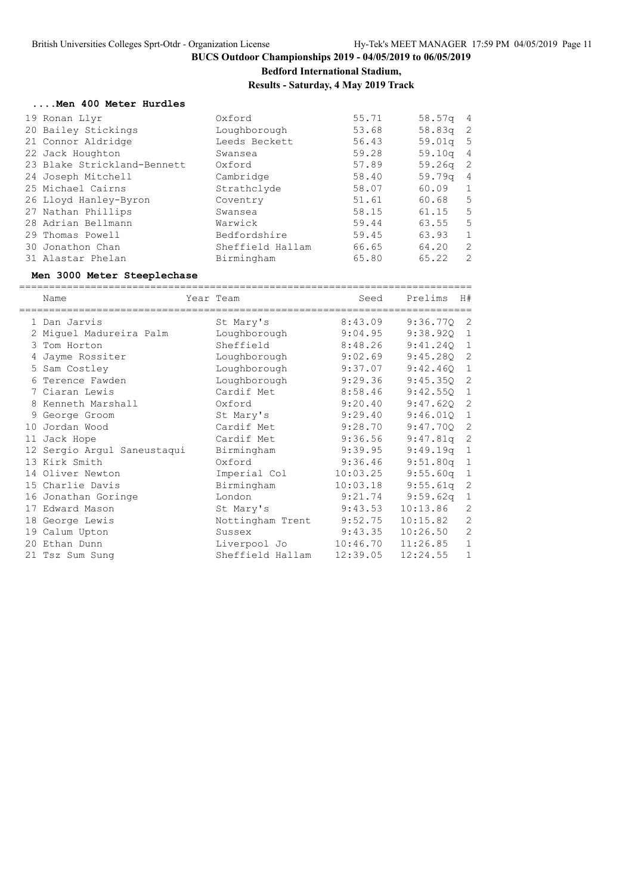**Bedford International Stadium,**

**Results - Saturday, 4 May 2019 Track**

#### **....Men 400 Meter Hurdles**

|  | 19 Ronan Llyr               | Oxford           | 55.71 | 58.57q 4   |                |
|--|-----------------------------|------------------|-------|------------|----------------|
|  | 20 Bailey Stickings         | Loughborough     | 53.68 | $58.83q$ 2 |                |
|  | 21 Connor Aldridge          | Leeds Beckett    | 56.43 | $59.01q$ 5 |                |
|  | 22 Jack Houghton            | Swansea          | 59.28 | $59.10q$ 4 |                |
|  | 23 Blake Strickland-Bennett | Oxford           | 57.89 | $59.26q$ 2 |                |
|  | 24 Joseph Mitchell          | Cambridge        | 58.40 | 59.79a     | - 4            |
|  | 25 Michael Cairns           | Strathclyde      | 58.07 | 60.09      | $\overline{1}$ |
|  | 26 Lloyd Hanley-Byron       | Coventry         | 51.61 | 60.68      | 5              |
|  | 27 Nathan Phillips          | Swansea          | 58.15 | 61.15      | -5             |
|  | 28 Adrian Bellmann          | Warwick          | 59.44 | 63.55      | -5             |
|  | 29 Thomas Powell            | Bedfordshire     | 59.45 | 63.93      | 1              |
|  | 30 Jonathon Chan            | Sheffield Hallam | 66.65 | 64.20      | 2              |
|  | 31 Alastar Phelan           | Birmingham       | 65.80 | 65.22      | 2              |
|  |                             |                  |       |            |                |

#### **Men 3000 Meter Steeplechase**

============================================================================ Name Year Team Seed Prelims H# ============================================================================ 1 Dan Jarvis St Mary's 8:43.09 9:36.77Q 2 2 Miguel Madureira Palm Loughborough 9:04.95 9:38.92Q 1 3 Tom Horton Sheffield 8:48.26 9:41.24Q 1 4 Jayme Rossiter Loughborough 9:02.69 9:45.28Q 2 5 Sam Costley Loughborough 9:37.07 9:42.46Q 1 6 Terence Fawden Loughborough 9:29.36 9:45.35Q 2 7 Ciaran Lewis Cardif Met 8:58.46 9:42.55Q 1 8 Kenneth Marshall Oxford 9:20.40 9:47.62Q 2 9 George Groom St Mary's 9:29.40 9:46.01Q 1 10 Jordan Wood Cardif Met 9:28.70 9:47.70Q 2 11 Jack Hope Cardif Met 9:36.56 9:47.81q 2 12 Sergio Argul Saneustaqui Birmingham 9:39.95 9:49.19q 1 13 Kirk Smith Oxford 9:36.46 9:51.80q 1 14 Oliver Newton Imperial Col 10:03.25 9:55.60q 1 15 Charlie Davis Birmingham 10:03.18 9:55.61q 2 16 Jonathan Goringe London 9:21.74 9:59.62q 1 17 Edward Mason St Mary's 9:43.53 10:13.86 2 18 George Lewis Nottingham Trent 9:52.75 10:15.82 2 19 Calum Upton Sussex 9:43.35 10:26.50 2 20 Ethan Dunn Liverpool Jo 10:46.70 11:26.85 1 21 Tsz Sum Sung Sheffield Hallam 12:39.05 12:24.55 1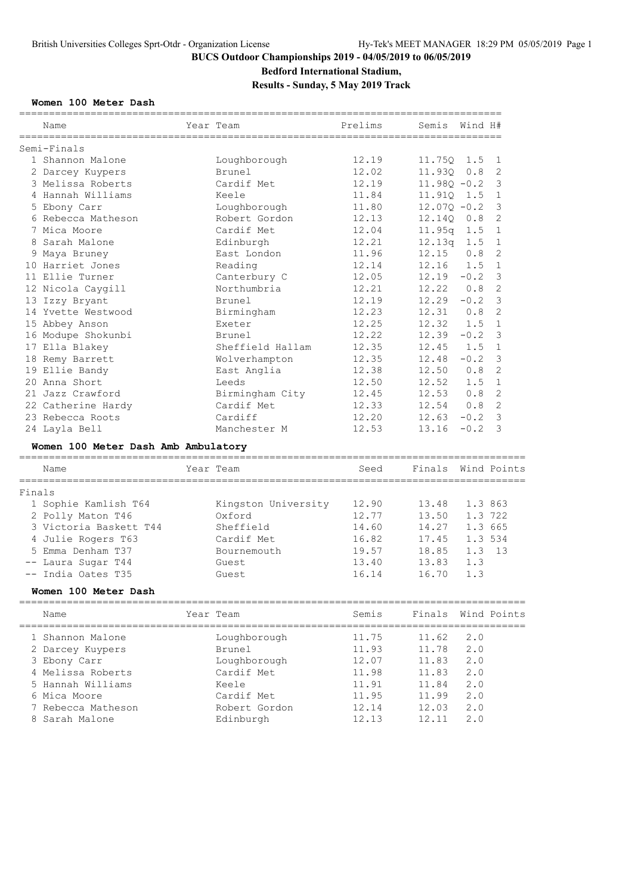# **Bedford International Stadium,**

### **Results - Sunday, 5 May 2019 Track**

### **Women 100 Meter Dash**

| Name                                | Year Team        | Prelims | Semis             | Wind H# |                            |
|-------------------------------------|------------------|---------|-------------------|---------|----------------------------|
| Semi-Finals                         |                  |         |                   |         |                            |
| 1 Shannon Malone                    | Loughborough     | 12.19   | 11.750 1.5 1      |         |                            |
| 2 Darcey Kuypers                    | Brunel           | 12.02   | 11.930 0.8 2      |         |                            |
| 3 Melissa Roberts                   | Cardif Met       | 12.19   | $11.980 - 0.2$ 3  |         |                            |
| 4 Hannah Williams                   | Keele            | 11.84   | 11.910 1.5        |         | $\overline{1}$             |
| 5 Ebony Carr                        | Loughborough     | 11.80   | $12.070 - 0.2$    |         | 3                          |
| 6 Rebecca Matheson                  | Robert Gordon    | 12.13   | 12.140 0.8        |         | $\overline{\phantom{0}}^2$ |
| 7 Mica Moore                        | Cardif Met       | 12.04   | $11.95q$ 1.5      |         | $\overline{1}$             |
| 8 Sarah Malone                      | Edinburgh        | 12.21   | $12.13q$ 1.5      |         | $\overline{1}$             |
| 9 Maya Bruney                       | East London      | 11.96   | 12.15             | 0.8     | 2                          |
| 10 Harriet Jones                    | Reading          | 12.14   | $12.16$ $1.5$     |         | $\overline{1}$             |
| 11 Ellie Turner                     | Canterbury C     | 12.05   | $12.19 - 0.2$ 3   |         |                            |
| 12 Nicola Caygill                   | Northumbria      | 12.21   | $12.22 \t0.8$     |         | 2                          |
| 13 Izzy Bryant                      | <b>Brunel</b>    | 12.19   | 12.29             | $-0.2$  | 3                          |
| 14 Yvette Westwood                  | Birmingham       | 12.23   | $12.31$ 0.8       |         | $\mathcal{L}$              |
| 15 Abbey Anson                      | Exeter           | 12.25   | $12.32 \quad 1.5$ |         | $\overline{1}$             |
| 16 Modupe Shokunbi                  | <b>Brunel</b>    | 12.22   | 12.39             | $-0.2$  | $\overline{\mathbf{3}}$    |
| 17 Ella Blakey                      | Sheffield Hallam | 12.35   | 12.45             | 1.5     | $\overline{1}$             |
| 18 Remy Barrett                     | Wolverhampton    | 12.35   | 12.48             | $-0.2$  | $\mathbf{3}$               |
| 19 Ellie Bandy                      | East Anglia      | 12.38   | 12.50 0.8         |         | 2                          |
| 20 Anna Short                       | Leeds            | 12.50   | 12.52             | 1.5     | $\overline{1}$             |
| 21 Jazz Crawford                    | Birmingham City  | 12.45   | 12.53             | 0.8     | $\overline{2}$             |
| 22 Catherine Hardy                  | Cardif Met       | 12.33   | 12.54             | 0.8     | 2                          |
| 23 Rebecca Roots                    | Cardiff          | 12.20   | 12.63             | $-0.2$  | 3                          |
| 24 Layla Bell                       | Manchester M     | 12.53   | 13.16             | $-0.2$  | 3                          |
| Women 100 Meter Dash Amb Ambulatory |                  |         |                   |         |                            |

|        | Name                   | Year Team           | Seed  | Finals Wind Points |          |  |
|--------|------------------------|---------------------|-------|--------------------|----------|--|
| Finals |                        |                     |       |                    |          |  |
|        | 1 Sophie Kamlish T64   | Kingston University | 12.90 | 13.48              | 1.3 863  |  |
|        | 2 Polly Maton T46      | Oxford              | 12.77 | 13.50              | 1.3 722  |  |
|        | 3 Victoria Baskett T44 | Sheffield           | 14.60 | 14.27              | 1.3 665  |  |
|        | 4 Julie Rogers T63     | Cardif Met          | 16.82 | 17.45              | 1.3 534  |  |
|        | 5 Emma Denham T37      | Bournemouth         | 19.57 | 18.85              | $1.3$ 13 |  |
|        | -- Laura Sugar T44     | Guest.              | 13.40 | 13.83              | 1.3      |  |
|        | -- India Oates T35     | Guest               | 16.14 | 16.70              | 1.3      |  |

### **Women 100 Meter Dash**

| Name               | Year Team     | Semis |       | Finals Wind Points |
|--------------------|---------------|-------|-------|--------------------|
| 1 Shannon Malone   | Loughborough  | 11.75 | 11.62 | 2.0                |
| 2 Darcey Kuypers   | Brunel        | 11.93 | 11.78 | 2.0                |
| 3 Ebony Carr       | Loughborough  | 12.07 | 11.83 | 2.0                |
| 4 Melissa Roberts  | Cardif Met    | 11.98 | 11.83 | 2.0                |
| 5 Hannah Williams  | Keele         | 11.91 | 11.84 | 2.0                |
| 6 Mica Moore       | Cardif Met    | 11.95 | 11.99 | 2.0                |
| 7 Rebecca Matheson | Robert Gordon | 12.14 | 12.03 | 2.0                |
| 8 Sarah Malone     | Edinburgh     | 12.13 | 12.11 | 2.0                |
|                    |               |       |       |                    |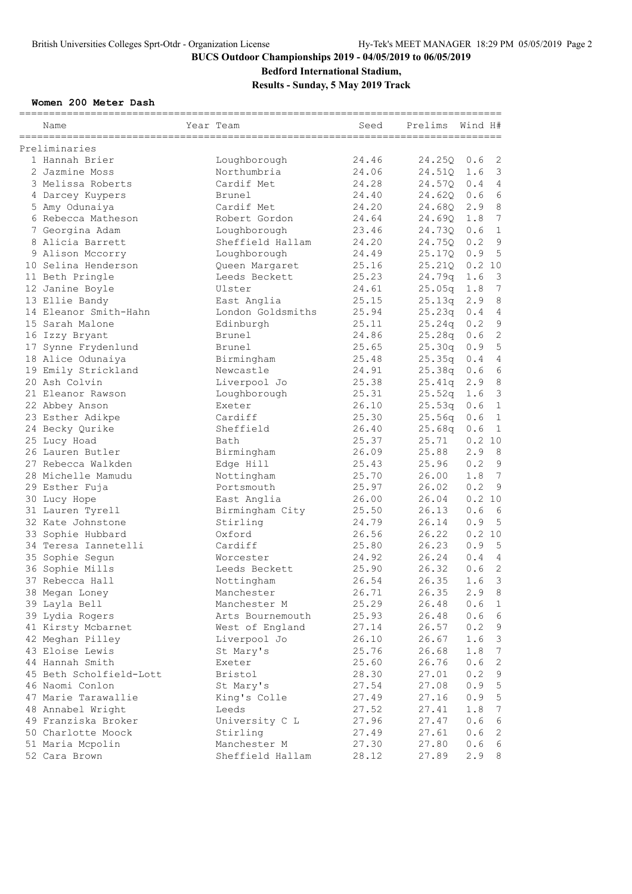### **Bedford International Stadium,**

**Results - Sunday, 5 May 2019 Track**

### **Women 200 Meter Dash**

| Name                             | Year Team                   | Seed  | Prelims | Wind H# |                 |
|----------------------------------|-----------------------------|-------|---------|---------|-----------------|
| Preliminaries                    |                             |       |         |         |                 |
| 1 Hannah Brier                   | Loughborough                | 24.46 | 24.25Q  | 0.6     | 2               |
| 2 Jazmine Moss                   | Northumbria                 | 24.06 | 24.51Q  | 1.6     | $\mathcal{S}$   |
| 3 Melissa Roberts                | Cardif Met                  | 24.28 | 24.57Q  | 0.4     | $\overline{4}$  |
| 4 Darcey Kuypers                 | Brunel                      | 24.40 | 24.620  | 0.6     | $\epsilon$      |
| 5 Amy Odunaiya                   | Cardif Met                  | 24.20 | 24.680  | 2.9     | $\,8\,$         |
| 6 Rebecca Matheson               | Robert Gordon               | 24.64 | 24.690  | 1.8     | $7\overline{ }$ |
| 7 Georgina Adam                  | Loughborough                | 23.46 | 24.730  | 0.6     | $\mathbf{1}$    |
| 8 Alicia Barrett                 | Sheffield Hallam            | 24.20 | 24.750  | 0.2     | $\overline{9}$  |
| 9 Alison Mccorry                 | Loughborough                | 24.49 | 25.17Q  | 0.9     | 5               |
| 10 Selina Henderson              | Queen Margaret              | 25.16 | 25.210  | 0.2 10  |                 |
| 11 Beth Pringle                  | Leeds Beckett               | 25.23 | 24.79q  | 1.6     | 3               |
| 12 Janine Boyle                  | Ulster                      | 24.61 | 25.05q  | 1.8     | 7               |
| 13 Ellie Bandy                   | East Anglia                 | 25.15 | 25.13q  | 2.9     | 8               |
| 14 Eleanor Smith-Hahn            | London Goldsmiths           | 25.94 | 25.23q  | 0.4     | $\overline{4}$  |
| 15 Sarah Malone                  | Edinburgh                   | 25.11 | 25.24q  | 0.2     | $\mathsf 9$     |
| 16 Izzy Bryant                   | Brunel                      | 24.86 | 25.28q  | 0.6     | $\mathbf{2}$    |
| 17 Synne Frydenlund              | Brunel                      | 25.65 | 25.30q  | 0.9     | 5               |
| 18 Alice Odunaiya                | Birmingham                  | 25.48 | 25.35q  | 0.4     | $\sqrt{4}$      |
| 19 Emily Strickland              | Newcastle                   | 24.91 | 25.38q  | 0.6     | $6\phantom{1}6$ |
| 20 Ash Colvin                    | Liverpool Jo                | 25.38 | 25.41q  | 2.9     | 8               |
| 21 Eleanor Rawson                | Loughborough                | 25.31 | 25.52q  | 1.6     | 3               |
| 22 Abbey Anson                   | Exeter                      | 26.10 | 25.53q  | 0.6     | $\mathbf 1$     |
| 23 Esther Adikpe                 | Cardiff                     | 25.30 | 25.56q  | 0.6     | $\mathbf 1$     |
| 24 Becky Qurike                  | Sheffield                   | 26.40 | 25.68q  | 0.6     | $\mathbf{1}$    |
| 25 Lucy Hoad                     | Bath                        | 25.37 | 25.71   | 0.2 10  |                 |
| 26 Lauren Butler                 | Birmingham                  | 26.09 | 25.88   | 2.9     | 8               |
| 27 Rebecca Walkden               | Edge Hill                   | 25.43 | 25.96   | 0.2     | $\mathsf 9$     |
| 28 Michelle Mamudu               | Nottingham                  | 25.70 | 26.00   | 1.8     | 7               |
| 29 Esther Fuja                   | Portsmouth                  | 25.97 | 26.02   | 0.2     | $\overline{9}$  |
|                                  | East Anglia                 | 26.00 | 26.04   | 0.2 10  |                 |
| 30 Lucy Hope<br>31 Lauren Tyrell |                             | 25.50 | 26.13   | 0.6     | - 6             |
| 32 Kate Johnstone                | Birmingham City<br>Stirling | 24.79 | 26.14   | 0.9     | 5               |
|                                  | Oxford                      | 26.56 | 26.22   | 0.2 10  |                 |
| 33 Sophie Hubbard                |                             |       |         |         |                 |
| 34 Teresa Iannetelli             | Cardiff                     | 25.80 | 26.23   | 0.9     | 5               |
| 35 Sophie Segun                  | Worcester                   | 24.92 | 26.24   | 0.4     | $\overline{4}$  |
| 36 Sophie Mills                  | Leeds Beckett               | 25.90 | 26.32   | 0.6     | $\mathbf{2}$    |
| 37 Rebecca Hall                  | Nottingham                  | 26.54 | 26.35   | 1.6     | 3               |
| 38 Megan Loney                   | Manchester                  | 26.71 | 26.35   | 2.9     | 8               |
| 39 Layla Bell                    | Manchester M                | 25.29 | 26.48   | 0.6     | $\mathbf{1}$    |
| 39 Lydia Rogers                  | Arts Bournemouth            | 25.93 | 26.48   | 0.6     | 6               |
| 41 Kirsty Mcbarnet               | West of England             | 27.14 | 26.57   | 0.2     | 9               |
| 42 Meghan Pilley                 | Liverpool Jo                | 26.10 | 26.67   | 1.6     | $\mathsf 3$     |
| 43 Eloise Lewis                  | St Mary's                   | 25.76 | 26.68   | 1.8     | $7\phantom{.0}$ |
| 44 Hannah Smith                  | Exeter                      | 25.60 | 26.76   | 0.6     | $\sqrt{2}$      |
| 45 Beth Scholfield-Lott          | <b>Bristol</b>              | 28.30 | 27.01   | 0.2     | $\mathsf 9$     |
| 46 Naomi Conlon                  | St Mary's                   | 27.54 | 27.08   | 0.9     | $\mathsf S$     |
| 47 Marie Tarawallie              | King's Colle                | 27.49 | 27.16   | 0.9     | $\mathsf S$     |
| 48 Annabel Wright                | Leeds                       | 27.52 | 27.41   | 1.8     | $7\phantom{.0}$ |
| 49 Franziska Broker              | University C L              | 27.96 | 27.47   | 0.6     | $\epsilon$      |
| 50 Charlotte Moock               | Stirling                    | 27.49 | 27.61   | 0.6     | 2               |
| 51 Maria Mcpolin                 | Manchester M                | 27.30 | 27.80   | 0.6     | 6               |
| 52 Cara Brown                    | Sheffield Hallam            | 28.12 | 27.89   | 2.9     | 8               |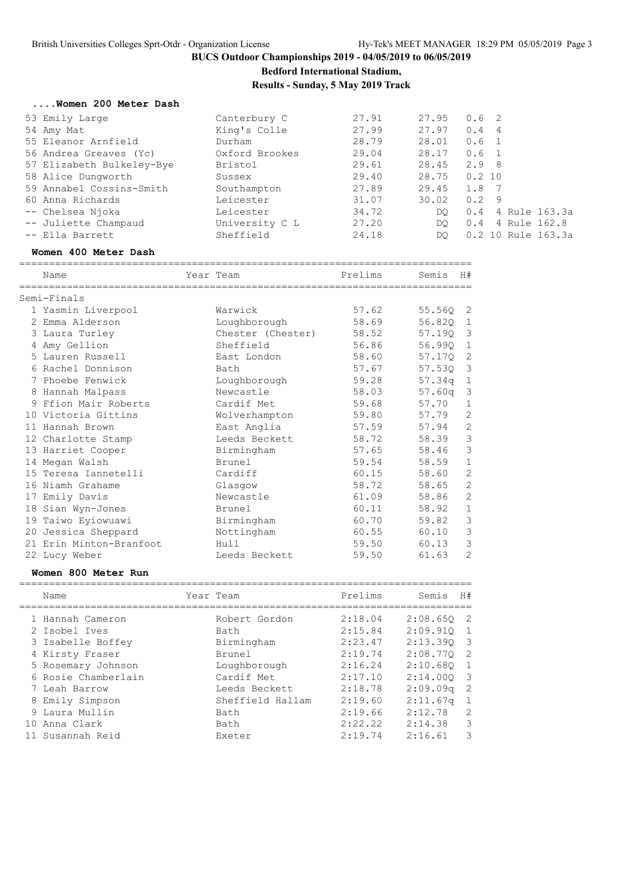**Bedford International Stadium,**

**Results - Sunday, 5 May 2019 Track**

#### **....Women 200 Meter Dash**

| 53 Emily Large            | Canterbury C   | 27.91 | 27.95 | 0.6 <sub>2</sub>      |
|---------------------------|----------------|-------|-------|-----------------------|
| 54 Amy Mat                | King's Colle   | 27.99 | 27.97 | 0.4<br>-4             |
| 55 Eleanor Arnfield       | Durham         | 28.79 | 28.01 | 0.6<br>$\overline{1}$ |
| 56 Andrea Greaves (Yc)    | Oxford Brookes | 29.04 | 28.17 | 0.6 <sub>1</sub>      |
| 57 Elizabeth Bulkeley-Bye | Bristol        | 29.61 | 28.45 | 2.98                  |
| 58 Alice Dungworth        | Sussex         | 29.40 | 28.75 | 0.2 10                |
| 59 Annabel Cossins-Smith  | Southampton    | 27.89 | 29.45 | 1.8<br>- 7            |
| 60 Anna Richards          | Leicester      | 31.07 | 30.02 | 0.2<br>- 9            |
| -- Chelsea Njoka          | Leicester      | 34.72 | DO    | 4 Rule 163.3a<br>0.4  |
| -- Juliette Champaud      | University C L | 27.20 | DO.   | 4 Rule 162.8<br>0.4   |
| -- Ella Barrett           | Sheffield      | 24.18 | DO.   | 0.2 10 Rule 163.3a    |
|                           |                |       |       |                       |

#### **Women 400 Meter Dash**

============================================================================ Year Team **Prelims** Semis H# ============================================================================

| Semi-Finals             |                   |       |            |                         |
|-------------------------|-------------------|-------|------------|-------------------------|
| 1 Yasmin Liverpool      | Warwick           | 57.62 | 55.56Q 2   |                         |
| 2 Emma Alderson         | Loughborough      | 58.69 | 56.820 1   |                         |
| 3 Laura Turley          | Chester (Chester) | 58.52 | 57.190 3   |                         |
| 4 Amy Gellion           | Sheffield         | 56.86 | 56.990     | $\mathbf 1$             |
| 5 Lauren Russell        | East London       | 58.60 | 57.170 2   |                         |
| 6 Rachel Donnison       | Bath              | 57.67 | 57.530     | $\overline{\mathbf{3}}$ |
| 7 Phoebe Fenwick        | Loughborough      | 59.28 | 57.34q 1   |                         |
| 8 Hannah Malpass        | Newcastle         | 58.03 | $57.60q$ 3 |                         |
| 9 Ffion Mair Roberts    | Cardif Met        | 59.68 | 57.70      | $\mathbf 1$             |
| 10 Victoria Gittins     | Wolverhampton     | 59.80 | 57.79      | 2                       |
| 11 Hannah Brown         | East Anglia       | 57.59 | 57.94      | $\mathbf{2}$            |
| 12 Charlotte Stamp      | Leeds Beckett     | 58.72 | 58.39      | $\mathcal{E}$           |
| 13 Harriet Cooper       | Birmingham        | 57.65 | 58.46      | 3                       |
| 14 Megan Walsh          | Brunel            | 59.54 | 58.59      | $\mathbf 1$             |
| 15 Teresa Iannetelli    | Cardiff           | 60.15 | 58.60      | 2                       |
| 16 Niamh Grahame        | Glasqow           | 58.72 | 58.65      | 2                       |
| 17 Emily Davis          | Newcastle         | 61.09 | 58.86      | 2                       |
| 18 Sian Wyn-Jones       | Brunel            | 60.11 | 58.92      | $\mathbf{1}$            |
| 19 Taiwo Eyiowuawi      | Birmingham        | 60.70 | 59.82      | 3                       |
| 20 Jessica Sheppard     | Nottingham        | 60.55 | 60.10      | 3                       |
| 21 Erin Minton-Branfoot | Hull              | 59.50 | 60.13      | 3                       |
| 22 Lucy Weber           | Leeds Beckett     | 59.50 | 61.63      | 2                       |
|                         |                   |       |            |                         |

#### **Women 800 Meter Run**

|     | Name                | Year Team        | Prelims | Semis        | H#                         |
|-----|---------------------|------------------|---------|--------------|----------------------------|
|     | 1 Hannah Cameron    | Robert Gordon    | 2:18.04 | $2:08.650$ 2 |                            |
|     | 2 Isobel Ives       | Bath             | 2:15.84 | $2:09.910$ 1 |                            |
|     | 3 Isabelle Boffey   | Birmingham       | 2:23.47 | 2:13.390 3   |                            |
|     | 4 Kirsty Fraser     | <b>Brunel</b>    | 2:19.74 | 2:08.770     | $\overline{2}$             |
|     | 5 Rosemary Johnson  | Loughborough     | 2:16.24 | 2:10.680 1   |                            |
|     | 6 Rosie Chamberlain | Cardif Met       | 2:17.10 | $2:14.000$ 3 |                            |
|     | 7 Leah Barrow       | Leeds Beckett    | 2:18.78 | 2:09.09q     | $\overline{\phantom{0}}^2$ |
|     | 8 Emily Simpson     | Sheffield Hallam | 2:19.60 | 2:11.67q     |                            |
|     | 9 Laura Mullin      | Bath             | 2:19.66 | 2:12.78      | $\overline{2}$             |
| 1 O | Anna Clark          | Bath             | 2:22.22 | 2:14.38      | 3                          |
|     | 11 Susannah Reid    | Exeter           | 2:19.74 | 2:16.61      | 3                          |

============================================================================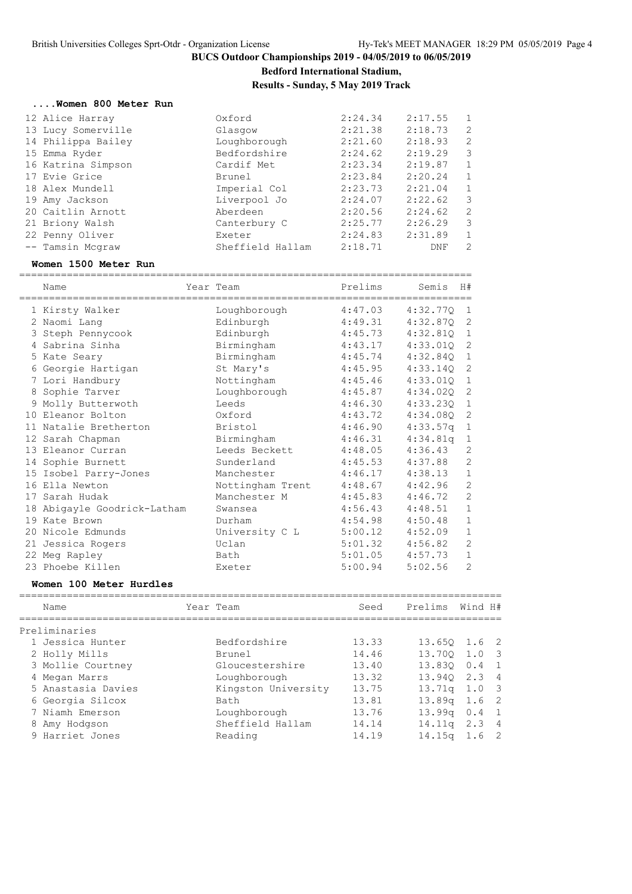**Bedford International Stadium,**

**Results - Sunday, 5 May 2019 Track**

#### **....Women 800 Meter Run**

| 12 Alice Harray    | Oxford           | 2:24.34 | 2:17.55 | 1              |
|--------------------|------------------|---------|---------|----------------|
| 13 Lucy Somerville | Glasgow          | 2:21.38 | 2:18.73 | 2              |
| 14 Philippa Bailey | Loughborough     | 2:21.60 | 2:18.93 | 2              |
| 15 Emma Ryder      | Bedfordshire     | 2:24.62 | 2:19.29 | 3              |
| 16 Katrina Simpson | Cardif Met       | 2:23.34 | 2:19.87 | 1              |
| 17 Evie Grice      | Brunel           | 2:23.84 | 2:20.24 | 1              |
| 18 Alex Mundell    | Imperial Col     | 2:23.73 | 2:21.04 | 1              |
| 19 Amy Jackson     | Liverpool Jo     | 2:24.07 | 2:22.62 | 3              |
| 20 Caitlin Arnott  | Aberdeen         | 2:20.56 | 2:24.62 | 2              |
| 21 Briony Walsh    | Canterbury C     | 2:25.77 | 2:26.29 | 3              |
| 22 Penny Oliver    | Exeter           | 2:24.83 | 2:31.89 | 1              |
| -- Tamsin Mcgraw   | Sheffield Hallam | 2:18.71 | DNF     | $\overline{2}$ |
|                    |                  |         |         |                |

#### **Women 1500 Meter Run**

============================================================================

| Name<br>==================================== | Year Team        | Prelims | Semis        | H#             |
|----------------------------------------------|------------------|---------|--------------|----------------|
| 1 Kirsty Walker                              | Loughborough     | 4:47.03 | 4:32.77Q     | 1              |
| 2 Naomi Lang                                 | Edinburgh        | 4:49.31 | 4:32.87Q     | 2              |
| 3 Steph Pennycook                            | Edinburgh        | 4:45.73 | $4:32.810$ 1 |                |
| 4 Sabrina Sinha                              | Birmingham       | 4:43.17 | 4:33.010     | 2              |
| 5 Kate Seary                                 | Birmingham       | 4:45.74 | 4:32.840 1   |                |
| 6 Georgie Hartigan                           | St Mary's        | 4:45.95 | 4:33.14Q     | 2              |
| 7 Lori Handbury                              | Nottingham       | 4:45.46 | 4:33.01Q     | 1              |
| 8 Sophie Tarver                              | Loughborough     | 4:45.87 | 4:34.02Q     | 2              |
| 9 Molly Butterwoth                           | Leeds            | 4:46.30 | 4:33.230     | 1              |
| 10 Eleanor Bolton                            | Oxford           | 4:43.72 | 4:34.08Q     | 2              |
| 11 Natalie Bretherton                        | Bristol          | 4:46.90 | $4:33.57q$ 1 |                |
| 12 Sarah Chapman                             | Birmingham       | 4:46.31 | 4:34.81q     | 1              |
| 13 Eleanor Curran                            | Leeds Beckett    | 4:48.05 | 4:36.43      | 2              |
| 14 Sophie Burnett                            | Sunderland       | 4:45.53 | 4:37.88      | $\overline{c}$ |
| 15 Isobel Parry-Jones                        | Manchester       | 4:46.17 | 4:38.13      | $\mathbf{1}$   |
| 16 Ella Newton                               | Nottingham Trent | 4:48.67 | 4:42.96      | $\overline{2}$ |
| 17 Sarah Hudak                               | Manchester M     | 4:45.83 | 4:46.72      | $\overline{2}$ |
| 18 Abigayle Goodrick-Latham                  | Swansea          | 4:56.43 | 4:48.51      | $\mathbf{1}$   |
| 19 Kate Brown                                | Durham           | 4:54.98 | 4:50.48      | $\mathbf{1}$   |
| 20 Nicole Edmunds                            | University C L   | 5:00.12 | 4:52.09      | $\mathbf{1}$   |
| 21 Jessica Rogers                            | Uclan            | 5:01.32 | 4:56.82      | $\overline{2}$ |
| 22 Meg Rapley                                | Bath             | 5:01.05 | 4:57.73      | $\mathbf{1}$   |
| 23 Phoebe Killen                             | Exeter           | 5:00.94 | 5:02.56      | $\overline{2}$ |

#### **Women 100 Meter Hurdles**

| Name               | Year Team           | Seed  | Prelims            | Wind H# |                            |
|--------------------|---------------------|-------|--------------------|---------|----------------------------|
| Preliminaries      |                     |       |                    |         |                            |
| 1 Jessica Hunter   | Bedfordshire        | 13.33 | 13.650 1.6 2       |         |                            |
| 2 Holly Mills      | Brunel              | 14.46 | 13.700 1.0         |         | $\overline{\phantom{a}}$ 3 |
| 3 Mollie Courtney  | Gloucestershire     | 13.40 | 13.830             | 0.4     | $\overline{1}$             |
| 4 Megan Marrs      | Loughborough        | 13.32 | 13.940 2.3 4       |         |                            |
| 5 Anastasia Davies | Kingston University | 13.75 | $13.71q$ $1.0$ 3   |         |                            |
| 6 Georgia Silcox   | Bath                | 13.81 | 13.89 <sub>q</sub> | 1.6 2   |                            |
| 7 Niamh Emerson    | Loughborough        | 13.76 | 13.99q             | 0.4     | $\overline{1}$             |
| 8 Amy Hodgson      | Sheffield Hallam    | 14.14 | 14.11q             | 2.3 4   |                            |
| 9 Harriet Jones    | Reading             | 14.19 | 14.15 <sub>q</sub> | 1.6 2   |                            |
|                    |                     |       |                    |         |                            |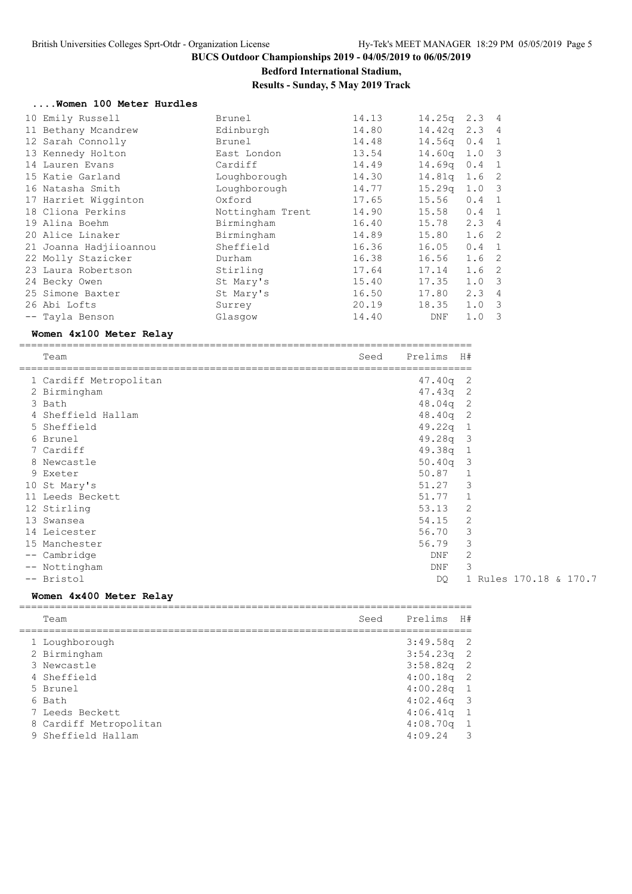### **Bedford International Stadium, Results - Sunday, 5 May 2019 Track**

#### **....Women 100 Meter Hurdles**

| 10 Emily Russell       | Brunel           | 14.13 | 14.25q             | $2.3$ 4          |     |
|------------------------|------------------|-------|--------------------|------------------|-----|
| 11 Bethany Mcandrew    | Edinburgh        | 14.80 | 14.42q             | 2.3 <sub>4</sub> |     |
| 12 Sarah Connolly      | Brunel           | 14.48 | 14.56q             | 0.4              | -1  |
| 13 Kennedy Holton      | East London      | 13.54 | 14.60 <sub>q</sub> | $1.0-3$          |     |
| 14 Lauren Evans        | Cardiff          | 14.49 | 14.69 <sub>q</sub> | 0.4              | -1  |
| 15 Katie Garland       | Loughborough     | 14.30 | 14.81q             | $1.6-2$          |     |
| 16 Natasha Smith       | Loughborough     | 14.77 | 15.29q             | $1.0-3$          |     |
| 17 Harriet Wigginton   | Oxford           | 17.65 | 15.56              | $0.4 \quad 1$    |     |
| 18 Cliona Perkins      | Nottingham Trent | 14.90 | 15.58              | $0.4 \quad 1$    |     |
| 19 Alina Boehm         | Birmingham       | 16.40 | 15.78              | $2.3$ 4          |     |
| 20 Alice Linaker       | Birmingham       | 14.89 | 15.80              | 1.6 <sub>2</sub> |     |
| 21 Joanna Hadjiioannou | Sheffield        | 16.36 | 16.05              | $0.4 \quad 1$    |     |
| 22 Molly Stazicker     | Durham           | 16.38 | 16.56              | 1.6 <sub>2</sub> |     |
| 23 Laura Robertson     | Stirling         | 17.64 | 17.14              | 1.6 <sub>2</sub> |     |
| 24 Becky Owen          | St Mary's        | 15.40 | 17.35              | 1.0 3            |     |
| 25 Simone Baxter       | St Mary's        | 16.50 | 17.80              | 2.34             |     |
| 26 Abi Lofts           | Surrey           | 20.19 | 18.35              | 1.0 3            |     |
| -- Tayla Benson        | Glasgow          | 14.40 | DNF                | 1.0              | - 3 |

### **Women 4x100 Meter Relay**

| Team                   | Seed | Prelims    | H#                     |
|------------------------|------|------------|------------------------|
| 1 Cardiff Metropolitan |      | 47.40q 2   |                        |
| 2 Birmingham           |      | $47.43q$ 2 |                        |
| 3 Bath                 |      | $48.04q$ 2 |                        |
| 4 Sheffield Hallam     |      | $48.40q$ 2 |                        |
| 5 Sheffield            |      | 49.22q 1   |                        |
| 6 Brunel               |      | 49.28q 3   |                        |
| 7 Cardiff              |      | $49.38q$ 1 |                        |
| 8 Newcastle            |      | $50.40q$ 3 |                        |
| 9 Exeter               |      | 50.87      | $\overline{1}$         |
| 10 St Mary's           |      | 51.27      | 3                      |
| 11 Leeds Beckett       |      | 51.77      | 1                      |
| 12 Stirling            |      | 53.13      | 2                      |
| 13 Swansea             |      | 54.15      | 2                      |
| 14 Leicester           |      | 56.70      | 3                      |
| 15 Manchester          |      | 56.79      | 3                      |
| -- Cambridge           |      | DNF        | 2                      |
| -- Nottingham          |      | <b>DNF</b> | 3                      |
| -- Bristol             |      | DO.        | 1 Rules 170.18 & 170.7 |

### **Women 4x400 Meter Relay**

|  | Team                   | Seed | Prelims H#   |                |
|--|------------------------|------|--------------|----------------|
|  | 1 Loughborough         |      | $3:49.58q$ 2 |                |
|  | 2 Birmingham           |      | $3:54.23q$ 2 |                |
|  | 3 Newcastle            |      | $3:58.82q$ 2 |                |
|  | 4 Sheffield            |      | $4:00.18q$ 2 |                |
|  | 5 Brunel               |      | $4:00.28q$ 1 |                |
|  | 6 Bath                 |      | $4:02.46q$ 3 |                |
|  | 7 Leeds Beckett        |      | $4:06.41q$ 1 |                |
|  | 8 Cardiff Metropolitan |      | 4:08.70q     | $\overline{1}$ |
|  | 9 Sheffield Hallam     |      | $4:09.24$ 3  |                |
|  |                        |      |              |                |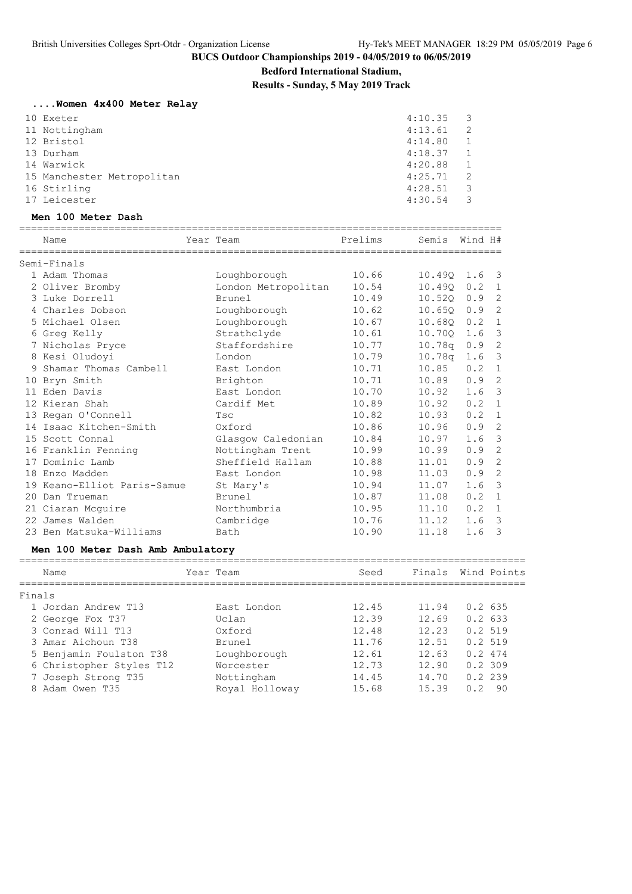**Bedford International Stadium,**

**Results - Sunday, 5 May 2019 Track**

|  |  |  | Women 4x400 Meter Relay |  |  |  |
|--|--|--|-------------------------|--|--|--|
|--|--|--|-------------------------|--|--|--|

| 10 Exeter                  | 4:10.35 | $\overline{\phantom{a}}$ |
|----------------------------|---------|--------------------------|
| 11 Nottingham              | 4:13.61 | $\overline{2}$           |
| 12 Bristol                 | 4:14.80 |                          |
| 13 Durham                  | 4:18.37 | $\overline{1}$           |
| 14 Warwick                 | 4:20.88 | $\mathbf{1}$             |
| 15 Manchester Metropolitan | 4:25.71 | $\overline{2}$           |
| 16 Stirling                | 4:28.51 | $\overline{\phantom{a}}$ |
| 17 Leicester               | 4:30.54 | ्र                       |

### **Men 100 Meter Dash**

|        | Name                              | ==============<br>Year Team | Prelims | Semis              | Wind H# |                         |
|--------|-----------------------------------|-----------------------------|---------|--------------------|---------|-------------------------|
|        | Semi-Finals                       |                             |         |                    |         |                         |
|        | 1 Adam Thomas                     | Loughborough                | 10.66   | 10.49Q             | 1.6     | 3                       |
|        | 2 Oliver Bromby                   | London Metropolitan         | 10.54   | 10.490             | 0.2     | $\mathbf{1}$            |
|        | 3 Luke Dorrell                    | Brunel                      | 10.49   | 10.52Q             | 0.9     | $\overline{c}$          |
|        | 4 Charles Dobson                  | Loughborough                | 10.62   | 10.650             | 0.9     | $\overline{2}$          |
|        | 5 Michael Olsen                   | Loughborough                | 10.67   | 10.680             | 0.2     | $\mathbf{1}$            |
|        | 6 Greg Kelly                      | Strathclyde                 | 10.61   | 10.70Q             | 1.6     | 3                       |
|        | 7 Nicholas Pryce                  | Staffordshire               | 10.77   | 10.78q             | 0.9     | 2                       |
|        | 8 Kesi Oludoyi                    | London                      | 10.79   | 10.78q             | 1.6     | 3                       |
|        | 9 Shamar Thomas Cambell           | East London                 | 10.71   | 10.85              | 0.2     | $\mathbf{1}$            |
|        | 10 Bryn Smith                     | Brighton                    | 10.71   | 10.89              | 0.9     | 2                       |
|        | 11 Eden Davis                     | East London                 | 10.70   | 10.92              | 1.6     | 3                       |
|        | 12 Kieran Shah                    | Cardif Met                  | 10.89   | 10.92              | 0.2     | $\mathbf{1}$            |
|        | 13 Regan O'Connell                | Tsc                         | 10.82   | 10.93              | 0.2     | $\mathbf{1}$            |
|        | 14 Isaac Kitchen-Smith            | Oxford                      | 10.86   | 10.96              | 0.9     | $\overline{2}$          |
|        | 15 Scott Connal                   | Glasgow Caledonian          | 10.84   | 10.97              | 1.6     | $\mathcal{S}$           |
|        | 16 Franklin Fenning               | Nottingham Trent            | 10.99   | 10.99              | 0.9     | $\overline{2}$          |
|        | 17 Dominic Lamb                   | Sheffield Hallam            | 10.88   | 11.01              | 0.9     | $\overline{2}$          |
|        | 18 Enzo Madden                    | East London                 | 10.98   | 11.03              | 0.9     | $\overline{2}$          |
|        | 19 Keano-Elliot Paris-Samue       | St Mary's                   | 10.94   | 11.07              | 1.6     | $\overline{\mathbf{3}}$ |
|        | 20 Dan Trueman                    | Brunel                      | 10.87   | 11.08              | 0.2     | $\overline{1}$          |
|        | 21 Ciaran Mcquire                 | Northumbria                 | 10.95   | 11.10              | 0.2     | $\overline{1}$          |
|        | 22 James Walden                   | Cambridge                   | 10.76   | 11.12              | 1.6     | $\overline{\mathbf{3}}$ |
|        | 23 Ben Matsuka-Williams           | Bath                        | 10.90   | 11.18              | 1.6     | 3                       |
|        | Men 100 Meter Dash Amb Ambulatory |                             |         |                    |         |                         |
|        | Name                              | Year Team                   | Seed    | Finals Wind Points |         |                         |
| Finals |                                   |                             |         |                    |         |                         |
|        | 1 Jordan Andrew T13               | East London                 | 12.45   | 11.94              | 0.2635  |                         |
|        | 2 George Fox T37                  | Uclan                       | 12.39   | 12.69              | 0.2633  |                         |
|        | 3 Conrad Will T13                 | Oxford                      | 12.48   | 12.23              | 0.2519  |                         |
|        | 3 Amar Aichoun T38                | Brunel                      | 11.76   | 12.51              | 0.2519  |                         |
|        | 5 Benjamin Foulston T38           | Loughborough                | 12.61   | 12.63              | 0.2474  |                         |
|        | 6 Christopher Styles T12          | Worcester                   | 12.73   | 12.90              | 0.2309  |                         |
|        | 7 Joseph Strong T35               | Nottingham                  | 14.45   | 14.70              | 0.2239  |                         |

8 Adam Owen T35 Royal Holloway 15.68 15.39 0.2 90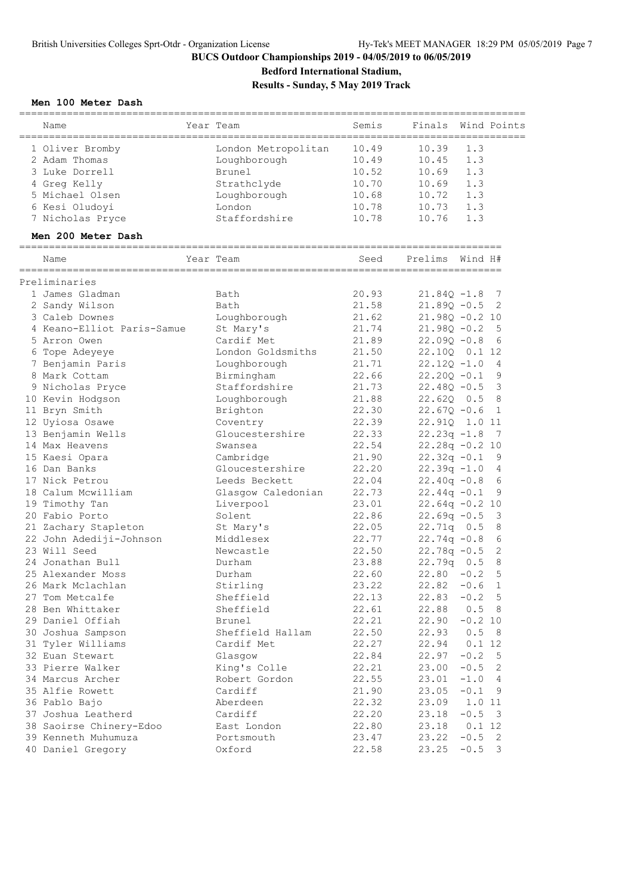**Bedford International Stadium,**

**Results - Sunday, 5 May 2019 Track**

### **Men 100 Meter Dash**

|                                     | =========                |                |                  |           |                         |
|-------------------------------------|--------------------------|----------------|------------------|-----------|-------------------------|
| Name                                | Year Team                | Semis          | Finals           |           | Wind Points             |
| 1 Oliver Bromby                     | London Metropolitan      | 10.49          | 10.39            | 1.3       |                         |
| 2 Adam Thomas                       | Loughborough             | 10.49          | 10.45            | 1.3       |                         |
| 3 Luke Dorrell                      | Brunel                   | 10.52          | 10.69            | 1.3       |                         |
| 4 Greg Kelly                        | Strathclyde              | 10.70          | 10.69            | 1.3       |                         |
| 5 Michael Olsen                     | Loughborough             | 10.68          | 10.72            | 1.3       |                         |
| 6 Kesi Oludoyi                      | London                   | 10.78          | 10.73            | 1.3       |                         |
| 7 Nicholas Pryce                    | Staffordshire            | 10.78          | 10.76            | 1.3       |                         |
| Men 200 Meter Dash                  |                          |                |                  |           |                         |
|                                     |                          |                |                  |           |                         |
| Name                                | Year Team                | Seed           | Prelims          | Wind H#   |                         |
| Preliminaries                       |                          |                |                  |           |                         |
| 1 James Gladman                     | Bath                     | 20.93          | $21.840 - 1.8$   |           | 7                       |
| 2 Sandy Wilson                      | Bath                     | 21.58          | $21.890 - 0.5$   |           | 2                       |
| 3 Caleb Downes                      | Loughborough             | 21.62          | $21.980 - 0.210$ |           |                         |
| 4 Keano-Elliot Paris-Samue          | St Mary's                | 21.74          | $21.98Q - 0.2$   |           | 5                       |
| 5 Arron Owen                        | Cardif Met               | 21.89          | $22.09Q - 0.8$   |           | 6                       |
| 6 Tope Adeyeye                      | London Goldsmiths        | 21.50          | 22.100 0.1 12    |           |                         |
| 7 Benjamin Paris                    | Loughborough             | 21.71          | $22.120 - 1.0$   |           | $\overline{4}$          |
| 8 Mark Cottam                       | Birmingham               | 22.66          | $22.200 - 0.1$   |           | 9                       |
| 9 Nicholas Pryce                    | Staffordshire            | 21.73          | $22.480 - 0.5$   |           | $\overline{\mathbf{3}}$ |
| 10 Kevin Hodgson                    | Loughborough             | 21.88          | 22.620 0.5       |           | 8                       |
| 11 Bryn Smith                       | Brighton                 | 22.30          | $22.67Q - 0.6$   |           | 1                       |
| 12 Uyiosa Osawe                     | Coventry                 | 22.39          | 22.910 1.0 11    |           |                         |
| 13 Benjamin Wells                   | Gloucestershire          | 22.33          | $22.23q -1.8$    |           | - 7                     |
| 14 Max Heavens                      | Swansea                  | 22.54          | $22.28q - 0.210$ |           |                         |
| 15 Kaesi Opara                      | Cambridge                | 21.90          | $22.32q - 0.1$   |           | 9                       |
| 16 Dan Banks                        | Gloucestershire          | 22.20          | $22.39q -1.0$    |           | 4                       |
| 17 Nick Petrou                      | Leeds Beckett            | 22.04          | $22.40q -0.8$    |           | 6                       |
| 18 Calum Mcwilliam                  | Glasgow Caledonian       | 22.73          | $22.44q - 0.1$   |           | 9                       |
| 19 Timothy Tan                      | Liverpool                | 23.01          | $22.64q -0.210$  |           |                         |
| 20 Fabio Porto                      | Solent                   | 22.86          | $22.69q - 0.5$   |           | $\overline{\mathbf{3}}$ |
| 21 Zachary Stapleton                | St Mary's                | 22.05          | 22.71q 0.5       |           | 8                       |
| 22 John Adediji-Johnson             | Middlesex                | 22.77          | $22.74q - 0.8$   |           | 6                       |
| 23 Will Seed                        | Newcastle                | 22.50          | $22.78q - 0.5$   |           | 2                       |
| 24 Jonathan Bull                    | Durham                   | 23.88          | $22.79q$ 0.5     |           | 8                       |
| 25 Alexander Moss                   | Durham                   | 22.60          | $22.80 - 0.2$    |           | 5                       |
| 26 Mark Mclachlan                   | Stirling                 | 23.22          | $22.82 - 0.6$ 1  |           |                         |
| 27 Tom Metcalfe                     | Sheffield                | 22.13          | 22.83            | $-0.2$ 5  |                         |
| 28 Ben Whittaker                    | Sheffield                | 22.61          | 22.88            | 0.5 8     |                         |
| 29 Daniel Offiah                    | Brunel                   | 22.21          | 22.90            | $-0.2 10$ |                         |
| 30 Joshua Sampson                   | Sheffield Hallam         | 22.50          | 22.93            | 0.5       | - 8                     |
| 31 Tyler Williams                   | Cardif Met               | 22.27          | 22.94            | 0.1 12    |                         |
| 32 Euan Stewart                     |                          |                |                  | $-0.2$    | $-5$                    |
| 33 Pierre Walker                    | Glasgow<br>King's Colle  | 22.84<br>22.21 | 22.97<br>23.00   | $-0.5$    | $\overline{2}$          |
|                                     |                          |                |                  |           |                         |
| 34 Marcus Archer<br>35 Alfie Rowett | Robert Gordon<br>Cardiff | 22.55          | 23.01            | $-1.0$    | $\overline{4}$          |
|                                     |                          | 21.90          | 23.05            | $-0.1$    | 9                       |
| 36 Pablo Bajo                       | Aberdeen                 | 22.32          | 23.09            | 1.0 11    |                         |
| 37 Joshua Leatherd                  | Cardiff                  | 22.20          | 23.18            | $-0.5$    | $\overline{\mathbf{3}}$ |
| 38 Saoirse Chinery-Edoo             | East London              | 22.80          | 23.18            | $0.1$ 12  |                         |
| 39 Kenneth Muhumuza                 | Portsmouth               | 23.47          | 23.22            | $-0.5$    | $\overline{2}$          |
| 40 Daniel Gregory                   | Oxford                   | 22.58          | 23.25            | $-0.5$    | 3                       |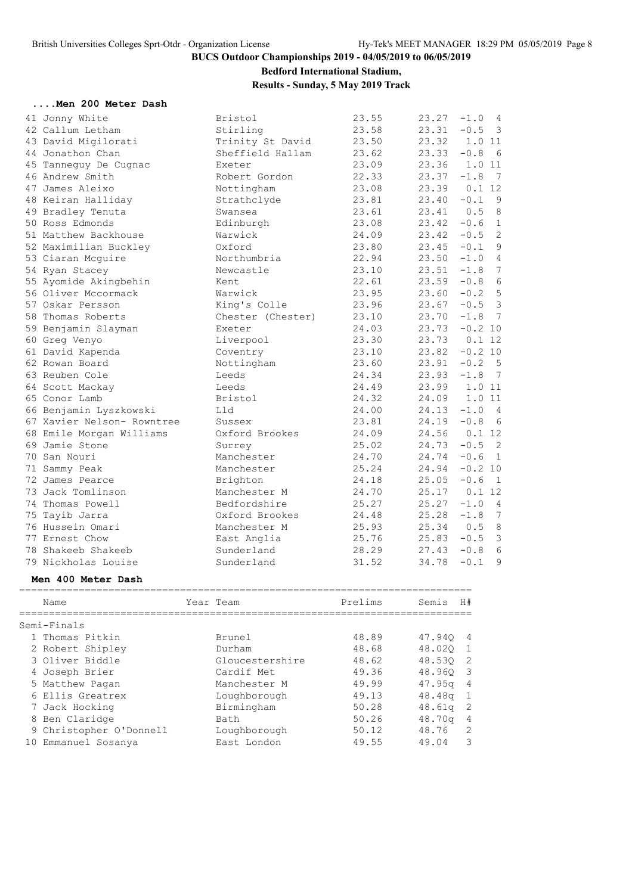# **Bedford International Stadium,**

**Results - Sunday, 5 May 2019 Track**

|        |  |   | Men 200 Meter Dash |  |
|--------|--|---|--------------------|--|
| $\sim$ |  | . |                    |  |

| 41 Jonny White             | Bristol           | 23.55 | 23.27 | $-1.0$<br>$\overline{4}$          |
|----------------------------|-------------------|-------|-------|-----------------------------------|
| 42 Callum Letham           | Stirling          | 23.58 | 23.31 | $-0.5$ 3                          |
| 43 David Migilorati        | Trinity St David  | 23.50 | 23.32 | 1.0 11                            |
| 44 Jonathon Chan           | Sheffield Hallam  | 23.62 | 23.33 | $-0.8$<br>6                       |
| 45 Tanneguy De Cugnac      | Exeter            | 23.09 | 23.36 | 1.0 11                            |
| 46 Andrew Smith            | Robert Gordon     | 22.33 | 23.37 | 7<br>$-1.8$                       |
| 47 James Aleixo            | Nottingham        | 23.08 | 23.39 | 0.112                             |
| 48 Keiran Halliday         | Strathclyde       | 23.81 | 23.40 | - 9<br>$-0.1$                     |
| 49 Bradley Tenuta          | Swansea           | 23.61 | 23.41 | 8<br>0.5                          |
| 50 Ross Edmonds            | Edinburgh         | 23.08 | 23.42 | $\mathbf{1}$<br>$-0.6$            |
| 51 Matthew Backhouse       | Warwick           | 24.09 | 23.42 | $\overline{c}$<br>$-0.5$          |
| 52 Maximilian Buckley      | Oxford            | 23.80 | 23.45 | 9<br>$-0.1$                       |
| 53 Ciaran Mcquire          | Northumbria       | 22.94 | 23.50 | $-1.0$<br>$\overline{4}$          |
| 54 Ryan Stacey             | Newcastle         | 23.10 | 23.51 | $-1.8$<br>7                       |
| 55 Ayomide Akingbehin      | Kent              | 22.61 | 23.59 | $\epsilon$<br>$-0.8$              |
| 56 Oliver Mccormack        | Warwick           | 23.95 | 23.60 | $-0.2$ 5                          |
| 57 Oskar Persson           | King's Colle      | 23.96 | 23.67 | $-0.5$ 3                          |
| 58 Thomas Roberts          | Chester (Chester) | 23.10 | 23.70 | $-1.8$ 7                          |
| 59 Benjamin Slayman        | Exeter            | 24.03 | 23.73 | $-0.2$ 10                         |
| 60 Greg Venyo              | Liverpool         | 23.30 | 23.73 | 0.112                             |
| 61 David Kapenda           | Coventry          | 23.10 | 23.82 | $-0.2$ 10                         |
| 62 Rowan Board             | Nottingham        | 23.60 | 23.91 | $5^{\circ}$<br>$-0.2$             |
| 63 Reuben Cole             | Leeds             | 24.34 | 23.93 | $\overline{7}$<br>$-1.8$          |
| 64 Scott Mackay            | Leeds             | 24.49 | 23.99 | 1.0 11                            |
| 65 Conor Lamb              | Bristol           | 24.32 | 24.09 | 1.0 11                            |
| 66 Benjamin Lyszkowski     | Lld               | 24.00 | 24.13 | $-1.0$<br>$\overline{4}$          |
| 67 Xavier Nelson- Rowntree | Sussex            | 23.81 | 24.19 | 6<br>$-0.8$                       |
| 68 Emile Morgan Williams   | Oxford Brookes    | 24.09 | 24.56 | 0.112                             |
| 69 Jamie Stone             | Surrey            | 25.02 | 24.73 | $-0.5$<br>$\overline{2}$          |
| 70 San Nouri               | Manchester        | 24.70 | 24.74 | $-0.6$<br>$\overline{1}$          |
| 71 Sammy Peak              | Manchester        | 25.24 | 24.94 | $-0.2$ 10                         |
| 72 James Pearce            | Brighton          | 24.18 | 25.05 | $-0.6$<br>$\overline{1}$          |
| 73 Jack Tomlinson          | Manchester M      | 24.70 | 25.17 | 0.1 12                            |
| 74 Thomas Powell           | Bedfordshire      | 25.27 | 25.27 | $\overline{4}$<br>$-1.0$          |
| 75 Tayib Jarra             | Oxford Brookes    | 24.48 | 25.28 | 7<br>$-1.8$                       |
| 76 Hussein Omari           | Manchester M      | 25.93 | 25.34 | 8<br>0.5                          |
| 77 Ernest Chow             | East Anglia       | 25.76 | 25.83 | $\overline{\mathbf{3}}$<br>$-0.5$ |
| 78 Shakeeb Shakeeb         | Sunderland        | 28.29 | 27.43 | 6<br>$-0.8$                       |
| 79 Nickholas Louise        | Sunderland        | 31.52 | 34.78 | 9<br>$-0.1$                       |
|                            |                   |       |       |                                   |

#### **Men 400 Meter Dash**

|   | Name                    | Year Team       | Prelims | Semis              | H#                      |
|---|-------------------------|-----------------|---------|--------------------|-------------------------|
|   | Semi-Finals             |                 |         |                    |                         |
|   | 1 Thomas Pitkin         | Brunel          | 48.89   | 47.940             | $\overline{4}$          |
|   | 2 Robert Shipley        | Durham          | 48.68   | 48.020             | 1                       |
|   | 3 Oliver Biddle         | Gloucestershire | 48.62   | 48.530 2           |                         |
|   | 4 Joseph Brier          | Cardif Met      | 49.36   | 48.960             | $\overline{\mathbf{3}}$ |
|   | 5 Matthew Pagan         | Manchester M    | 49.99   | 47.95 <sub>q</sub> | - 4                     |
|   | 6 Ellis Greatrex        | Loughborough    | 49.13   | 48.48 <sub>q</sub> | - 1                     |
|   | 7 Jack Hocking          | Birmingham      | 50.28   | 48.61q             | -2                      |
| 8 | Ben Claridge            | Bath            | 50.26   | 48.70 <sub>q</sub> | -4                      |
|   | 9 Christopher O'Donnell | Loughborough    | 50.12   | 48.76              | 2                       |
|   | 10 Emmanuel Sosanya     | East London     | 49.55   | 49.04              | 3                       |
|   |                         |                 |         |                    |                         |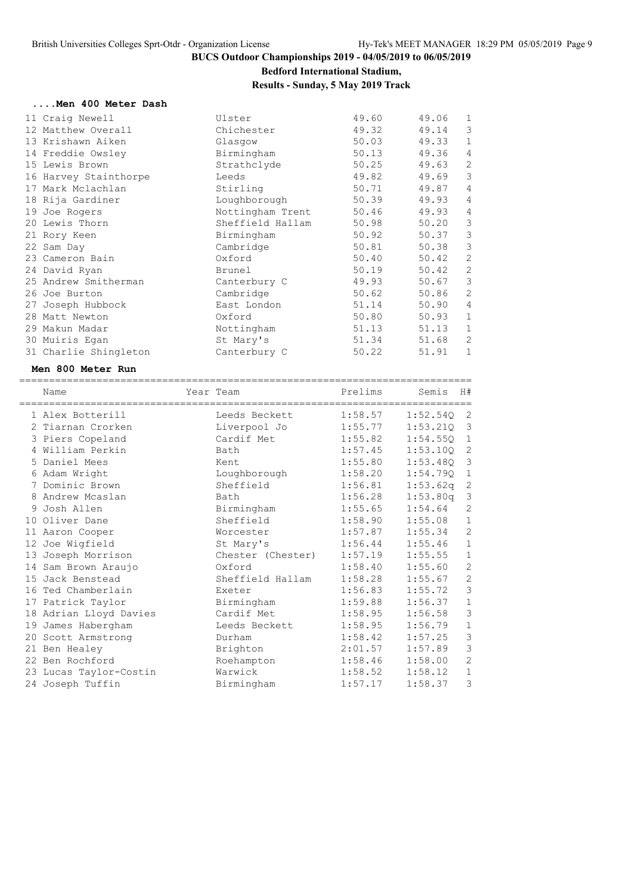# **Bedford International Stadium,**

### **Results - Sunday, 5 May 2019 Track**

#### **....Men 400 Meter Dash**

| 11 Craig Newell       | Ulster           | 49.60 | 49.06 | 1              |
|-----------------------|------------------|-------|-------|----------------|
| 12 Matthew Overall    | Chichester       | 49.32 | 49.14 | 3              |
| 13 Krishawn Aiken     | Glasgow          | 50.03 | 49.33 | $\mathbf 1$    |
| 14 Freddie Owsley     | Birmingham       | 50.13 | 49.36 | $\overline{4}$ |
| 15 Lewis Brown        | Strathclyde      | 50.25 | 49.63 | $\overline{2}$ |
| 16 Harvey Stainthorpe | Leeds            | 49.82 | 49.69 | 3              |
| 17 Mark Mclachlan     | Stirling         | 50.71 | 49.87 | $\overline{4}$ |
| 18 Rija Gardiner      | Loughborough     | 50.39 | 49.93 | $\overline{4}$ |
| 19 Joe Rogers         | Nottingham Trent | 50.46 | 49.93 | $\overline{4}$ |
| 20 Lewis Thorn        | Sheffield Hallam | 50.98 | 50.20 | 3              |
| 21 Rory Keen          | Birmingham       | 50.92 | 50.37 | 3              |
| 22 Sam Day            | Cambridge        | 50.81 | 50.38 | 3              |
| 23 Cameron Bain       | Oxford           | 50.40 | 50.42 | $\mathbf{2}$   |
| 24 David Ryan         | Brunel           | 50.19 | 50.42 | $\overline{2}$ |
| 25 Andrew Smitherman  | Canterbury C     | 49.93 | 50.67 | 3              |
| 26 Joe Burton         | Cambridge        | 50.62 | 50.86 | $\overline{2}$ |
| 27 Joseph Hubbock     | East London      | 51.14 | 50.90 | $\overline{4}$ |
| 28 Matt Newton        | Oxford           | 50.80 | 50.93 | $\mathbf 1$    |
| 29 Makun Madar        | Nottingham       | 51.13 | 51.13 | $\mathbf 1$    |
| 30 Muiris Egan        | St Mary's        | 51.34 | 51.68 | $\overline{2}$ |
| 31 Charlie Shingleton | Canterbury C     | 50.22 | 51.91 | 1              |
|                       |                  |       |       |                |

#### **Men 800 Meter Run**

| Name                   | Year Team         | Prelims | Semis    | H#             |
|------------------------|-------------------|---------|----------|----------------|
| 1 Alex Botterill       | Leeds Beckett     | 1:58.57 | 1:52.540 | 2              |
| 2 Tiarnan Crorken      | Liverpool Jo      | 1:55.77 | 1:53.21Q | 3              |
| 3 Piers Copeland       | Cardif Met        | 1:55.82 | 1:54.550 | $\mathbf{1}$   |
| 4 William Perkin       | Bath              | 1:57.45 | 1:53.100 | 2              |
| 5 Daniel Mees          | Kent              | 1:55.80 | 1:53.480 | 3              |
| 6 Adam Wright          | Loughborough      | 1:58.20 | 1:54.790 | $\mathbf{1}$   |
| 7 Dominic Brown        | Sheffield         | 1:56.81 | 1:53.62q | 2              |
| 8 Andrew Mcaslan       | Bath              | 1:56.28 | 1:53.80q | 3              |
| 9 Josh Allen           | Birmingham        | 1:55.65 | 1:54.64  | 2              |
| 10 Oliver Dane         | Sheffield         | 1:58.90 | 1:55.08  | $\mathbf{1}$   |
| 11 Aaron Cooper        | Worcester         | 1:57.87 | 1:55.34  | $\overline{c}$ |
| 12 Joe Wigfield        | St Mary's         | 1:56.44 | 1:55.46  | $1\,$          |
| 13 Joseph Morrison     | Chester (Chester) | 1:57.19 | 1:55.55  | $\mathbf{1}$   |
| 14 Sam Brown Araujo    | Oxford            | 1:58.40 | 1:55.60  | $\mathbf{2}$   |
| 15 Jack Benstead       | Sheffield Hallam  | 1:58.28 | 1:55.67  | $\mathbf{2}$   |
| 16 Ted Chamberlain     | Exeter            | 1:56.83 | 1:55.72  | $\mathcal{S}$  |
| 17 Patrick Taylor      | Birmingham        | 1:59.88 | 1:56.37  | $1\,$          |
| 18 Adrian Lloyd Davies | Cardif Met        | 1:58.95 | 1:56.58  | $\mathsf 3$    |
| 19 James Habergham     | Leeds Beckett     | 1:58.95 | 1:56.79  | $\mathbf{1}$   |
| 20 Scott Armstrong     | Durham            | 1:58.42 | 1:57.25  | $\mathsf 3$    |
| 21 Ben Healey          | Brighton          | 2:01.57 | 1:57.89  | $\mathsf 3$    |
| 22 Ben Rochford        | Roehampton        | 1:58.46 | 1:58.00  | $\mathbf{2}$   |
| 23 Lucas Taylor-Costin | Warwick           | 1:58.52 | 1:58.12  | $\mathbf{1}$   |
| 24 Joseph Tuffin       | Birmingham        | 1:57.17 | 1:58.37  | $\mathsf 3$    |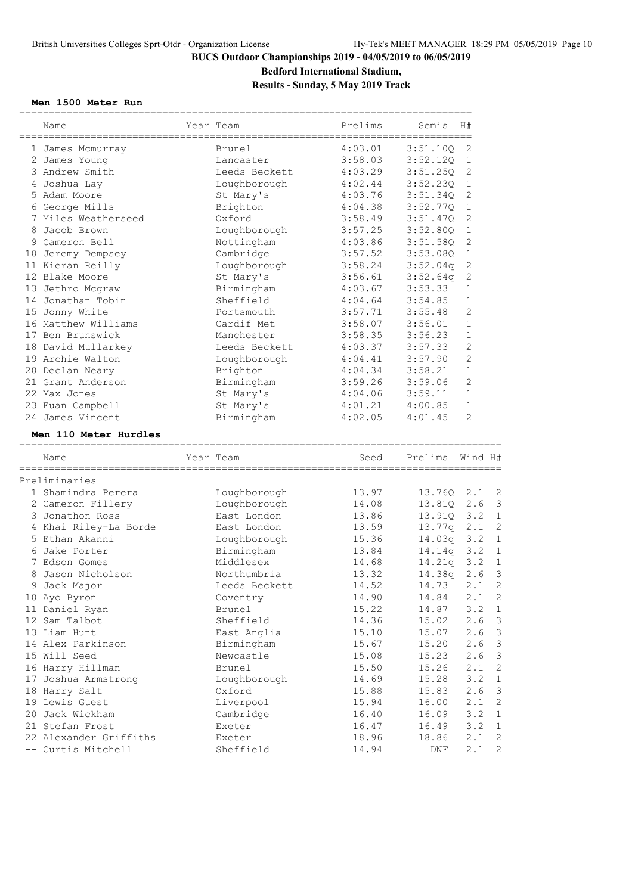**Bedford International Stadium,**

### **Results - Sunday, 5 May 2019 Track**

### **Men 1500 Meter Run**

| Name                                      | Year Team        | Prelims        | Semis          | H#             |                                                         |
|-------------------------------------------|------------------|----------------|----------------|----------------|---------------------------------------------------------|
| 1 James Mcmurray                          | Brunel           | 4:03.01        | 3:51.10Q       | 2              |                                                         |
| 2 James Young                             | Lancaster        | 3:58.03        | 3:52.12Q       | 1              |                                                         |
| 3 Andrew Smith                            | Leeds Beckett    | 4:03.29        | 3:51.25Q       | 2              |                                                         |
| 4 Joshua Lay                              | Loughborough     | 4:02.44        | 3:52.230       | 1              |                                                         |
| 5 Adam Moore                              | St Mary's        | 4:03.76        | 3:51.34Q       | 2              |                                                         |
| 6 George Mills                            | Brighton         | 4:04.38        | 3:52.77Q       | 1              |                                                         |
| 7 Miles Weatherseed                       | Oxford           | 3:58.49        | 3:51.47Q       | 2              |                                                         |
| 8 Jacob Brown                             | Loughborough     | 3:57.25        | 3:52.80Q       | 1              |                                                         |
| 9 Cameron Bell                            | Nottingham       | 4:03.86        | 3:51.58Q       | 2              |                                                         |
| 10 Jeremy Dempsey                         | Cambridge        | 3:57.52        | 3:53.080       | 1              |                                                         |
| 11 Kieran Reilly                          | Loughborough     | 3:58.24        | 3:52.04q       | 2              |                                                         |
| 12 Blake Moore                            | St Mary's        | 3:56.61        | 3:52.64q       | 2              |                                                         |
| 13 Jethro Mcgraw                          | Birmingham       | 4:03.67        | 3:53.33        | $\mathbf 1$    |                                                         |
| 14 Jonathan Tobin                         | Sheffield        | 4:04.64        | 3:54.85        | 1              |                                                         |
| 15 Jonny White                            | Portsmouth       | 3:57.71        | 3:55.48        | 2              |                                                         |
| 16 Matthew Williams                       | Cardif Met       | 3:58.07        | 3:56.01        | 1              |                                                         |
| 17 Ben Brunswick                          | Manchester       | 3:58.35        | 3:56.23        | 1              |                                                         |
| 18 David Mullarkey                        | Leeds Beckett    | 4:03.37        | 3:57.33        | 2              |                                                         |
| 19 Archie Walton                          | Loughborough     | 4:04.41        | 3:57.90        | $\overline{2}$ |                                                         |
| 20 Declan Neary                           | Brighton         | 4:04.34        | 3:58.21        | 1              |                                                         |
| 21 Grant Anderson                         | Birmingham       | 3:59.26        | 3:59.06        | $\overline{2}$ |                                                         |
| 22 Max Jones                              | St Mary's        | 4:04.06        | 3:59.11        | 1              |                                                         |
| 23 Euan Campbell                          | St Mary's        | 4:01.21        | 4:00.85        | $\mathbf{1}$   |                                                         |
| 24 James Vincent                          | Birmingham       | 4:02.05        | 4:01.45        | $\overline{2}$ |                                                         |
| Men 110 Meter Hurdles                     |                  |                |                |                |                                                         |
| Name                                      | Year Team        | Seed           | Prelims        | Wind H#        |                                                         |
| Preliminaries                             |                  |                |                |                |                                                         |
| 1 Shamindra Perera                        | Loughborough     | 13.97          | 13.76Q         | $2 \cdot 1$    | $\overline{c}$                                          |
| 2 Cameron Fillery                         | Loughborough     | 14.08          | 13.81Q         | 2.6            | 3                                                       |
| 3 Jonathon Ross                           | East London      | 13.86          | 13.91Q         | 3.2            | $\mathbf{1}$                                            |
| 4 Khai Riley-La Borde                     | East London      | 13.59          | 13.77q         | 2.1            | $\overline{c}$                                          |
| 5 Ethan Akanni                            | Loughborough     | 15.36          | $14.03q$ 3.2   |                | 1                                                       |
| 6 Jake Porter                             | Birmingham       |                | 14.14q         | 3.2            | $\mathbf{1}$                                            |
|                                           |                  |                |                |                |                                                         |
|                                           |                  | 13.84          |                |                |                                                         |
| 7 Edson Gomes                             | Middlesex        | 14.68          | 14.21q         | 3.2            | $\mathbf{1}$                                            |
| 8 Jason Nicholson                         | Northumbria      | 13.32          | 14.38q         | 2.6            | $\mathbf{3}$                                            |
| 9 Jack Major                              | Leeds Beckett    | 14.52          | 14.73          | $2.1$ 2        |                                                         |
| 10 Ayo Byron                              | Coventry         | 14.90          | 14.84          | 2.1            | $\overline{c}$                                          |
| 11 Daniel Ryan                            | Brunel           | 15.22          | 14.87          | 3.2            | $\mathbf{1}$                                            |
| 12 Sam Talbot                             | Sheffield        | 14.36          | 15.02          | 2.6            |                                                         |
| 13 Liam Hunt                              | East Anglia      | 15.10          | 15.07          | 2.6            |                                                         |
| 14 Alex Parkinson                         | Birmingham       | 15.67          | 15.20          | 2.6            |                                                         |
| 15 Will Seed                              | Newcastle        | 15.08          | 15.23          | 2.6            |                                                         |
| 16 Harry Hillman                          | Brunel           | 15.50          | 15.26          | 2.1            |                                                         |
| 17 Joshua Armstrong                       | Loughborough     | 14.69          | 15.28          | 3.2            |                                                         |
| 18 Harry Salt                             | Oxford           | 15.88          | 15.83          | 2.6            | 3<br>3<br>3<br>3<br>$\overline{2}$<br>$\mathbf{1}$<br>3 |
| 19 Lewis Guest                            | Liverpool        | 15.94          | 16.00          | 2.1            | $\overline{2}$                                          |
| 20 Jack Wickham                           | Cambridge        | 16.40          | 16.09          | 3.2            | 1                                                       |
| 21 Stefan Frost<br>22 Alexander Griffiths | Exeter<br>Exeter | 16.47<br>18.96 | 16.49<br>18.86 | 3.2<br>2.1     | $\mathbf{1}$<br>$\overline{c}$                          |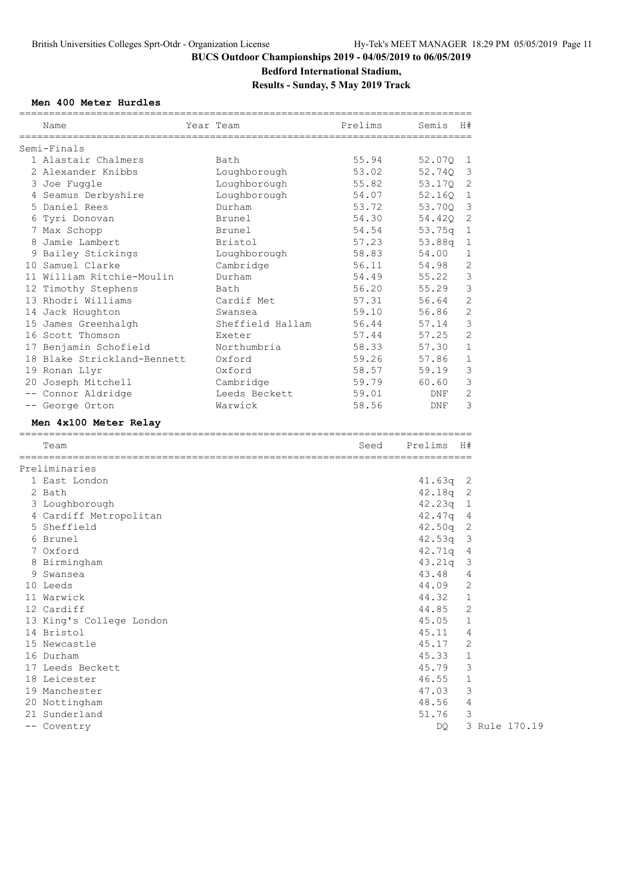**Bedford International Stadium,**

**Results - Sunday, 5 May 2019 Track**

### **Men 400 Meter Hurdles**

| Semi-Finals<br>1 Alastair Chalmers<br>55.94<br>Bath<br>52.07Q<br>1<br>2 Alexander Knibbs<br>53.02<br>52.74Q<br>3<br>Loughborough<br>Loughborough<br>2<br>3 Joe Fuggle<br>55.82<br>53.17Q<br>Loughborough<br>4 Seamus Derbyshire<br>54.07<br>52.16Q<br>1<br>5 Daniel Rees<br>3<br>Durham<br>53.72<br>53.70Q<br>2<br>54.30<br>6 Tyri Donovan<br>Brunel<br>54.42Q<br>54.54<br>1<br>7 Max Schopp<br>Brunel<br>53.75q<br>8 Jamie Lambert<br>57.23<br>1<br>Bristol<br>53.88q<br>9 Bailey Stickings<br>Loughborough<br>58.83<br>54.00<br>1<br>2<br>10 Samuel Clarke<br>56.11<br>54.98<br>Cambridge<br>3<br>11 William Ritchie-Moulin<br>54.49<br>55.22<br>Durham<br>3<br>12 Timothy Stephens<br>56.20<br>55.29<br>Bath<br>$\overline{2}$<br>13 Rhodri Williams<br>Cardif Met<br>57.31<br>56.64<br>$\overline{2}$<br>59.10<br>56.86<br>14 Jack Houghton<br>Swansea<br>3<br>15 James Greenhalgh<br>56.44<br>Sheffield Hallam<br>57.14<br>2<br>16 Scott Thomson<br>57.25<br>57.44<br>Exeter<br>58.33<br>$\mathbf{1}$<br>17 Benjamin Schofield<br>Northumbria<br>57.30<br>1<br>18 Blake Strickland-Bennett<br>Oxford<br>59.26<br>57.86<br>3<br>Oxford<br>58.57<br>59.19<br>19 Ronan Llyr<br>3<br>20 Joseph Mitchell<br>Cambridge<br>59.79<br>60.60<br>2<br>-- Connor Aldridge<br>Leeds Beckett<br>59.01<br>DNF<br>3<br>-- George Orton<br>58.56<br>Warwick<br>DNF<br>Men 4x100 Meter Relay<br>H#<br>Team<br>Seed<br>Prelims<br>Preliminaries<br>1 East London<br>41.63q<br>2<br>42.18q<br>2<br>2 Bath<br>42.23q<br>$\mathbf{1}$<br>3 Loughborough<br>4 Cardiff Metropolitan<br>4<br>42.47q<br>5 Sheffield<br>2<br>42.50q<br>3<br>6 Brunel<br>42.53q<br>7 Oxford<br>4<br>42.71q<br>8 Birmingham<br>3<br>43.21q<br>43.48<br>4<br>9 Swansea<br>$\overline{c}$<br>44.09<br>10 Leeds<br>11 Warwick<br>44.32<br>1<br>12 Cardiff<br>44.85<br>2<br>13 King's College London<br>45.05<br>$\mathbf 1$<br>14 Bristol<br>4<br>45.11<br>2<br>15 Newcastle<br>45.17<br>16 Durham<br>45.33<br>1<br>17 Leeds Beckett<br>45.79<br>3<br>$\mathbf 1$<br>18 Leicester<br>46.55<br>3<br>19 Manchester<br>47.03<br>20 Nottingham | Name | ============<br>Year Team | ==========<br>Prelims | Semis | H#             |  |
|-------------------------------------------------------------------------------------------------------------------------------------------------------------------------------------------------------------------------------------------------------------------------------------------------------------------------------------------------------------------------------------------------------------------------------------------------------------------------------------------------------------------------------------------------------------------------------------------------------------------------------------------------------------------------------------------------------------------------------------------------------------------------------------------------------------------------------------------------------------------------------------------------------------------------------------------------------------------------------------------------------------------------------------------------------------------------------------------------------------------------------------------------------------------------------------------------------------------------------------------------------------------------------------------------------------------------------------------------------------------------------------------------------------------------------------------------------------------------------------------------------------------------------------------------------------------------------------------------------------------------------------------------------------------------------------------------------------------------------------------------------------------------------------------------------------------------------------------------------------------------------------------------------------------------------------------------------------------------------------------------------------------------------------------------------------------------------------------------|------|---------------------------|-----------------------|-------|----------------|--|
|                                                                                                                                                                                                                                                                                                                                                                                                                                                                                                                                                                                                                                                                                                                                                                                                                                                                                                                                                                                                                                                                                                                                                                                                                                                                                                                                                                                                                                                                                                                                                                                                                                                                                                                                                                                                                                                                                                                                                                                                                                                                                                 |      |                           |                       |       |                |  |
|                                                                                                                                                                                                                                                                                                                                                                                                                                                                                                                                                                                                                                                                                                                                                                                                                                                                                                                                                                                                                                                                                                                                                                                                                                                                                                                                                                                                                                                                                                                                                                                                                                                                                                                                                                                                                                                                                                                                                                                                                                                                                                 |      |                           |                       |       |                |  |
|                                                                                                                                                                                                                                                                                                                                                                                                                                                                                                                                                                                                                                                                                                                                                                                                                                                                                                                                                                                                                                                                                                                                                                                                                                                                                                                                                                                                                                                                                                                                                                                                                                                                                                                                                                                                                                                                                                                                                                                                                                                                                                 |      |                           |                       |       |                |  |
|                                                                                                                                                                                                                                                                                                                                                                                                                                                                                                                                                                                                                                                                                                                                                                                                                                                                                                                                                                                                                                                                                                                                                                                                                                                                                                                                                                                                                                                                                                                                                                                                                                                                                                                                                                                                                                                                                                                                                                                                                                                                                                 |      |                           |                       |       |                |  |
|                                                                                                                                                                                                                                                                                                                                                                                                                                                                                                                                                                                                                                                                                                                                                                                                                                                                                                                                                                                                                                                                                                                                                                                                                                                                                                                                                                                                                                                                                                                                                                                                                                                                                                                                                                                                                                                                                                                                                                                                                                                                                                 |      |                           |                       |       |                |  |
|                                                                                                                                                                                                                                                                                                                                                                                                                                                                                                                                                                                                                                                                                                                                                                                                                                                                                                                                                                                                                                                                                                                                                                                                                                                                                                                                                                                                                                                                                                                                                                                                                                                                                                                                                                                                                                                                                                                                                                                                                                                                                                 |      |                           |                       |       |                |  |
|                                                                                                                                                                                                                                                                                                                                                                                                                                                                                                                                                                                                                                                                                                                                                                                                                                                                                                                                                                                                                                                                                                                                                                                                                                                                                                                                                                                                                                                                                                                                                                                                                                                                                                                                                                                                                                                                                                                                                                                                                                                                                                 |      |                           |                       |       |                |  |
|                                                                                                                                                                                                                                                                                                                                                                                                                                                                                                                                                                                                                                                                                                                                                                                                                                                                                                                                                                                                                                                                                                                                                                                                                                                                                                                                                                                                                                                                                                                                                                                                                                                                                                                                                                                                                                                                                                                                                                                                                                                                                                 |      |                           |                       |       |                |  |
|                                                                                                                                                                                                                                                                                                                                                                                                                                                                                                                                                                                                                                                                                                                                                                                                                                                                                                                                                                                                                                                                                                                                                                                                                                                                                                                                                                                                                                                                                                                                                                                                                                                                                                                                                                                                                                                                                                                                                                                                                                                                                                 |      |                           |                       |       |                |  |
|                                                                                                                                                                                                                                                                                                                                                                                                                                                                                                                                                                                                                                                                                                                                                                                                                                                                                                                                                                                                                                                                                                                                                                                                                                                                                                                                                                                                                                                                                                                                                                                                                                                                                                                                                                                                                                                                                                                                                                                                                                                                                                 |      |                           |                       |       |                |  |
|                                                                                                                                                                                                                                                                                                                                                                                                                                                                                                                                                                                                                                                                                                                                                                                                                                                                                                                                                                                                                                                                                                                                                                                                                                                                                                                                                                                                                                                                                                                                                                                                                                                                                                                                                                                                                                                                                                                                                                                                                                                                                                 |      |                           |                       |       |                |  |
|                                                                                                                                                                                                                                                                                                                                                                                                                                                                                                                                                                                                                                                                                                                                                                                                                                                                                                                                                                                                                                                                                                                                                                                                                                                                                                                                                                                                                                                                                                                                                                                                                                                                                                                                                                                                                                                                                                                                                                                                                                                                                                 |      |                           |                       |       |                |  |
|                                                                                                                                                                                                                                                                                                                                                                                                                                                                                                                                                                                                                                                                                                                                                                                                                                                                                                                                                                                                                                                                                                                                                                                                                                                                                                                                                                                                                                                                                                                                                                                                                                                                                                                                                                                                                                                                                                                                                                                                                                                                                                 |      |                           |                       |       |                |  |
|                                                                                                                                                                                                                                                                                                                                                                                                                                                                                                                                                                                                                                                                                                                                                                                                                                                                                                                                                                                                                                                                                                                                                                                                                                                                                                                                                                                                                                                                                                                                                                                                                                                                                                                                                                                                                                                                                                                                                                                                                                                                                                 |      |                           |                       |       |                |  |
|                                                                                                                                                                                                                                                                                                                                                                                                                                                                                                                                                                                                                                                                                                                                                                                                                                                                                                                                                                                                                                                                                                                                                                                                                                                                                                                                                                                                                                                                                                                                                                                                                                                                                                                                                                                                                                                                                                                                                                                                                                                                                                 |      |                           |                       |       |                |  |
|                                                                                                                                                                                                                                                                                                                                                                                                                                                                                                                                                                                                                                                                                                                                                                                                                                                                                                                                                                                                                                                                                                                                                                                                                                                                                                                                                                                                                                                                                                                                                                                                                                                                                                                                                                                                                                                                                                                                                                                                                                                                                                 |      |                           |                       |       |                |  |
|                                                                                                                                                                                                                                                                                                                                                                                                                                                                                                                                                                                                                                                                                                                                                                                                                                                                                                                                                                                                                                                                                                                                                                                                                                                                                                                                                                                                                                                                                                                                                                                                                                                                                                                                                                                                                                                                                                                                                                                                                                                                                                 |      |                           |                       |       |                |  |
|                                                                                                                                                                                                                                                                                                                                                                                                                                                                                                                                                                                                                                                                                                                                                                                                                                                                                                                                                                                                                                                                                                                                                                                                                                                                                                                                                                                                                                                                                                                                                                                                                                                                                                                                                                                                                                                                                                                                                                                                                                                                                                 |      |                           |                       |       |                |  |
|                                                                                                                                                                                                                                                                                                                                                                                                                                                                                                                                                                                                                                                                                                                                                                                                                                                                                                                                                                                                                                                                                                                                                                                                                                                                                                                                                                                                                                                                                                                                                                                                                                                                                                                                                                                                                                                                                                                                                                                                                                                                                                 |      |                           |                       |       |                |  |
|                                                                                                                                                                                                                                                                                                                                                                                                                                                                                                                                                                                                                                                                                                                                                                                                                                                                                                                                                                                                                                                                                                                                                                                                                                                                                                                                                                                                                                                                                                                                                                                                                                                                                                                                                                                                                                                                                                                                                                                                                                                                                                 |      |                           |                       |       |                |  |
|                                                                                                                                                                                                                                                                                                                                                                                                                                                                                                                                                                                                                                                                                                                                                                                                                                                                                                                                                                                                                                                                                                                                                                                                                                                                                                                                                                                                                                                                                                                                                                                                                                                                                                                                                                                                                                                                                                                                                                                                                                                                                                 |      |                           |                       |       |                |  |
|                                                                                                                                                                                                                                                                                                                                                                                                                                                                                                                                                                                                                                                                                                                                                                                                                                                                                                                                                                                                                                                                                                                                                                                                                                                                                                                                                                                                                                                                                                                                                                                                                                                                                                                                                                                                                                                                                                                                                                                                                                                                                                 |      |                           |                       |       |                |  |
|                                                                                                                                                                                                                                                                                                                                                                                                                                                                                                                                                                                                                                                                                                                                                                                                                                                                                                                                                                                                                                                                                                                                                                                                                                                                                                                                                                                                                                                                                                                                                                                                                                                                                                                                                                                                                                                                                                                                                                                                                                                                                                 |      |                           |                       |       |                |  |
|                                                                                                                                                                                                                                                                                                                                                                                                                                                                                                                                                                                                                                                                                                                                                                                                                                                                                                                                                                                                                                                                                                                                                                                                                                                                                                                                                                                                                                                                                                                                                                                                                                                                                                                                                                                                                                                                                                                                                                                                                                                                                                 |      |                           |                       |       |                |  |
|                                                                                                                                                                                                                                                                                                                                                                                                                                                                                                                                                                                                                                                                                                                                                                                                                                                                                                                                                                                                                                                                                                                                                                                                                                                                                                                                                                                                                                                                                                                                                                                                                                                                                                                                                                                                                                                                                                                                                                                                                                                                                                 |      |                           |                       |       |                |  |
|                                                                                                                                                                                                                                                                                                                                                                                                                                                                                                                                                                                                                                                                                                                                                                                                                                                                                                                                                                                                                                                                                                                                                                                                                                                                                                                                                                                                                                                                                                                                                                                                                                                                                                                                                                                                                                                                                                                                                                                                                                                                                                 |      |                           |                       |       |                |  |
|                                                                                                                                                                                                                                                                                                                                                                                                                                                                                                                                                                                                                                                                                                                                                                                                                                                                                                                                                                                                                                                                                                                                                                                                                                                                                                                                                                                                                                                                                                                                                                                                                                                                                                                                                                                                                                                                                                                                                                                                                                                                                                 |      |                           |                       |       |                |  |
|                                                                                                                                                                                                                                                                                                                                                                                                                                                                                                                                                                                                                                                                                                                                                                                                                                                                                                                                                                                                                                                                                                                                                                                                                                                                                                                                                                                                                                                                                                                                                                                                                                                                                                                                                                                                                                                                                                                                                                                                                                                                                                 |      |                           |                       |       |                |  |
|                                                                                                                                                                                                                                                                                                                                                                                                                                                                                                                                                                                                                                                                                                                                                                                                                                                                                                                                                                                                                                                                                                                                                                                                                                                                                                                                                                                                                                                                                                                                                                                                                                                                                                                                                                                                                                                                                                                                                                                                                                                                                                 |      |                           |                       |       |                |  |
|                                                                                                                                                                                                                                                                                                                                                                                                                                                                                                                                                                                                                                                                                                                                                                                                                                                                                                                                                                                                                                                                                                                                                                                                                                                                                                                                                                                                                                                                                                                                                                                                                                                                                                                                                                                                                                                                                                                                                                                                                                                                                                 |      |                           |                       |       |                |  |
|                                                                                                                                                                                                                                                                                                                                                                                                                                                                                                                                                                                                                                                                                                                                                                                                                                                                                                                                                                                                                                                                                                                                                                                                                                                                                                                                                                                                                                                                                                                                                                                                                                                                                                                                                                                                                                                                                                                                                                                                                                                                                                 |      |                           |                       |       |                |  |
|                                                                                                                                                                                                                                                                                                                                                                                                                                                                                                                                                                                                                                                                                                                                                                                                                                                                                                                                                                                                                                                                                                                                                                                                                                                                                                                                                                                                                                                                                                                                                                                                                                                                                                                                                                                                                                                                                                                                                                                                                                                                                                 |      |                           |                       |       |                |  |
|                                                                                                                                                                                                                                                                                                                                                                                                                                                                                                                                                                                                                                                                                                                                                                                                                                                                                                                                                                                                                                                                                                                                                                                                                                                                                                                                                                                                                                                                                                                                                                                                                                                                                                                                                                                                                                                                                                                                                                                                                                                                                                 |      |                           |                       |       |                |  |
|                                                                                                                                                                                                                                                                                                                                                                                                                                                                                                                                                                                                                                                                                                                                                                                                                                                                                                                                                                                                                                                                                                                                                                                                                                                                                                                                                                                                                                                                                                                                                                                                                                                                                                                                                                                                                                                                                                                                                                                                                                                                                                 |      |                           |                       |       |                |  |
|                                                                                                                                                                                                                                                                                                                                                                                                                                                                                                                                                                                                                                                                                                                                                                                                                                                                                                                                                                                                                                                                                                                                                                                                                                                                                                                                                                                                                                                                                                                                                                                                                                                                                                                                                                                                                                                                                                                                                                                                                                                                                                 |      |                           |                       |       |                |  |
|                                                                                                                                                                                                                                                                                                                                                                                                                                                                                                                                                                                                                                                                                                                                                                                                                                                                                                                                                                                                                                                                                                                                                                                                                                                                                                                                                                                                                                                                                                                                                                                                                                                                                                                                                                                                                                                                                                                                                                                                                                                                                                 |      |                           |                       |       |                |  |
|                                                                                                                                                                                                                                                                                                                                                                                                                                                                                                                                                                                                                                                                                                                                                                                                                                                                                                                                                                                                                                                                                                                                                                                                                                                                                                                                                                                                                                                                                                                                                                                                                                                                                                                                                                                                                                                                                                                                                                                                                                                                                                 |      |                           |                       |       |                |  |
|                                                                                                                                                                                                                                                                                                                                                                                                                                                                                                                                                                                                                                                                                                                                                                                                                                                                                                                                                                                                                                                                                                                                                                                                                                                                                                                                                                                                                                                                                                                                                                                                                                                                                                                                                                                                                                                                                                                                                                                                                                                                                                 |      |                           |                       |       |                |  |
|                                                                                                                                                                                                                                                                                                                                                                                                                                                                                                                                                                                                                                                                                                                                                                                                                                                                                                                                                                                                                                                                                                                                                                                                                                                                                                                                                                                                                                                                                                                                                                                                                                                                                                                                                                                                                                                                                                                                                                                                                                                                                                 |      |                           |                       |       |                |  |
|                                                                                                                                                                                                                                                                                                                                                                                                                                                                                                                                                                                                                                                                                                                                                                                                                                                                                                                                                                                                                                                                                                                                                                                                                                                                                                                                                                                                                                                                                                                                                                                                                                                                                                                                                                                                                                                                                                                                                                                                                                                                                                 |      |                           |                       |       |                |  |
|                                                                                                                                                                                                                                                                                                                                                                                                                                                                                                                                                                                                                                                                                                                                                                                                                                                                                                                                                                                                                                                                                                                                                                                                                                                                                                                                                                                                                                                                                                                                                                                                                                                                                                                                                                                                                                                                                                                                                                                                                                                                                                 |      |                           |                       |       |                |  |
|                                                                                                                                                                                                                                                                                                                                                                                                                                                                                                                                                                                                                                                                                                                                                                                                                                                                                                                                                                                                                                                                                                                                                                                                                                                                                                                                                                                                                                                                                                                                                                                                                                                                                                                                                                                                                                                                                                                                                                                                                                                                                                 |      |                           |                       |       |                |  |
|                                                                                                                                                                                                                                                                                                                                                                                                                                                                                                                                                                                                                                                                                                                                                                                                                                                                                                                                                                                                                                                                                                                                                                                                                                                                                                                                                                                                                                                                                                                                                                                                                                                                                                                                                                                                                                                                                                                                                                                                                                                                                                 |      |                           |                       |       |                |  |
|                                                                                                                                                                                                                                                                                                                                                                                                                                                                                                                                                                                                                                                                                                                                                                                                                                                                                                                                                                                                                                                                                                                                                                                                                                                                                                                                                                                                                                                                                                                                                                                                                                                                                                                                                                                                                                                                                                                                                                                                                                                                                                 |      |                           |                       |       |                |  |
|                                                                                                                                                                                                                                                                                                                                                                                                                                                                                                                                                                                                                                                                                                                                                                                                                                                                                                                                                                                                                                                                                                                                                                                                                                                                                                                                                                                                                                                                                                                                                                                                                                                                                                                                                                                                                                                                                                                                                                                                                                                                                                 |      |                           |                       |       |                |  |
|                                                                                                                                                                                                                                                                                                                                                                                                                                                                                                                                                                                                                                                                                                                                                                                                                                                                                                                                                                                                                                                                                                                                                                                                                                                                                                                                                                                                                                                                                                                                                                                                                                                                                                                                                                                                                                                                                                                                                                                                                                                                                                 |      |                           |                       |       |                |  |
|                                                                                                                                                                                                                                                                                                                                                                                                                                                                                                                                                                                                                                                                                                                                                                                                                                                                                                                                                                                                                                                                                                                                                                                                                                                                                                                                                                                                                                                                                                                                                                                                                                                                                                                                                                                                                                                                                                                                                                                                                                                                                                 |      |                           |                       | 48.56 | $\overline{4}$ |  |
| 3<br>21 Sunderland<br>51.76                                                                                                                                                                                                                                                                                                                                                                                                                                                                                                                                                                                                                                                                                                                                                                                                                                                                                                                                                                                                                                                                                                                                                                                                                                                                                                                                                                                                                                                                                                                                                                                                                                                                                                                                                                                                                                                                                                                                                                                                                                                                     |      |                           |                       |       |                |  |
| -- Coventry<br>3 Rule 170.19<br>DQ.                                                                                                                                                                                                                                                                                                                                                                                                                                                                                                                                                                                                                                                                                                                                                                                                                                                                                                                                                                                                                                                                                                                                                                                                                                                                                                                                                                                                                                                                                                                                                                                                                                                                                                                                                                                                                                                                                                                                                                                                                                                             |      |                           |                       |       |                |  |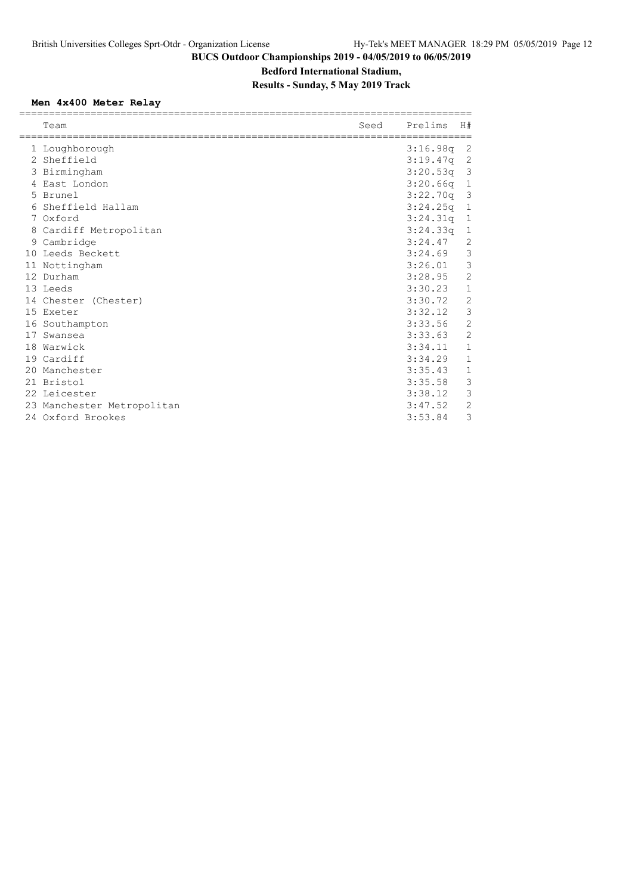### **Bedford International Stadium,**

### **Results - Sunday, 5 May 2019 Track**

### **Men 4x400 Meter Relay**

|    | Team                       | Seed | Prelims      | H#             |
|----|----------------------------|------|--------------|----------------|
|    | 1 Loughborough             |      | 3:16.98q     | 2              |
|    | 2 Sheffield                |      | 3:19.47q     | -2             |
|    | 3 Birmingham               |      | $3:20.53q$ 3 |                |
|    | 4 East London              |      | 3:20.66q     | $\mathbf{1}$   |
|    | 5 Brunel                   |      | 3:22.70q     | $\overline{3}$ |
|    | 6 Sheffield Hallam         |      | 3:24.25q     | $\mathbf{1}$   |
|    | 7 Oxford                   |      | 3:24.31q     | $\mathbf{1}$   |
|    | 8 Cardiff Metropolitan     |      | 3:24.33q     | $\mathbf 1$    |
|    | 9 Cambridge                |      | 3:24.47      | 2              |
|    | 10 Leeds Beckett           |      | 3:24.69      | 3              |
|    | 11 Nottingham              |      | 3:26.01      | 3              |
|    | 12 Durham                  |      | 3:28.95      | $\overline{2}$ |
|    | 13 Leeds                   |      | 3:30.23      | 1              |
|    | 14 Chester (Chester)       |      | 3:30.72      | $\overline{2}$ |
|    | 15 Exeter                  |      | 3:32.12      | 3              |
|    | 16 Southampton             |      | 3:33.56      | $\overline{2}$ |
| 17 | Swansea                    |      | 3:33.63      | $\overline{2}$ |
|    | 18 Warwick                 |      | 3:34.11      | $\mathbf{1}$   |
|    | 19 Cardiff                 |      | 3:34.29      | 1              |
|    | 20 Manchester              |      | 3:35.43      | $\mathbf{1}$   |
|    | 21 Bristol                 |      | 3:35.58      | 3              |
|    | 22 Leicester               |      | 3:38.12      | 3              |
|    | 23 Manchester Metropolitan |      | 3:47.52      | $\overline{2}$ |
|    | 24 Oxford Brookes          |      | 3:53.84      | 3              |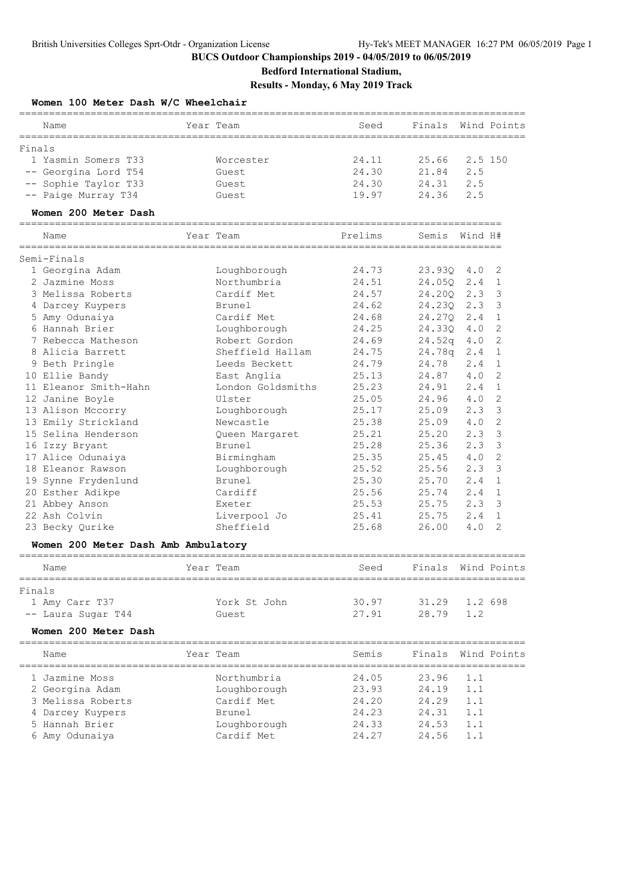**Bedford International Stadium,**

**Results - Monday, 6 May 2019 Track**

| Women 100 Meter Dash W/C Wheelchair                   |                   |                                  |                                            |                    |         |                |
|-------------------------------------------------------|-------------------|----------------------------------|--------------------------------------------|--------------------|---------|----------------|
| Name<br>==========                                    |                   | Year Team                        | Seed                                       | Finals             |         | Wind Points    |
| Finals                                                |                   |                                  |                                            |                    |         |                |
| 1 Yasmin Somers T33                                   |                   | Worcester                        | 24.11                                      | 25.66              | 2.5 150 |                |
| -- Georgina Lord T54                                  |                   | Guest                            | 24.30                                      | 21.84              | 2.5     |                |
| -- Sophie Taylor T33                                  |                   | Guest                            | 24.30                                      | 24.31              | 2.5     |                |
| -- Paige Murray T34                                   |                   | Guest                            | 19.97                                      | 24.36              | 2.5     |                |
| Women 200 Meter Dash<br>_____________________________ |                   |                                  |                                            |                    |         |                |
| Name<br>==================                            |                   | Year Team<br>=================== | Prelims<br>=============================== | Semis              | Wind H# |                |
| Semi-Finals                                           |                   |                                  |                                            |                    |         |                |
| 1 Georgina Adam                                       |                   | Loughborough                     | 24.73                                      | 23.93Q             | 4.0     | 2              |
| 2 Jazmine Moss                                        |                   | Northumbria                      | 24.51                                      | 24.050             | 2.4     | 1              |
| 3 Melissa Roberts                                     |                   | Cardif Met                       | 24.57                                      | 24.200             | 2.3     | 3              |
| 4 Darcey Kuypers                                      |                   | Brunel                           | 24.62                                      | 24.230             | 2.3     | 3              |
| 5 Amy Odunaiya                                        |                   | Cardif Met                       | 24.68                                      | 24.270             | 2.4     | 1              |
| 6 Hannah Brier                                        |                   | Loughborough                     | 24.25                                      | 24.330             | 4.0     | 2              |
| 7 Rebecca Matheson                                    |                   | Robert Gordon                    | 24.69                                      | 24.52q             | 4.0     | 2              |
| 8 Alicia Barrett                                      |                   | Sheffield Hallam                 | 24.75                                      | 24.78q             | 2.4     | $\mathbf 1$    |
| 9 Beth Pringle                                        |                   | Leeds Beckett                    | 24.79                                      | 24.78              | 2.4     | $\mathbf 1$    |
| 10 Ellie Bandy                                        |                   | East Anglia                      | 25.13                                      | 24.87              | 4.0     | $\mathbf{2}$   |
| 11 Eleanor Smith-Hahn                                 |                   | London Goldsmiths                | 25.23                                      | 24.91              | 2.4     | $\mathbf 1$    |
| 12 Janine Boyle                                       |                   | Ulster                           | 25.05                                      | 24.96              | 4.0     | 2              |
| 13 Alison Mccorry                                     |                   | Loughborough                     | 25.17                                      | 25.09              | 2.3     | 3              |
| 13 Emily Strickland                                   |                   | Newcastle                        | 25.38                                      | 25.09              | 4.0     | 2              |
| 15 Selina Henderson                                   |                   | Queen Margaret                   | 25.21                                      | 25.20              | 2.3     | 3              |
| 16 Izzy Bryant                                        |                   | Brunel                           | 25.28                                      | 25.36              | 2.3     | 3              |
| 17 Alice Odunaiya                                     |                   | Birmingham                       | 25.35                                      | 25.45              | 4.0     | 2              |
| 18 Eleanor Rawson                                     |                   |                                  | 25.52                                      | 25.56              | 2.3     | 3              |
|                                                       |                   | Loughborough                     | 25.30                                      | 25.70              | 2.4     | $\mathbf{1}$   |
| 19 Synne Frydenlund                                   |                   | Brunel                           |                                            |                    |         |                |
| 20 Esther Adikpe                                      |                   | Cardiff                          | 25.56                                      | 25.74              | 2.4     | $\mathbf{1}$   |
| 21 Abbey Anson                                        |                   | Exeter                           | 25.53                                      | 25.75              | 2.3     | 3              |
| 22 Ash Colvin                                         |                   | Liverpool Jo                     | 25.41                                      | 25.75              | 2.4     | $\mathbf 1$    |
| 23 Becky Qurike                                       |                   | Sheffield                        | 25.68                                      | 26.00              | 4.0     | $\overline{2}$ |
| Women 200 Meter Dash Amb Ambulatory                   |                   |                                  |                                            |                    |         |                |
| Name                                                  |                   | Year Team                        | Seed                                       | Finals             |         | Wind Points    |
| Finals                                                |                   |                                  |                                            |                    |         |                |
| 1 Amy Carr T37                                        |                   | York St John                     | 30.97                                      | 31.29              | 1.2 698 |                |
| -- Laura Sugar T44                                    |                   | Guest                            | 27.91                                      | 28.79              | 1.2     |                |
| Women 200 Meter Dash                                  |                   |                                  |                                            |                    |         |                |
| ______________________<br>Name                        | ================= | Year Team                        | Semis                                      | ========<br>Finals |         | Wind Points    |
| 1 Jazmine Moss                                        |                   | Northumbria                      | 24.05                                      | 23.96              | 1.1     |                |
|                                                       |                   |                                  |                                            |                    |         |                |
| 2 Georgina Adam                                       |                   | Loughborough                     | 23.93                                      | 24.19              | 1.1     |                |
| 3 Melissa Roberts                                     |                   | Cardif Met                       | 24.20                                      | 24.29              | 1.1     |                |
| 4 Darcey Kuypers                                      |                   | Brunel                           | 24.23                                      | 24.31              | 1.1     |                |
| 5 Hannah Brier                                        |                   | Loughborough                     | 24.33                                      | 24.53              | 1.1     |                |
| 6 Amy Odunaiya                                        |                   | Cardif Met                       | 24.27                                      | 24.56              | 1.1     |                |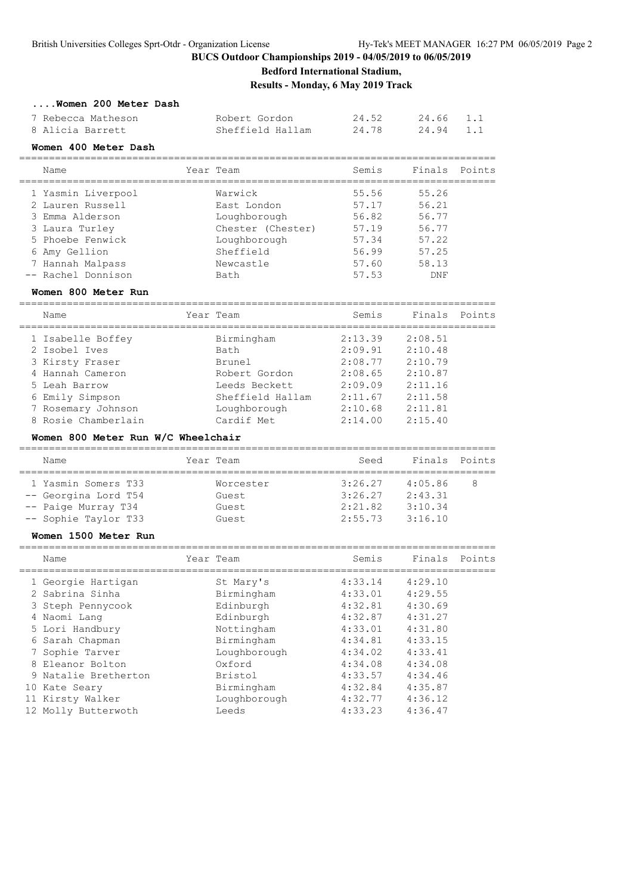**Bedford International Stadium,**

**Results - Monday, 6 May 2019 Track**

#### **....Women 200 Meter Dash**

| 7 Rebecca Matheson | Robert Gordon    | 24.52 | 24.66 1.1 |  |
|--------------------|------------------|-------|-----------|--|
| 8 Alicia Barrett   | Sheffield Hallam | 24.78 | 24.94 1.1 |  |

#### **Women 400 Meter Dash**

================================================================================ Name **Year Team** Semis Finals Points ================================================================================ 1 Yasmin Liverpool Warwick 55.56 55.26 2 Lauren Russell East London 57.17 56.21 3 Emma Alderson Loughborough 56.82 56.77 3 Laura Turley Chester (Chester) 57.19 56.77 5 Phoebe Fenwick Loughborough 57.34 57.22 6 Amy Gellion Sheffield 56.99 57.25 7 Hannah Malpass Newcastle 57.60 58.13 -- Rachel Donnison Bath 57.53 DNF

#### **Women 800 Meter Run**

| Name                | Year Team        | Semis   | Finals  | Points |
|---------------------|------------------|---------|---------|--------|
| 1 Isabelle Boffey   | Birmingham       | 2:13.39 | 2:08.51 |        |
| 2 Isobel Ives       | Bath             | 2:09.91 | 2:10.48 |        |
| 3 Kirsty Fraser     | Brunel           | 2:08.77 | 2:10.79 |        |
| 4 Hannah Cameron    | Robert Gordon    | 2:08.65 | 2:10.87 |        |
| 5 Leah Barrow       | Leeds Beckett    | 2:09.09 | 2:11.16 |        |
| 6 Emily Simpson     | Sheffield Hallam | 2:11.67 | 2:11.58 |        |
| 7 Rosemary Johnson  | Loughborough     | 2:10.68 | 2:11.81 |        |
| 8 Rosie Chamberlain | Cardif Met       | 2:14.00 | 2:15.40 |        |
|                     |                  |         |         |        |

#### **Women 800 Meter Run W/C Wheelchair**

| Name                 | Year Team | Seed    | Finals Points |    |  |  |  |  |
|----------------------|-----------|---------|---------------|----|--|--|--|--|
| 1 Yasmin Somers T33  | Worcester | 3:26.27 | 4:05.86       | -8 |  |  |  |  |
| -- Georgina Lord T54 | Guest.    | 3:26.27 | 2:43.31       |    |  |  |  |  |
| -- Paige Murray T34  | Guest.    | 2:21.82 | 3:10.34       |    |  |  |  |  |
| -- Sophie Taylor T33 | Guest.    | 2:55.73 | 3:16.10       |    |  |  |  |  |

#### **Women 1500 Meter Run**

| Name |                                                                                                                                                                                                                                             |              | Semis                  | Finals  | Points  |
|------|---------------------------------------------------------------------------------------------------------------------------------------------------------------------------------------------------------------------------------------------|--------------|------------------------|---------|---------|
|      |                                                                                                                                                                                                                                             |              |                        |         |         |
|      |                                                                                                                                                                                                                                             | Birmingham   | 4:33.01                | 4:29.55 |         |
|      |                                                                                                                                                                                                                                             | Edinburgh    | 4:32.81                | 4:30.69 |         |
|      |                                                                                                                                                                                                                                             | Edinburgh    | 4:32.87                | 4:31.27 |         |
|      |                                                                                                                                                                                                                                             | Nottingham   | 4:33.01                | 4:31.80 |         |
|      |                                                                                                                                                                                                                                             | Birmingham   | 4:34.81                | 4:33.15 |         |
|      |                                                                                                                                                                                                                                             | Loughborough | 4:34.02                | 4:33.41 |         |
|      |                                                                                                                                                                                                                                             | Oxford       | 4:34.08                | 4:34.08 |         |
|      |                                                                                                                                                                                                                                             | Bristol      | 4:33.57                | 4:34.46 |         |
|      |                                                                                                                                                                                                                                             | Birmingham   | 4:32.84                | 4:35.87 |         |
|      |                                                                                                                                                                                                                                             | Loughborough | 4:32.77                | 4:36.12 |         |
|      |                                                                                                                                                                                                                                             | Leeds        | 4:33.23                | 4:36.47 |         |
|      | 1 Georgie Hartigan<br>2 Sabrina Sinha<br>3 Steph Pennycook<br>4 Naomi Lang<br>5 Lori Handbury<br>6 Sarah Chapman<br>7 Sophie Tarver<br>8 Eleanor Bolton<br>9 Natalie Bretherton<br>10 Kate Seary<br>11 Kirsty Walker<br>12 Molly Butterwoth |              | Year Team<br>St Mary's | 4:33.14 | 4:29.10 |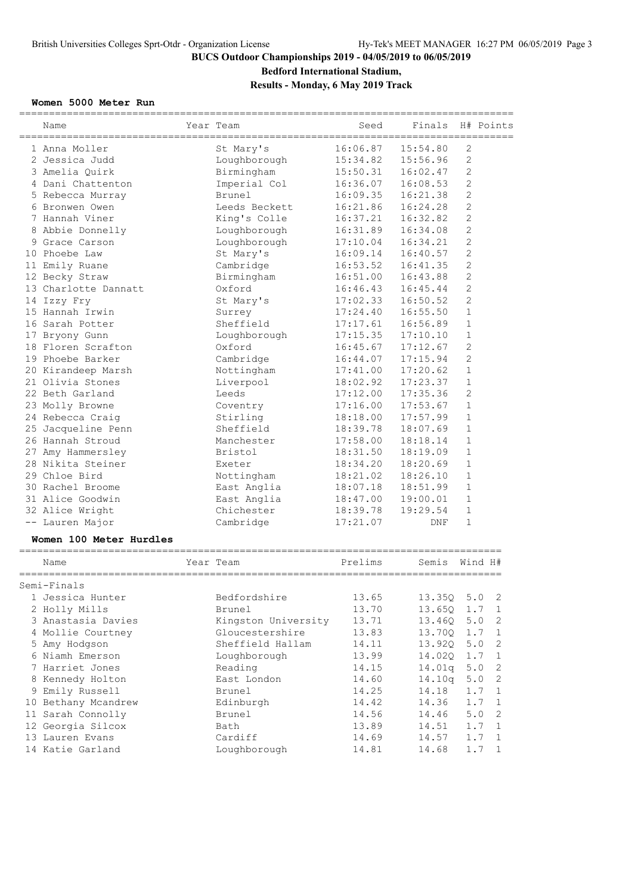### **Bedford International Stadium,**

### **Results - Monday, 6 May 2019 Track**

### **Women 5000 Meter Run**

|                                        | ======= |                     |          |          |                |                       |
|----------------------------------------|---------|---------------------|----------|----------|----------------|-----------------------|
| Name                                   |         | Year Team           | Seed     | Finals   |                | H# Points             |
| 1 Anna Moller                          |         | St Mary's           | 16:06.87 | 15:54.80 | 2              |                       |
| 2 Jessica Judd                         |         | Loughborough        | 15:34.82 | 15:56.96 | 2              |                       |
| 3 Amelia Quirk                         |         | Birmingham          | 15:50.31 | 16:02.47 | $\mathbf{2}$   |                       |
| 4 Dani Chattenton                      |         | Imperial Col        | 16:36.07 | 16:08.53 | $\mathbf{2}$   |                       |
| 5 Rebecca Murray                       |         | Brunel              | 16:09.35 | 16:21.38 | 2              |                       |
| 6 Bronwen Owen                         |         | Leeds Beckett       | 16:21.86 | 16:24.28 | $\overline{c}$ |                       |
| 7 Hannah Viner                         |         | King's Colle        | 16:37.21 | 16:32.82 | $\overline{c}$ |                       |
| 8 Abbie Donnelly                       |         | Loughborough        | 16:31.89 | 16:34.08 | $\mathbf{2}$   |                       |
| 9 Grace Carson                         |         | Loughborough        | 17:10.04 | 16:34.21 | $\mathbf{2}$   |                       |
| 10 Phoebe Law                          |         | St Mary's           | 16:09.14 | 16:40.57 | $\mathbf{2}$   |                       |
| 11 Emily Ruane                         |         | Cambridge           | 16:53.52 | 16:41.35 | 2              |                       |
| 12 Becky Straw                         |         | Birmingham          | 16:51.00 | 16:43.88 | $\mathbf{2}$   |                       |
| 13 Charlotte Dannatt                   |         | Oxford              | 16:46.43 | 16:45.44 | $\overline{c}$ |                       |
| 14 Izzy Fry                            |         | St Mary's           | 17:02.33 | 16:50.52 | $\mathbf{2}$   |                       |
| 15 Hannah Irwin                        |         | Surrey              | 17:24.40 | 16:55.50 | $\mathbf 1$    |                       |
| 16 Sarah Potter                        |         | Sheffield           | 17:17.61 | 16:56.89 | 1              |                       |
| 17 Bryony Gunn                         |         | Loughborough        | 17:15.35 | 17:10.10 | $\mathbf 1$    |                       |
| 18 Floren Scrafton                     |         | Oxford              | 16:45.67 | 17:12.67 | $\mathbf{2}$   |                       |
| 19 Phoebe Barker                       |         | Cambridge           | 16:44.07 | 17:15.94 | $\overline{c}$ |                       |
| 20 Kirandeep Marsh                     |         | Nottingham          | 17:41.00 | 17:20.62 | $\mathbf{1}$   |                       |
| 21 Olivia Stones                       |         | Liverpool           | 18:02.92 | 17:23.37 | $\mathbf 1$    |                       |
| 22 Beth Garland                        |         | Leeds               | 17:12.00 | 17:35.36 | $\overline{c}$ |                       |
| 23 Molly Browne                        |         | Coventry            | 17:16.00 | 17:53.67 | $\mathbf 1$    |                       |
|                                        |         | Stirling            | 18:18.00 | 17:57.99 | $\mathbf 1$    |                       |
| 24 Rebecca Craig                       |         | Sheffield           | 18:39.78 | 18:07.69 | $\mathbf 1$    |                       |
| 25 Jacqueline Penn<br>26 Hannah Stroud |         |                     |          |          | $\mathbf{1}$   |                       |
|                                        |         | Manchester          | 17:58.00 | 18:18.14 |                |                       |
| 27 Amy Hammersley                      |         | Bristol             | 18:31.50 | 18:19.09 | $\mathbf 1$    |                       |
| 28 Nikita Steiner                      |         | Exeter              | 18:34.20 | 18:20.69 | 1              |                       |
| 29 Chloe Bird                          |         | Nottingham          | 18:21.02 | 18:26.10 | $\mathbf 1$    |                       |
| 30 Rachel Broome                       |         | East Anglia         | 18:07.18 | 18:51.99 | $\mathbf 1$    |                       |
| 31 Alice Goodwin                       |         | East Anglia         | 18:47.00 | 19:00.01 | $\mathbf 1$    |                       |
| 32 Alice Wright                        |         | Chichester          | 18:39.78 | 19:29.54 | $1\,$          |                       |
| -- Lauren Major                        |         | Cambridge           | 17:21.07 | DNF      | $\mathbf 1$    |                       |
| Women 100 Meter Hurdles                |         |                     |          |          |                |                       |
| Name                                   |         | Year Team           | Prelims  | Semis    |                | Wind H#               |
| Semi-Finals                            |         |                     |          |          |                |                       |
| 1 Jessica Hunter                       |         | Bedfordshire        | 13.65    | 13.35Q   |                | 5.0<br>2              |
| 2 Holly Mills                          |         | Brunel              | 13.70    | 13.65Q   |                | 1.7<br>$\mathbf{1}$   |
| 3 Anastasia Davies                     |         | Kingston University | 13.71    | 13.460   |                | 5.0<br>$\mathbf{2}$   |
| 4 Mollie Courtney                      |         | Gloucestershire     | 13.83    | 13.70Q   |                | 1.7<br>$\mathbf{1}$   |
| 5 Amy Hodgson                          |         | Sheffield Hallam    | 14.11    | 13.92Q   |                | 5.0<br>2              |
| 6 Niamh Emerson                        |         | Loughborough        | 13.99    | 14.020   |                | 1.7<br>$\mathbf{1}$   |
| 7 Harriet Jones                        |         | Reading             | 14.15    | 14.01q   |                | 5.0<br>$\overline{c}$ |
| 8 Kennedy Holton                       |         | East London         | 14.60    | 14.10q   |                | 5.0<br>2              |
| 9 Emily Russell                        |         | Brunel              | 14.25    | 14.18    |                | 1.7<br>1              |
| 10 Bethany Mcandrew                    |         | Edinburgh           | 14.42    | 14.36    | $1.7\,$        | 1                     |
|                                        |         |                     |          |          |                |                       |

13 Lauren Evans Cardiff 14.69 14.57 1.7 1

14 Katie Garland Loughborough 14.81 14.68 1.7 1

 11 Sarah Connolly Brunel 14.56 14.46 5.0 2 12 Georgia Silcox Bath 13.89 14.51 1.7 1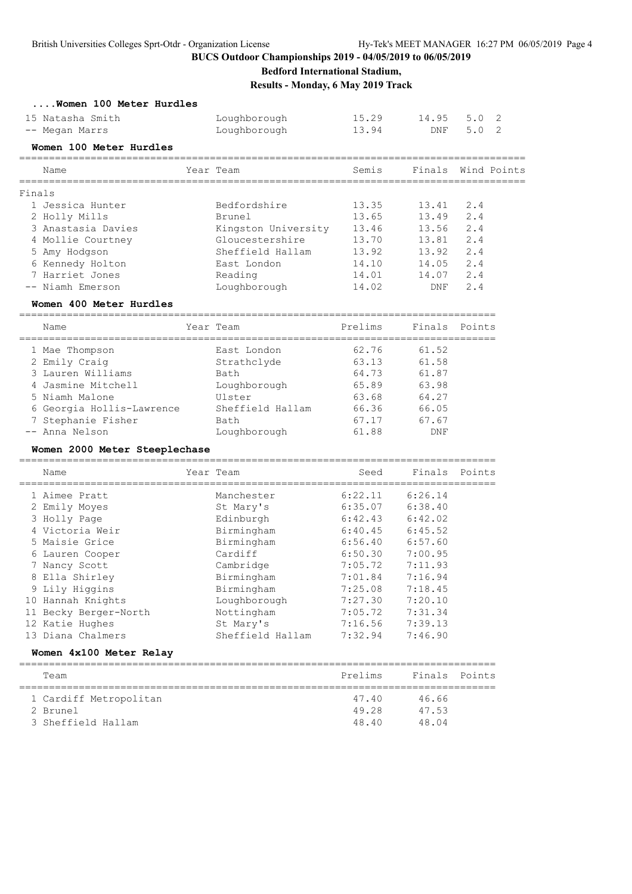**Bedford International Stadium,**

**Results - Monday, 6 May 2019 Track**

| Women 100 Meter Hurdles       |                     |                                     |         |               |
|-------------------------------|---------------------|-------------------------------------|---------|---------------|
| 15 Natasha Smith              | Loughborough        | 15.29                               | 14.95   | 5.0<br>2      |
| -- Megan Marrs                | Loughborough        | 13.94                               | DNF     | 5.0<br>2      |
| Women 100 Meter Hurdles       |                     |                                     |         |               |
| Name                          | Year Team           | Semis                               | Finals  | Wind Points   |
| Finals                        |                     |                                     |         |               |
| 1 Jessica Hunter              | Bedfordshire        | 13.35                               | 13.41   | 2.4           |
| 2 Holly Mills                 | <b>Brunel</b>       | 13.65                               | 13.49   | 2.4           |
| 3 Anastasia Davies            | Kingston University | 13.46                               | 13.56   | 2.4           |
| 4 Mollie Courtney             | Gloucestershire     | 13.70                               | 13.81   | 2.4           |
| 5 Amy Hodgson                 | Sheffield Hallam    | 13.92                               | 13.92   | 2.4           |
| 6 Kennedy Holton              | East London         | 14.10                               | 14.05   | 2.4           |
| 7 Harriet Jones               | Reading             | 14.01                               | 14.07   | 2.4           |
| -- Niamh Emerson              | Loughborough        | 14.02                               | DNF     | 2.4           |
| Women 400 Meter Hurdles       |                     |                                     |         |               |
| Name                          | Year Team           | Prelims                             |         | Finals Points |
| 1 Mae Thompson                | East London         | 62.76                               | 61.52   |               |
| 2 Emily Craig                 | Strathclyde         | 63.13                               | 61.58   |               |
| 3 Lauren Williams             | Bath                | 64.73                               | 61.87   |               |
| 4 Jasmine Mitchell            | Loughborough        | 65.89                               | 63.98   |               |
| 5 Niamh Malone                | Ulster              | 63.68                               | 64.27   |               |
| 6 Georgia Hollis-Lawrence     | Sheffield Hallam    | 66.36                               | 66.05   |               |
| 7 Stephanie Fisher            | Bath                | 67.17                               | 67.67   |               |
| -- Anna Nelson                | Loughborough        | 61.88                               | DNF     |               |
| Women 2000 Meter Steeplechase |                     |                                     |         |               |
| Name                          | Year Team           | ===========================<br>Seed |         | Finals Points |
| 1 Aimee Pratt                 | Manchester          | 6:22.11                             | 6:26.14 |               |
| 2 Emily Moyes                 | St Mary's           | 6:35.07                             | 6:38.40 |               |
| 3 Holly Page                  | Edinburgh           | 6:42.43                             | 6:42.02 |               |
| 4 Victoria Weir               | Birmingham          | 6:40.45                             | 6:45.52 |               |
| 5 Maisie Grice                | Birmingham          | 6:56.40                             | 6:57.60 |               |
| 6 Lauren Cooper               | Cardiff             | 6:50.30                             | 7:00.95 |               |
| 7 Nancy Scott                 | Cambridge           | 7:05.72                             | 7:11.93 |               |
| 8 Ella Shirley                | Birmingham          | 7:01.84                             | 7:16.94 |               |
| 9 Lily Higgins                | Birmingham          | 7:25.08                             | 7:18.45 |               |
| 10 Hannah Knights             | Loughborough        | 7:27.30                             | 7:20.10 |               |
| 11 Becky Berger-North         | Nottingham          | 7:05.72                             | 7:31.34 |               |
| 12 Katie Hughes               | St Mary's           | 7:16.56                             | 7:39.13 |               |
| 13 Diana Chalmers             | Sheffield Hallam    | 7:32.94                             | 7:46.90 |               |
| Women 4x100 Meter Relay       |                     |                                     |         |               |
|                               |                     |                                     |         |               |
| Team                          |                     | Prelims                             | Finals  | Points        |
| 1 Cardiff Metropolitan        |                     | 47.40                               | 46.66   |               |
| 2 Brunel                      |                     | 49.28                               | 47.53   |               |
| 3 Sheffield Hallam            |                     |                                     |         |               |
|                               |                     | 48.40                               | 48.04   |               |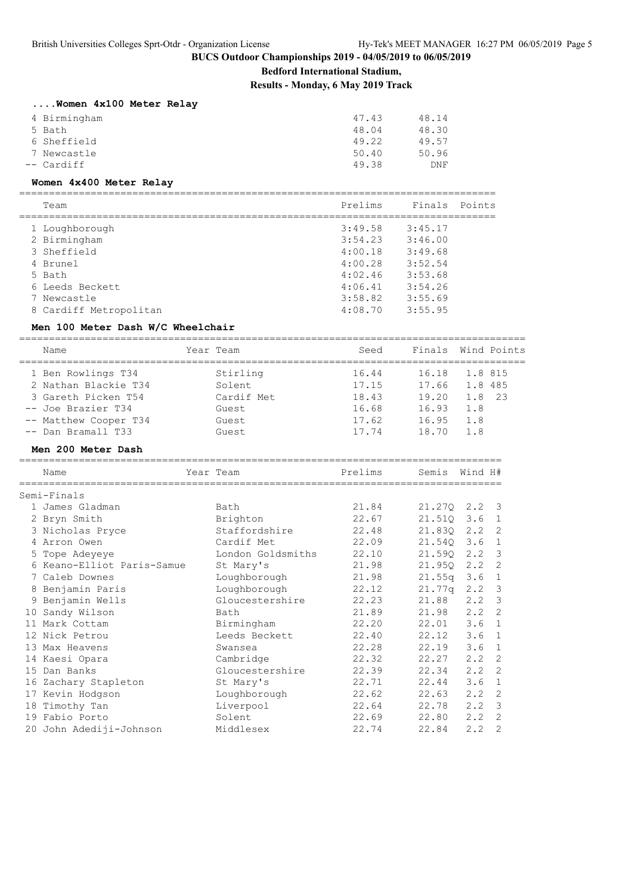**Bedford International Stadium,**

**Results - Monday, 6 May 2019 Track**

| Women 4x100 Meter Relay |       |       |
|-------------------------|-------|-------|
| 4 Birmingham            | 47.43 | 48.14 |
| 5 Bath                  | 48.04 | 48.30 |
| 6 Sheffield             | 49.22 | 49.57 |
|                         |       |       |

 7 Newcastle 50.40 50.96 -- Cardiff 49.38 DNF

### **Women 4x400 Meter Relay**

================================================================================ Team Prelims Finals Points

| ream                   | Prelims | Finais. | POINTS |
|------------------------|---------|---------|--------|
|                        |         |         |        |
| 1 Loughborough         | 3:49.58 | 3:45.17 |        |
| 2 Birmingham           | 3:54.23 | 3:46.00 |        |
| 3 Sheffield            | 4:00.18 | 3:49.68 |        |
| 4 Brunel               | 4:00.28 | 3:52.54 |        |
| 5 Bath                 | 4:02.46 | 3:53.68 |        |
| 6 Leeds Beckett        | 4:06.41 | 3:54.26 |        |
| 7 Newcastle            | 3:58.82 | 3:55.69 |        |
| 8 Cardiff Metropolitan | 4:08.70 | 3:55.95 |        |
|                        |         |         |        |

#### **Men 100 Meter Dash W/C Wheelchair**

===================================================================================== Name Seed Finals Wind Points ===================================================================================== 1 Ben Rowlings T34 Stirling 16.44 16.18 1.8 815 2 Nathan Blackie T34 Solent 17.15 17.66 1.8 485 3 Gareth Picken T54 Cardif Met 18.43 19.20 1.8 23 -- Joe Brazier T34 Guest 16.68 16.93 1.8 -- Matthew Cooper T34 Guest 17.62 16.95 1.8 -- Dan Bramall T33 Guest 17.74 18.70 1.8

#### **Men 200 Meter Dash**

|    | Name                                           | Year Team         | Prelims | Semis        | Wind H#     |                            |
|----|------------------------------------------------|-------------------|---------|--------------|-------------|----------------------------|
|    | ===============================<br>Semi-Finals |                   |         |              |             |                            |
|    | 1 James Gladman                                | Bath              | 21.84   | 21.270 2.2 3 |             |                            |
|    | 2 Bryn Smith                                   | Brighton          | 22.67   | 21.510 3.6   |             | 1                          |
|    | 3 Nicholas Pryce                               | Staffordshire     | 22.48   | 21.830 2.2   |             | $\overline{c}$             |
|    | 4 Arron Owen                                   | Cardif Met        | 22.09   | 21.540 3.6   |             | 1                          |
|    | 5 Tope Adeyeye                                 | London Goldsmiths | 22.10   | 21.590       | 2.2         | 3                          |
|    | 6 Keano-Elliot Paris-Samue                     | St Mary's         | 21.98   | 21.95Q       | 2.2         | 2                          |
|    | 7 Caleb Downes                                 | Loughborough      | 21.98   | 21.55q       | 3.6         | $\mathbf{1}$               |
|    | 8 Benjamin Paris                               | Loughborough      | 22.12   | 21.77q       | $2 \cdot 2$ | $\mathbf{3}$               |
|    | 9 Benjamin Wells                               | Gloucestershire   | 22.23   | 21.88        | 2.2         | $\overline{3}$             |
|    | 10 Sandy Wilson                                | Bath              | 21.89   | 21.98        | 2, 2        | $\overline{\phantom{0}}^2$ |
|    | 11 Mark Cottam                                 | Birmingham        | 22.20   | 22.01        | 3.6         | $\overline{1}$             |
|    | 12 Nick Petrou                                 | Leeds Beckett     | 22.40   | 22.12        | 3.6         | 1                          |
|    | 13 Max Heavens                                 | Swansea           | 22.28   | 22.19        | 3.6         | 1                          |
|    | 14 Kaesi Opara                                 | Cambridge         | 22.32   | 22.27        | 2, 2        | 2                          |
|    | 15 Dan Banks                                   | Gloucestershire   | 22.39   | 22.34        | 2, 2        | $\overline{\phantom{0}}^2$ |
|    | 16 Zachary Stapleton                           | St Mary's         | 22.71   | 22.44        | 3.6         | 1                          |
|    | 17 Kevin Hodgson                               | Loughborough      | 22.62   | 22.63        | 2, 2        | $\overline{c}$             |
| 18 | Timothy Tan                                    | Liverpool         | 22.64   | 22.78        | 2.2         | $\overline{3}$             |
|    | 19 Fabio Porto                                 | Solent            | 22.69   | 22.80        | 2, 2        | 2                          |
|    | 20 John Adediji-Johnson                        | Middlesex         | 22.74   | 22.84        | 2, 2        | 2                          |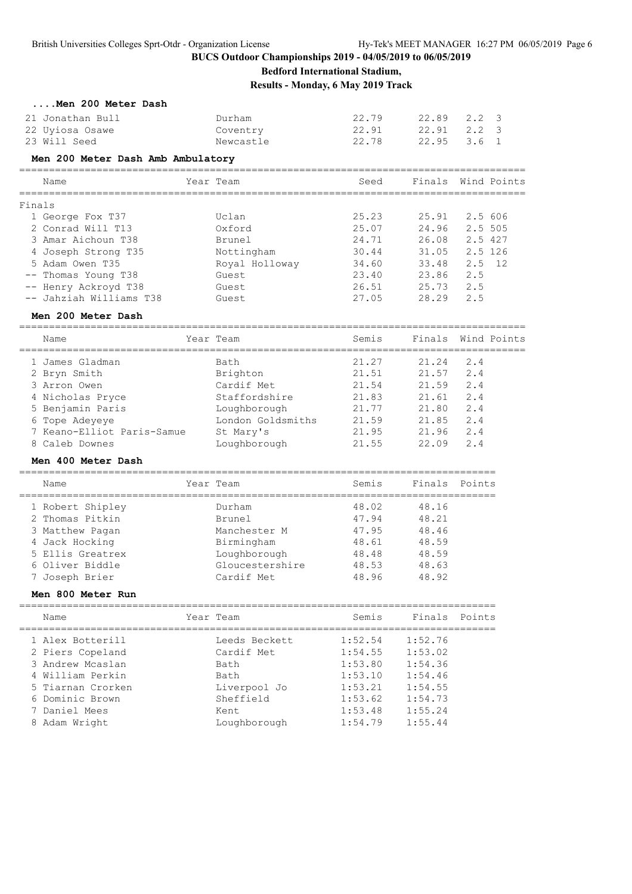**Bedford International Stadium,**

**Results - Monday, 6 May 2019 Track**

|        | Men 200 Meter Dash                              |                   |                                            |               |                    |                         |
|--------|-------------------------------------------------|-------------------|--------------------------------------------|---------------|--------------------|-------------------------|
|        | 21 Jonathan Bull                                | Durham            | 22.79                                      | 22.89         | 2.2                | 3                       |
|        | 22 Uyiosa Osawe                                 | Coventry          | 22.91                                      | 22.91         | $2 \cdot 2$        | $\overline{\mathbf{3}}$ |
|        | 23 Will Seed                                    | Newcastle         | 22.78                                      | 22.95         | $3.6 \quad 1$      |                         |
|        | Men 200 Meter Dash Amb Ambulatory               |                   |                                            |               |                    |                         |
|        | Name                                            | Year Team         | Seed                                       | Finals        |                    | Wind Points             |
|        |                                                 |                   |                                            |               |                    |                         |
| Finals |                                                 |                   |                                            |               |                    |                         |
|        | 1 George Fox T37                                | Uclan<br>Oxford   | 25.23                                      | 25.91         | 2.5 606            |                         |
|        | 2 Conrad Will T13                               |                   | 25.07<br>24.71                             | 24.96         | 2.5 505<br>2.5 427 |                         |
|        | 3 Amar Aichoun T38                              | Brunel            |                                            | 26.08         |                    |                         |
|        | 4 Joseph Strong T35<br>5 Adam Owen T35          | Nottingham        | 30.44                                      | 31.05         | 2.5 126            |                         |
|        |                                                 | Royal Holloway    | 34.60                                      | 33.48         | 2.5                | - 12                    |
|        | -- Thomas Young T38                             | Guest             | 23.40                                      | 23.86         | 2.5<br>2.5         |                         |
|        | -- Henry Ackroyd T38<br>-- Jahziah Williams T38 | Guest             | 26.51                                      | 25.73         |                    |                         |
|        |                                                 | Guest             | 27.05                                      | 28.29         | 2.5                |                         |
|        | Men 200 Meter Dash                              |                   |                                            |               |                    |                         |
|        | Name                                            | Year Team         | Semis                                      | Finals        |                    | Wind Points             |
|        | 1 James Gladman                                 | Bath              | 21.27                                      | 21.24         | 2.4                |                         |
|        | 2 Bryn Smith                                    | Brighton          | 21.51                                      | 21.57         | 2.4                |                         |
|        | 3 Arron Owen                                    | Cardif Met        | 21.54                                      | 21.59         | 2.4                |                         |
|        | 4 Nicholas Pryce                                | Staffordshire     | 21.83                                      | 21.61         | 2.4                |                         |
|        | 5 Benjamin Paris                                | Loughborough      | 21.77                                      | 21.80         | 2.4                |                         |
|        | 6 Tope Adeyeye                                  | London Goldsmiths | 21.59                                      | 21.85         | 2.4                |                         |
|        | 7 Keano-Elliot Paris-Samue                      | St Mary's         | 21.95                                      | 21.96         | 2.4                |                         |
|        | 8 Caleb Downes                                  | Loughborough      | 21.55                                      | 22.09         | 2.4                |                         |
|        | Men 400 Meter Dash                              |                   |                                            |               |                    |                         |
|        | Name                                            | Year Team         | Semis                                      | Finals        | Points             |                         |
|        |                                                 |                   | =================================          |               |                    |                         |
|        | 1 Robert Shipley                                | Durham            | 48.02                                      | 48.16         |                    |                         |
|        | 2 Thomas Pitkin                                 | Brunel            | 47.94                                      | 48.21         |                    |                         |
|        | 3 Matthew Pagan                                 | Manchester M      | 47.95                                      | 48.46         |                    |                         |
|        | 4 Jack Hocking                                  | Birmingham        | 48.61                                      | 48.59         |                    |                         |
|        | 5 Ellis Greatrex                                | Loughborough      | 48.48                                      | 48.59         |                    |                         |
|        | 6 Oliver Biddle                                 | Gloucestershire   | 48.53                                      | 48.63         |                    |                         |
|        | 7 Joseph Brier                                  | Cardif Met        | 48.96                                      | 48.92         |                    |                         |
|        | Men 800 Meter Run                               |                   |                                            |               |                    |                         |
|        | Name                                            | Year Team         | Semis                                      | Finals Points |                    |                         |
|        | 1 Alex Botterill                                | Leeds Beckett     | ===============================<br>1:52.54 | 1:52.76       |                    |                         |
|        | 2 Piers Copeland                                | Cardif Met        | 1:54.55                                    | 1:53.02       |                    |                         |
|        | 3 Andrew Mcaslan                                | Bath              | 1:53.80                                    | 1:54.36       |                    |                         |
|        | 4 William Perkin                                | Bath              | 1:53.10                                    | 1:54.46       |                    |                         |
|        | 5 Tiarnan Crorken                               | Liverpool Jo      | 1:53.21                                    | 1:54.55       |                    |                         |
|        | 6 Dominic Brown                                 | Sheffield         | 1:53.62                                    | 1:54.73       |                    |                         |
|        | 7 Daniel Mees                                   | Kent              | 1:53.48                                    | 1:55.24       |                    |                         |
|        | 8 Adam Wright                                   | Loughborough      | 1:54.79                                    | 1:55.44       |                    |                         |
|        |                                                 |                   |                                            |               |                    |                         |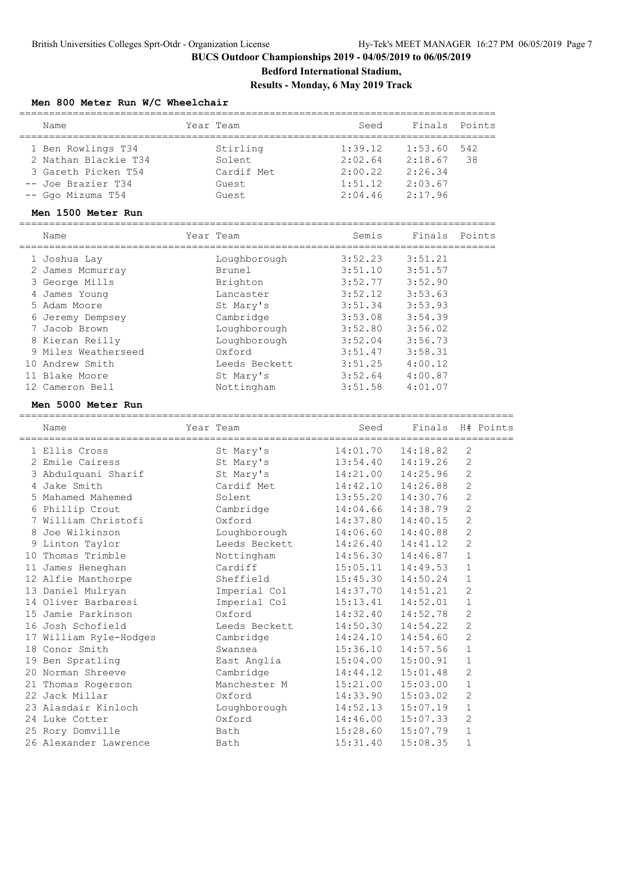### **Bedford International Stadium, Results - Monday, 6 May 2019 Track**

### **Men 800 Meter Run W/C Wheelchair**

|   | Name                                      | Year Team     | Seed                 | Finals               | Points                     |
|---|-------------------------------------------|---------------|----------------------|----------------------|----------------------------|
|   | 1 Ben Rowlings T34                        | Stirling      | 1:39.12              | 1:53.60              | 542                        |
|   | 2 Nathan Blackie T34                      | Solent        | 2:02.64              | 2:18.67              | 38                         |
|   | 3 Gareth Picken T54                       | Cardif Met    | 2:00.22              | 2:26.34              |                            |
|   | -- Joe Brazier T34                        | Guest         | 1:51.12              | 2:03.67              |                            |
|   | -- Ggo Mizuma T54                         | Guest         | 2:04.46              | 2:17.96              |                            |
|   | Men 1500 Meter Run                        |               |                      |                      |                            |
|   | Name                                      | Year Team     | Semis                | Finals               | Points                     |
|   | 1 Joshua Lav                              | Loughborough  | 3:52.23              | 3:51.21              |                            |
|   | 2 James Mcmurray                          | Brunel        | 3:51.10              | 3:51.57              |                            |
|   | 3 George Mills                            | Brighton      | 3:52.77              | 3:52.90              |                            |
|   | 4 James Young                             | Lancaster     | 3:52.12              | 3:53.63              |                            |
|   | 5 Adam Moore                              | St Mary's     | 3:51.34              | 3:53.93              |                            |
|   | 6 Jeremy Dempsey                          | Cambridge     | 3:53.08              | 3:54.39              |                            |
|   | 7 Jacob Brown                             | Loughborough  | 3:52.80              | 3:56.02              |                            |
|   | 8 Kieran Reilly                           | Loughborough  | 3:52.04              | 3:56.73              |                            |
|   | 9 Miles Weatherseed                       | Oxford        | 3:51.47              | 3:58.31              |                            |
|   | 10 Andrew Smith                           | Leeds Beckett | 3:51.25              | 4:00.12              |                            |
|   | 11 Blake Moore                            | St Mary's     | 3:52.64              | 4:00.87              |                            |
|   | 12 Cameron Bell                           | Nottingham    | 3:51.58              | 4:01.07              |                            |
|   | Men 5000 Meter Run                        |               |                      |                      |                            |
|   | =====================<br>Name             | Year Team     | Seed                 | Finals               | H# Points                  |
|   | 1 Ellis Cross                             | St Mary's     | 14:01.70             | 14:18.82             | 2                          |
|   | 2 Emile Cairess                           | St Mary's     | 13:54.40             | 14:19.26             | 2                          |
|   | 3 Abdulquani Sharif                       | St Mary's     | 14:21.00             | 14:25.96             | 2                          |
|   | 4 Jake Smith                              | Cardif Met    | 14:42.10             | 14:26.88             | 2                          |
|   | 5 Mahamed Mahemed                         | Solent        | 13:55.20             | 14:30.76             | $\overline{2}$             |
|   | 6 Phillip Crout                           | Cambridge     | 14:04.66             | 14:38.79             | $\overline{c}$             |
| 7 | William Christofi                         | Oxford        | 14:37.80             | 14:40.15             | 2                          |
| 8 | Joe Wilkinson                             | Loughborough  | 14:06.60             | 14:40.88             | 2                          |
| 9 | Linton Taylor                             | Leeds Beckett | 14:26.40             | 14:41.12             | $\overline{c}$             |
|   | 10 Thomas Trimble                         | Nottingham    | 14:56.30             | 14:46.87             | $\mathbf 1$                |
|   | 11 James Heneghan                         | Cardiff       | 15:05.11             | 14:49.53             | $\mathbf 1$                |
|   | 12 Alfie Manthorpe                        | Sheffield     | 15:45.30             | 14:50.24             | 1                          |
|   | 13 Daniel Mulryan                         | Imperial Col  | 14:37.70             | 14:51.21             | 2                          |
|   | 14 Oliver Barbaresi                       | Imperial Col  | 15:13.41             | 14:52.01             | 1                          |
|   | 15 Jamie Parkinson                        | Oxford        | 14:32.40             | 14:52.78             | $\mathbf 2$                |
|   | 16 Josh Schofield                         | Leeds Beckett | 14:50.30             | 14:54.22             | $\mathbf 2$                |
|   | 17 William Ryle-Hodges                    | Cambridge     | 14:24.10             | 14:54.60             | $\sqrt{2}$                 |
|   | 18 Conor Smith                            | Swansea       | 15:36.10             | 14:57.56             | $\mathbf 1$                |
|   | 19 Ben Spratling                          | East Anglia   | 15:04.00             | 15:00.91             | $\mathbf 1$                |
|   | 20 Norman Shreeve                         | Cambridge     | 14:44.12             | 15:01.48             | 2                          |
|   | 21 Thomas Rogerson                        | Manchester M  | 15:21.00             | 15:03.00             | $\mathbf 1$                |
|   | 22 Jack Millar                            | Oxford        | 14:33.90             | 15:03.02             | $\sqrt{2}$                 |
|   | 23 Alasdair Kinloch                       | Loughborough  | 14:52.13             | 15:07.19             | $\mathbf 1$                |
|   | 24 Luke Cotter                            | Oxford        | 14:46.00             | 15:07.33             | $\mathbf 2$                |
|   |                                           |               |                      |                      |                            |
|   | 25 Rory Domville<br>26 Alexander Lawrence | Bath<br>Bath  | 15:28.60<br>15:31.40 | 15:07.79<br>15:08.35 | $\mathbf 1$<br>$\mathbf 1$ |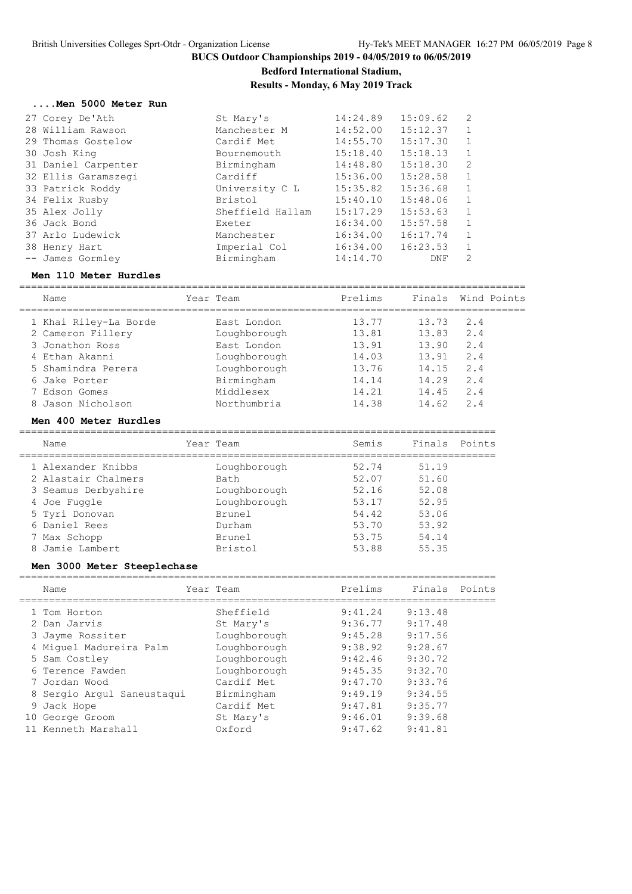**Bedford International Stadium,**

### **Results - Monday, 6 May 2019 Track**

#### **....Men 5000 Meter Run**

| 27 Corey De'Ath     | St Mary's        | 14:24.89 | 15:09.62 | 2            |
|---------------------|------------------|----------|----------|--------------|
| 28 William Rawson   | Manchester M     | 14:52.00 | 15:12.37 |              |
| 29 Thomas Gostelow  | Cardif Met       | 14:55.70 | 15:17.30 |              |
| 30 Josh King        | Bournemouth      | 15:18.40 | 15:18.13 |              |
| 31 Daniel Carpenter | Birmingham       | 14:48.80 | 15:18.30 | 2            |
| 32 Ellis Garamszegi | Cardiff          | 15:36.00 | 15:28.58 | $\mathbf{1}$ |
| 33 Patrick Roddy    | University C L   | 15:35.82 | 15:36.68 | 1            |
| 34 Felix Rusby      | Bristol          | 15:40.10 | 15:48.06 |              |
| 35 Alex Jolly       | Sheffield Hallam | 15:17.29 | 15:53.63 |              |
| 36 Jack Bond        | Exeter           | 16:34.00 | 15:57.58 | 1            |
| 37 Arlo Ludewick    | Manchester       | 16:34.00 | 16:17.74 | 1            |
| 38 Henry Hart       | Imperial Col     | 16:34.00 | 16:23.53 |              |
| -- James Gormley    | Birmingham       | 14:14.70 | DNF      | 2            |
|                     |                  |          |          |              |

### **Men 110 Meter Hurdles**

| Name<br>====================               | Year Team                    | Prelims<br>====================== | Finals               | Wind Points |
|--------------------------------------------|------------------------------|-----------------------------------|----------------------|-------------|
| 1 Khai Riley-La Borde<br>2 Cameron Fillery | East London<br>Loughborough  | 13.77<br>13.81                    | 13.73<br>13.83       | 2.4<br>2.4  |
| 3 Jonathon Ross<br>4 Ethan Akanni          | East London                  | 13.91                             | 13.90                | 2.4<br>2.4  |
| 5 Shamindra Perera                         | Loughborough<br>Loughborough | 14.03                             | 13.91<br>13.76 14.15 | 2.4         |
| 6 Jake Porter<br>7 Edson Gomes             | Birmingham<br>Middlesex      | 14.21                             | 14.14 14.29<br>14.45 | 2.4<br>2.4  |
| 8 Jason Nicholson                          | Northumbria                  | 14.38                             | 14.62                | 2.4         |
| Men 400 Meter Hurdles                      |                              |                                   |                      |             |
| Name                                       | Year Team                    | Semis                             | Finals               | Points      |
| 1 Alexander Knibbs                         | Loughborough                 | 52.74                             | 51.19                |             |
| 2 Alastair Chalmers                        | Bath                         | 52.07                             | 51.60                |             |
| 3 Seamus Derbyshire                        | Loughborough                 | 52.16                             | 52.08                |             |
| 4 Joe Fuggle                               | Loughborough                 | 53.17                             | 52.95                |             |
| 5 Tyri Donovan                             | Brunel                       | 54.42                             | 53.06                |             |
| 6 Daniel Rees                              | Durham                       | 53.70                             | 53.92                |             |
| 7 Max Schopp                               | Brunel                       | 53.75                             | 54.14                |             |
| Jamie Lambert<br>8.                        | Bristol                      | 53.88                             | 55.35                |             |

#### **Men 3000 Meter Steeplechase**

|    | Name                       | Year Team    | Prelims | Finals  | Points |
|----|----------------------------|--------------|---------|---------|--------|
|    | 1 Tom Horton               | Sheffield    | 9:41.24 | 9:13.48 |        |
|    | 2 Dan Jarvis               | St Mary's    | 9:36.77 | 9:17.48 |        |
|    | 3 Jayme Rossiter           | Loughborough | 9:45.28 | 9:17.56 |        |
|    | 4 Miquel Madureira Palm    | Loughborough | 9:38.92 | 9:28.67 |        |
|    | 5 Sam Costley              | Loughborough | 9:42.46 | 9:30.72 |        |
|    | 6 Terence Fawden           | Loughborough | 9:45.35 | 9:32.70 |        |
|    | 7 Jordan Wood              | Cardif Met   | 9:47.70 | 9:33.76 |        |
|    | 8 Sergio Argul Saneustagui | Birmingham   | 9:49.19 | 9:34.55 |        |
|    | 9 Jack Hope                | Cardif Met   | 9:47.81 | 9:35.77 |        |
| 10 | George Groom               | St Mary's    | 9:46.01 | 9:39.68 |        |
|    | Kenneth Marshall           | Oxford       | 9:47.62 | 9:41.81 |        |
|    |                            |              |         |         |        |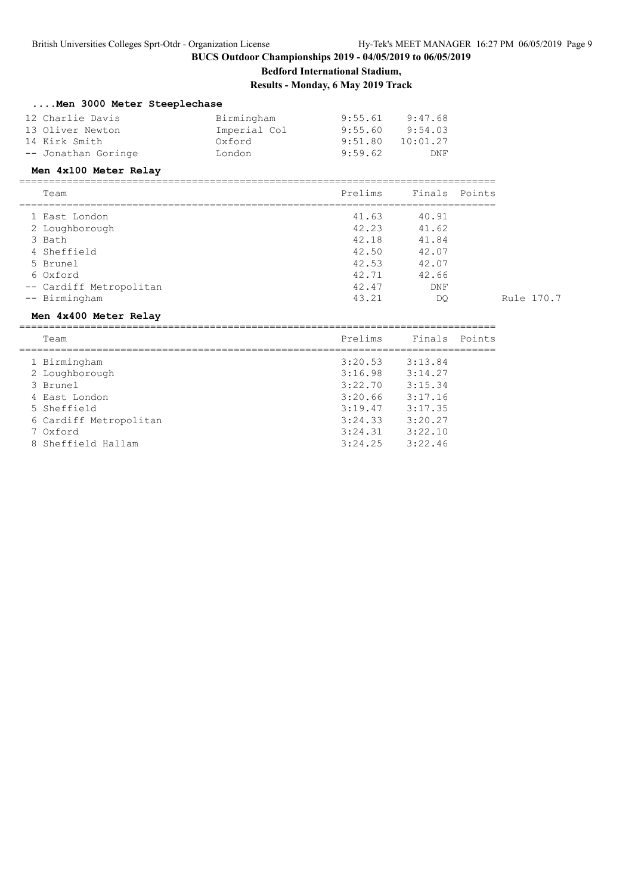# **Bedford International Stadium,**

**Results - Monday, 6 May 2019 Track**

|  |  |  |  | Men 3000 Meter Steeplechase |
|--|--|--|--|-----------------------------|
|--|--|--|--|-----------------------------|

| 12 Charlie Davis    | Birmingham   | 9:55.61 | 9:47.68  |
|---------------------|--------------|---------|----------|
| 13 Oliver Newton    | Imperial Col | 9:55.60 | 9:54.03  |
| 14 Kirk Smith       | Oxford       | 9:51.80 | 10:01.27 |
| -- Jonathan Goringe | London       | 9:59.62 | DNF      |

#### **Men 4x100 Meter Relay**

================================================================================

| Team |  |  |  |  |  | $D \times \cap$ |               | Finals<br>------     | P∩i | . |
|------|--|--|--|--|--|-----------------|---------------|----------------------|-----|---|
|      |  |  |  |  |  |                 |               |                      |     |   |
|      |  |  |  |  |  | $\sim$          | $\sim$ $\sim$ | $\sim$ $\sim$ $\sim$ |     |   |

| 1 East London           | 41.63 | 40.91 |            |
|-------------------------|-------|-------|------------|
| 2 Loughborough          | 42.23 | 41.62 |            |
| 3 Bath                  | 42.18 | 41.84 |            |
| 4 Sheffield             | 42.50 | 42.07 |            |
| 5 Brunel                | 42.53 | 42.07 |            |
| 6 Oxford                | 42.71 | 42.66 |            |
| -- Cardiff Metropolitan | 42.47 | DNF   |            |
| -- Birmingham           | 43.21 | DO    | Rule 170.7 |
|                         |       |       |            |

#### **Men 4x400 Meter Relay**

================================================================================

| Team                   | Prelims | Finals Points |  |
|------------------------|---------|---------------|--|
|                        |         |               |  |
| 1 Birmingham           | 3:20.53 | 3:13.84       |  |
| 2 Loughborough         | 3:16.98 | 3:14.27       |  |
| 3 Brunel               | 3:22.70 | 3:15.34       |  |
| 4 East London          | 3:20.66 | 3:17.16       |  |
| 5 Sheffield            | 3:19.47 | 3:17.35       |  |
| 6 Cardiff Metropolitan | 3:24.33 | 3:20.27       |  |
| 7 Oxford               | 3:24.31 | 3:22.10       |  |
| 8 Sheffield Hallam     | 3:24.25 | 3:22.46       |  |
|                        |         |               |  |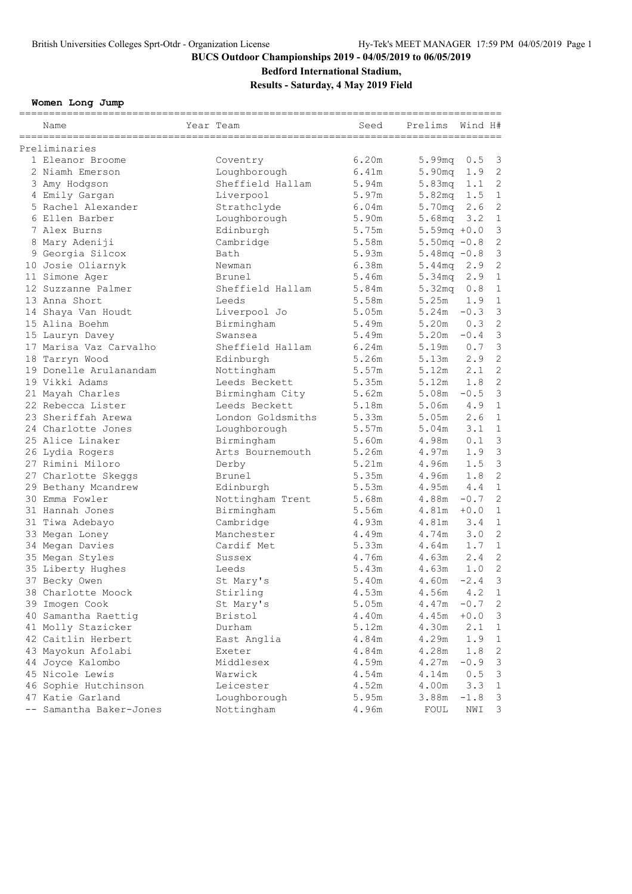### **Bedford International Stadium,**

**Results - Saturday, 4 May 2019 Field**

**Women Long Jump**

| Name                                     | Year Team                  | Seed  | Prelims            | Wind H#    |                           |
|------------------------------------------|----------------------------|-------|--------------------|------------|---------------------------|
| Preliminaries                            |                            |       |                    |            |                           |
| 1 Eleanor Broome                         | Coventry                   | 6.20m | 5.99mq             | 0.5        | $\mathcal{E}$             |
| 2 Niamh Emerson                          | Loughborough               | 6.41m | 5.90 <sub>mq</sub> | 1.9        | $\overline{c}$            |
| 3 Amy Hodgson                            | Sheffield Hallam           | 5.94m | 5.83mg             | 1.1        | $\overline{c}$            |
| 4 Emily Gargan                           | Liverpool                  | 5.97m | 5.82 <sub>mq</sub> | 1.5        | $\mathbf{1}$              |
| 5 Rachel Alexander                       | Strathclyde                | 6.04m | 5.70mg             | 2.6        | $\mathbf{2}$              |
| 6 Ellen Barber                           | Loughborough               | 5.90m | 5.68mg             | 3.2        | $1\,$                     |
| 7 Alex Burns                             | Edinburgh                  | 5.75m | $5.59mg + 0.0$     |            | $\mathfrak{Z}$            |
| 8 Mary Adeniji                           | Cambridge                  | 5.58m | $5.50mg - 0.8$     |            | $\overline{c}$            |
| 9 Georgia Silcox                         | Bath                       | 5.93m | $5.48mg - 0.8$     |            | $\mathfrak{Z}$            |
| 10 Josie Oliarnyk                        | Newman                     | 6.38m | 5.44mq             | 2.9        | $\overline{c}$            |
| 11 Simone Ager                           | Brunel                     | 5.46m | 5.34 <sub>mq</sub> | 2.9        | $\mathbf{1}$              |
| 12 Suzzanne Palmer                       | Sheffield Hallam           | 5.84m | 5.32 <sub>mq</sub> | 0.8        | $\mathbf{1}$              |
| 13 Anna Short                            | Leeds                      | 5.58m | 5.25m              | 1.9        | $\mathbf 1$               |
|                                          |                            | 5.05m | $5.24m - 0.3$      |            | $\mathfrak{Z}$            |
| 14 Shaya Van Houdt<br>15 Alina Boehm     | Liverpool Jo<br>Birmingham | 5.49m | 5.20m              | 0.3        | $\overline{c}$            |
|                                          | Swansea                    | 5.49m | 5.20m              | $-0.4$     | $\mathsf 3$               |
| 15 Lauryn Davey                          |                            |       |                    |            | $\mathfrak{Z}$            |
| 17 Marisa Vaz Carvalho                   | Sheffield Hallam           | 6.24m | 5.19m              | 0.7<br>2.9 | $\overline{c}$            |
| 18 Tarryn Wood<br>19 Donelle Arulanandam | Edinburgh                  | 5.26m | 5.13m<br>5.12m     | 2.1        | $\overline{c}$            |
|                                          | Nottingham                 | 5.57m |                    |            | $\overline{c}$            |
| 19 Vikki Adams                           | Leeds Beckett              | 5.35m | 5.12m              | 1.8        | $\mathcal{S}$             |
| 21 Mayah Charles                         | Birmingham City            | 5.62m | 5.08m              | $-0.5$     |                           |
| 22 Rebecca Lister                        | Leeds Beckett              | 5.18m | 5.06m              | 4.9        | $\mathbf{1}$              |
| 23 Sheriffah Arewa                       | London Goldsmiths          | 5.33m | 5.05m              | 2.6        | $\mathbf{1}$              |
| 24 Charlotte Jones                       | Loughborough               | 5.57m | 5.04m              | 3.1        | $\mathbf{1}$              |
| 25 Alice Linaker                         | Birmingham                 | 5.60m | 4.98m              | 0.1        | $\mathfrak{Z}$            |
| 26 Lydia Rogers                          | Arts Bournemouth           | 5.26m | 4.97m              | 1.9        | $\mathfrak{Z}$            |
| 27 Rimini Miloro                         | Derby                      | 5.21m | 4.96m              | 1.5        | $\mathfrak{Z}$            |
| 27 Charlotte Skeggs                      | Brunel                     | 5.35m | 4.96m              | 1.8        | $\overline{c}$            |
| 29 Bethany Mcandrew                      | Edinburgh                  | 5.53m | 4.95m              | 4.4        | $\mathbf{1}$              |
| 30 Emma Fowler                           | Nottingham Trent           | 5.68m | 4.88m              | $-0.7$     | $\mathbf{2}$              |
| 31 Hannah Jones                          | Birmingham                 | 5.56m | 4.81m              | $+0.0$     | $\mathbf 1$               |
| 31 Tiwa Adebayo                          | Cambridge                  | 4.93m | $4.81m$ 3.4        |            | $1\,$                     |
| 33 Megan Loney                           | Manchester                 | 4.49m | 4.74m              | 3.0        | $\mathbf{2}$              |
| 34 Megan Davies                          | Cardif Met                 | 5.33m | 4.64m              | 1.7        | $1\,$                     |
| 35 Megan Styles                          | Sussex                     | 4.76m | 4.63m              | 2.4        | $\mathbf{2}$              |
| 35 Liberty Hughes                        | Leeds                      | 5.43m | 4.63m              | 1.0        | $\mathbf{2}$              |
| 37 Becky Owen                            | St Mary's                  | 5.40m | 4.60m              | $-2.4$     | 3                         |
| 38 Charlotte Moock                       | Stirling                   | 4.53m | 4.56m              | 4.2        | $\mathbf{1}$              |
| 39 Imogen Cook                           | St Mary's                  | 5.05m | 4.47m              | $-0.7$     | $\mathbf{2}$              |
| 40 Samantha Raettig                      | Bristol                    | 4.40m | 4.45m              | $+0.0$     | $\mathsf 3$               |
| 41 Molly Stazicker                       | Durham                     | 5.12m | 4.30m              | 2.1        | $\mathbf 1$               |
| 42 Caitlin Herbert                       | East Anglia                | 4.84m | 4.29m              | 1.9        | $\mathbf 1$               |
| 43 Mayokun Afolabi                       | Exeter                     | 4.84m | 4.28m              | 1.8        | $\sqrt{2}$                |
| 44 Joyce Kalombo                         | Middlesex                  | 4.59m | 4.27m              | $-0.9$     | $\mathsf 3$               |
| 45 Nicole Lewis                          | Warwick                    | 4.54m | 4.14m              | 0.5        | $\ensuremath{\mathsf{3}}$ |
| 46 Sophie Hutchinson                     | Leicester                  | 4.52m | 4.00m              | 3.3        | $\mathbf 1$               |
| 47 Katie Garland                         | Loughborough               | 5.95m | 3.88m              | $-1.8$     | 3                         |
| Samantha Baker-Jones                     | Nottingham                 | 4.96m | FOUL               | NWI        | 3                         |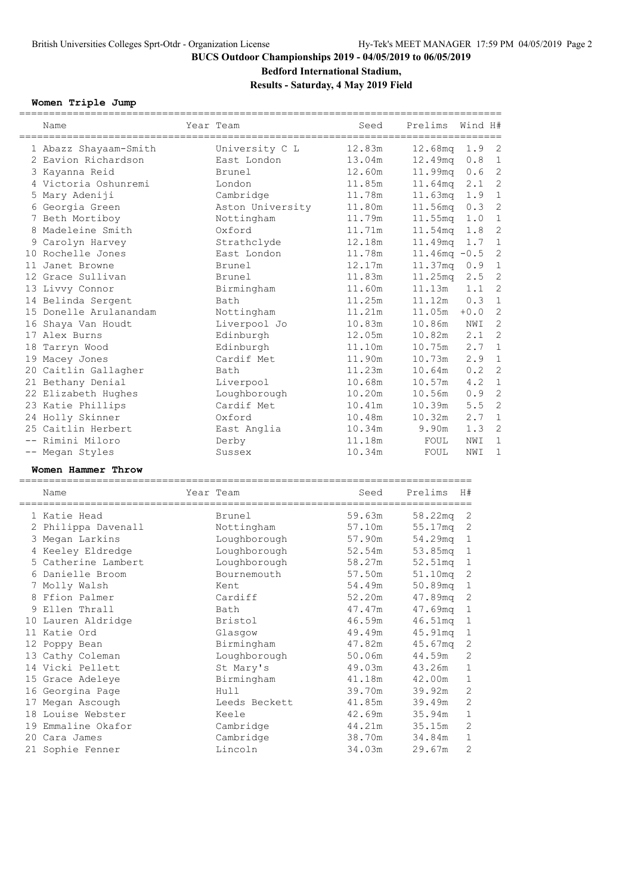### **Bedford International Stadium,**

**Results - Saturday, 4 May 2019 Field**

### **Women Triple Jump**

| Name                   | Year Team        | Seed   | Prelims         | Wind H#       |                |
|------------------------|------------------|--------|-----------------|---------------|----------------|
| 1 Abazz Shayaam-Smith  | University C L   | 12.83m | $12.68$ mq      | $1.9-2$       |                |
| 2 Eavion Richardson    | East London      | 13.04m | 12.49mg         | $0.8 \quad 1$ |                |
| 3 Kayanna Reid         | Brunel           | 12.60m | 11.99mg         | 0.6           | $\overline{c}$ |
| 4 Victoria Oshunremi   | London           | 11.85m | 11.64mq         | 2.1           | $\overline{c}$ |
| 5 Mary Adeniji         | Cambridge        | 11.78m | $11.63$ mq      | 1.9           | $\mathbf{1}$   |
| 6 Georgia Green        | Aston University | 11.80m | $11.56$ mq      | 0.3           | $\overline{c}$ |
| 7 Beth Mortiboy        | Nottingham       | 11.79m | $11.55$ ma      | 1.0           | $\mathbf{1}$   |
| 8 Madeleine Smith      | Oxford           | 11.71m | 11.54mg         | 1.8           | $\overline{c}$ |
| 9 Carolyn Harvey       | Strathclyde      | 12.18m | 11.49mg         | 1.7           | $\mathbf{1}$   |
| 10 Rochelle Jones      | East London      | 11.78m | $11.46mg - 0.5$ |               | $\overline{c}$ |
| 11 Janet Browne        | Brunel           | 12.17m | $11.37mg$ 0.9   |               | $\mathbf{1}$   |
| 12 Grace Sullivan      | Brunel           | 11.83m | 11.25mg         | 2.5           | $\overline{c}$ |
| 13 Livvy Connor        | Birmingham       | 11.60m | 11.13m          | 1.1           | $\overline{c}$ |
| 14 Belinda Sergent     | Bath             | 11.25m | 11.12m          | 0.3           | $\mathbf{1}$   |
| 15 Donelle Arulanandam | Nottingham       | 11.21m | $11.05m + 0.0$  |               | $\overline{c}$ |
| 16 Shaya Van Houdt     | Liverpool Jo     | 10.83m | 10.86m NWI      |               | $\overline{c}$ |
| 17 Alex Burns          | Edinburgh        | 12.05m | 10.82m          | 2.1           | $\overline{c}$ |
| 18 Tarryn Wood         | Edinburgh        | 11.10m | 10.75m          | 2.7           | $\mathbf{1}$   |
| 19 Macey Jones         | Cardif Met       | 11.90m | 10.73m          | 2.9           | $\mathbf{1}$   |
| 20 Caitlin Gallagher   | Bath             | 11.23m | 10.64m          | 0.2           | $\overline{c}$ |
| 21 Bethany Denial      | Liverpool        | 10.68m | 10.57m          | 4.2           | $\mathbf{1}$   |
| 22 Elizabeth Hughes    | Loughborough     | 10.20m | 10.56m          | 0.9           | $\overline{c}$ |
| 23 Katie Phillips      | Cardif Met       | 10.41m | 10.39m          | 5.5           | $\overline{c}$ |
| 24 Holly Skinner       | Oxford           | 10.48m | 10.32m          | 2.7           | $\mathbf{1}$   |
| 25 Caitlin Herbert     | East Anglia      | 10.34m | 9.90m           | 1.3           | $\overline{c}$ |
| -- Rimini Miloro       | Derby            | 11.18m | FOUL            | NWI           | 1              |
| -- Megan Styles        | Sussex           | 10.34m | FOUL            | NWI           | 1              |
|                        |                  |        |                 |               |                |

#### **Women Hammer Throw**

|    | Name                                        | Year Team                           | Seed            | Prelims    | H#           |
|----|---------------------------------------------|-------------------------------------|-----------------|------------|--------------|
|    | ===========================<br>1 Katie Head | =========================<br>Brunel | 59.63m          | 58.22mq    | 2            |
|    | 2 Philippa Davenall                         | Nottingham                          | 57.10m          | 55.17mg    | 2            |
|    | 3 Megan Larkins                             | Loughborough                        | 57.90m          | 54.29mg    | 1            |
|    | 4 Keeley Eldredge                           | Loughborough                        | 52.54m          | 53.85mq 1  |              |
|    | 5 Catherine Lambert                         | Loughborough                        | 58.27m          | 52.51mq    | $\mathbf{1}$ |
|    | 6 Danielle Broom                            | Bournemouth                         | 57.50m          | 51.10mq    | $\mathbf{2}$ |
|    | 7 Molly Walsh                               | Kent                                | 54.49m          | 50.89mg    | $\mathbf 1$  |
|    | 8 Ffion Palmer                              | Cardiff                             | 52.20m          | 47.89mg    | 2            |
|    | 9 Ellen Thrall                              | Bath                                | 47.47m          | 47.69mg    | $\mathbf{1}$ |
|    | 10 Lauren Aldridge                          | Bristol                             | 46.59m          | $46.51$ mq | $\mathbf{1}$ |
|    | 11 Katie Ord                                | Glasgow                             | 49.49m          | 45.91mg    | $\mathbf{1}$ |
|    | 12 Poppy Bean                               | Birmingham                          | 47.82m          | 45.67mg    | 2            |
|    | 13 Cathy Coleman                            | Loughborough                        | 50.06m          | 44.59m     | $\mathbf{2}$ |
|    | 14 Vicki Pellett                            | St Mary's                           | 49.03m          | 43.26m     | $\mathbf 1$  |
|    | 15 Grace Adeleye                            | Birmingham                          | 41 <b>.</b> 18m | 42.00m     | 1            |
|    | 16 Georgina Page                            | Hull                                | 39.70m          | 39.92m     | $\mathbf{2}$ |
| 17 | Megan Ascough                               | Leeds Beckett                       | 41.85m          | 39.49m     | 2            |
|    | 18 Louise Webster                           | Keele                               | 42.69m          | 35.94m     | $\mathbf 1$  |
|    | 19 Emmaline Okafor                          | Cambridge                           | 44.21m          | 35.15m     | 2            |
|    | 20 Cara James                               | Cambridge                           | 38.70m          | 34.84m     | 1            |
|    | 21 Sophie Fenner                            | Lincoln                             | 34.03m          | 29.67m     | 2            |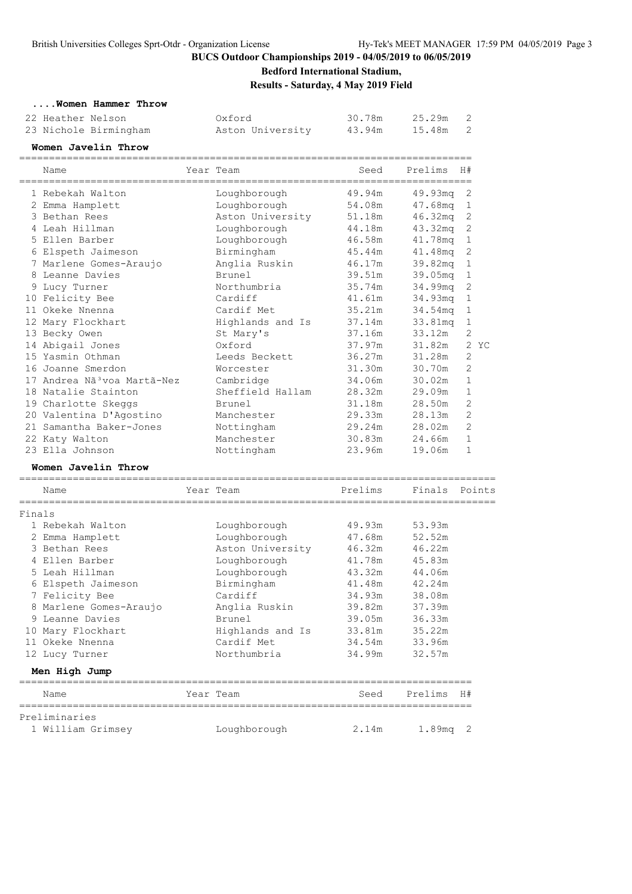**Bedford International Stadium,**

**Results - Saturday, 4 May 2019 Field**

#### **....Women Hammer Throw**

| 22 Heather Nelson     | Oxford           | 30.78m | 25.29m 2 |  |
|-----------------------|------------------|--------|----------|--|
| 23 Nichole Birmingham | Aston University | 43.94m | 15.48m 2 |  |

#### **Women Javelin Throw**

|        | Name                                    | Year Team        | Seed    | Prelims    | H#           |
|--------|-----------------------------------------|------------------|---------|------------|--------------|
|        | 1 Rebekah Walton                        | Loughborough     | 49.94m  | 49.93mg    | 2            |
|        | 2 Emma Hamplett                         | Loughborough     | 54.08m  | 47.68mg    | $\mathbf 1$  |
|        | 3 Bethan Rees                           | Aston University | 51.18m  | 46.32mg    | 2            |
|        | 4 Leah Hillman                          | Loughborough     | 44.18m  | 43.32mq    | 2            |
|        | 5 Ellen Barber                          | Loughborough     | 46.58m  | 41.78mg    | 1            |
|        | 6 Elspeth Jaimeson                      | Birmingham       | 45.44m  | 41.48mg    | 2            |
|        | 7 Marlene Gomes-Araujo                  | Anglia Ruskin    | 46.17m  | 39.82mq    | $\mathbf 1$  |
|        | 8 Leanne Davies                         | Brunel           | 39.51m  | 39.05mg    | $\mathbf{1}$ |
|        | 9 Lucy Turner                           | Northumbria      | 35.74m  | 34.99mq    | 2            |
|        | 10 Felicity Bee                         | Cardiff          | 41.61m  | 34.93mq    | 1            |
|        | 11 Okeke Nnenna                         | Cardif Met       | 35.21m  | 34.54mq    | 1            |
|        | 12 Mary Flockhart                       | Highlands and Is | 37.14m  | 33.81mq    | 1            |
|        | 13 Becky Owen                           | St Mary's        | 37.16m  | 33.12m     | 2            |
|        | 14 Abigail Jones                        | Oxford           | 37.97m  | 31.82m     | 2 YC         |
|        | 15 Yasmin Othman                        | Leeds Beckett    | 36.27m  | 31.28m     | 2            |
|        | 16 Joanne Smerdon                       | Worcester        | 31.30m  | 30.70m     | 2            |
|        | 17 Andrea Nã <sup>3</sup> voa Martã-Nez | Cambridge        | 34.06m  | 30.02m     | $\mathbf 1$  |
|        | 18 Natalie Stainton                     | Sheffield Hallam | 28.32m  | 29.09m     | 1            |
|        | 19 Charlotte Skeggs                     | Brunel           | 31.18m  | 28.50m     | 2            |
|        | 20 Valentina D'Agostino                 | Manchester       | 29.33m  | 28.13m     | 2            |
|        | 21 Samantha Baker-Jones                 | Nottingham       | 29.24m  | 28.02m     | 2            |
|        | 22 Katy Walton                          | Manchester       | 30.83m  | 24.66m     | $\mathbf{1}$ |
|        | 23 Ella Johnson                         | Nottingham       | 23.96m  | 19.06m     | $\mathbf{1}$ |
|        | Women Javelin Throw                     |                  |         |            |              |
|        | Name                                    | Year Team        | Prelims | Finals     | Points       |
| Finals |                                         |                  |         |            |              |
|        | 1 Rebekah Walton                        | Loughborough     | 49.93m  | 53.93m     |              |
|        | 2 Emma Hamplett                         | Loughborough     | 47.68m  | 52.52m     |              |
|        | 3 Bethan Rees                           | Aston University | 46.32m  | 46.22m     |              |
|        | 4 Ellen Barber                          | Loughborough     | 41.78m  | 45.83m     |              |
|        | 5 Leah Hillman                          | Loughborough     | 43.32m  | 44.06m     |              |
|        | 6 Elspeth Jaimeson                      | Birmingham       | 41.48m  | 42.24m     |              |
|        | 7 Felicity Bee                          | Cardiff          | 34.93m  | 38.08m     |              |
|        | 8 Marlene Gomes-Araujo                  | Anglia Ruskin    | 39.82m  | 37.39m     |              |
|        | 9 Leanne Davies                         | Brunel           | 39.05m  | 36.33m     |              |
|        | 10 Mary Flockhart                       | Highlands and Is | 33.81m  | 35.22m     |              |
|        | 11 Okeke Nnenna                         | Cardif Met       | 34.54m  | 33.96m     |              |
|        | 12 Lucy Turner                          | Northumbria      | 34.99m  | 32.57m     |              |
|        | Men High Jump                           |                  |         |            |              |
|        | Name                                    | Year Team        | Seed    | Prelims H# |              |
|        | Preliminaries                           |                  |         |            |              |
|        | 1 William Grimsey                       | Loughborough     | 2.14m   | $1.89mg$ 2 |              |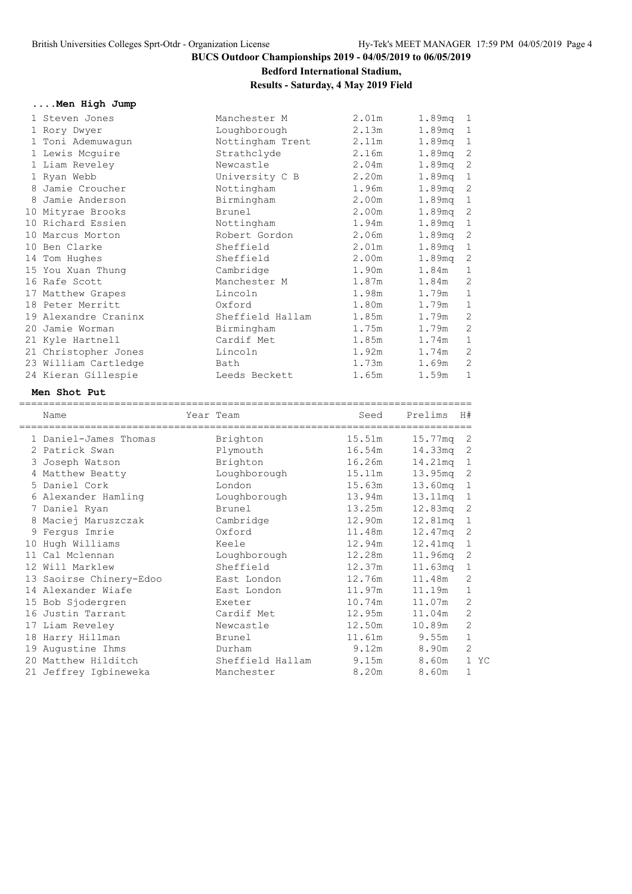# **Bedford International Stadium,**

### **Results - Saturday, 4 May 2019 Field**

| Men High Jump |  |
|---------------|--|
|---------------|--|

| 1 Steven Jones       | Manchester M     | 2.01m | $1.89mg - 1$       |              |
|----------------------|------------------|-------|--------------------|--------------|
| 1 Rory Dwyer         | Loughborough     | 2.13m | 1.89mq 1           |              |
| 1 Toni Ademuwaqun    | Nottingham Trent | 2.11m | 1.89mq 1           |              |
| 1 Lewis Mcguire      | Strathclyde      | 2.16m | 1.89 <sub>mq</sub> | 2            |
| 1 Liam Reveley       | Newcastle        | 2.04m | 1.89mq 2           |              |
| 1 Ryan Webb          | University C B   | 2.20m | 1.89mq 1           |              |
| 8 Jamie Croucher     | Nottingham       | 1.96m | 1.89mq 2           |              |
| 8 Jamie Anderson     | Birmingham       | 2.00m | 1.89mg 1           |              |
| 10 Mityrae Brooks    | Brunel           | 2.00m | $1.89mg$ 2         |              |
| 10 Richard Essien    | Nottingham       | 1.94m | 1.89mg 1           |              |
| 10 Marcus Morton     | Robert Gordon    | 2.06m | 1.89mq 2           |              |
| 10 Ben Clarke        | Sheffield        | 2.01m | 1.89mg 1           |              |
| 14 Tom Hughes        | Sheffield        | 2.00m | 1.89 <sub>mq</sub> | 2            |
| 15 You Xuan Thung    | Cambridge        | 1.90m | 1.84m              | $\mathbf{1}$ |
| 16 Rafe Scott        | Manchester M     | 1.87m | 1.84m              | 2            |
| 17 Matthew Grapes    | Lincoln          | 1.98m | 1.79m              | $\mathbf 1$  |
| 18 Peter Merritt     | Oxford           | 1.80m | 1.79m              | $\mathbf{1}$ |
| 19 Alexandre Craninx | Sheffield Hallam | 1.85m | 1.79m              | 2            |
| 20 Jamie Worman      | Birmingham       | 1.75m | 1.79m              | $\sqrt{2}$   |
| 21 Kyle Hartnell     | Cardif Met       | 1.85m | 1.74m              | $\mathbf 1$  |
| 21 Christopher Jones | Lincoln          | 1.92m | 1.74m              | 2            |
| 23 William Cartledge | Bath             | 1.73m | 1.69m              | 2            |
| 24 Kieran Gillespie  | Leeds Beckett    | 1.65m | 1.59m              | $\mathbf 1$  |

### **Men Shot Put**

|    | Name                    | Year Team        | Seed            | Prelims | H#             |
|----|-------------------------|------------------|-----------------|---------|----------------|
|    | 1 Daniel-James Thomas   | Brighton         | 15.51m          | 15.77mg | 2              |
|    | 2 Patrick Swan          | Plymouth         | 16.54m          | 14.33mg | 2              |
|    | 3 Joseph Watson         | Brighton         | 16.26m          | 14.21mg | 1              |
|    | 4 Matthew Beatty        | Loughborough     | 15.11m          | 13.95mg | 2              |
|    | 5 Daniel Cork           | London           | 15.63m          | 13.60mg | 1              |
|    | 6 Alexander Hamling     | Loughborough     | 13.94m          | 13.11mq | 1              |
|    | 7 Daniel Ryan           | Brunel           | 13.25m          | 12.83mg | 2              |
| 8  | Maciej Maruszczak       | Cambridge        | 12.90m          | 12.81mg | $\mathbf 1$    |
|    | 9 Ferqus Imrie          | Oxford           | 11 <b>.</b> 48m | 12.47mg | 2              |
| 10 | Hugh Williams           | Keele            | 12.94m          | 12.41mg | 1              |
| 11 | Cal Mclennan            | Loughborough     | 12.28m          | 11.96mg | 2              |
|    | 12 Will Marklew         | Sheffield        | 12.37m          | 11.63mg | 1              |
|    | 13 Saoirse Chinery-Edoo | East London      | 12.76m          | 11.48m  | 2              |
|    | 14 Alexander Wiafe      | East London      | 11.97m          | 11.19m  | 1              |
|    | 15 Bob Sjodergren       | Exeter           | 10.74m          | 11.07m  | $\overline{2}$ |
|    | 16 Justin Tarrant       | Cardif Met       | 12.95m          | 11.04m  | 2              |
|    | 17 Liam Reveley         | Newcastle        | 12.50m          | 10.89m  | $\overline{2}$ |
|    | 18 Harry Hillman        | Brunel           | 11 <b>.</b> 61m | 9.55m   | $\mathbf 1$    |
|    | 19 Augustine Ihms       | Durham           | 9.12m           | 8.90m   | $\overline{2}$ |
|    | 20 Matthew Hilditch     | Sheffield Hallam | 9.15m           | 8.60m   | 1 YC           |
|    | 21 Jeffrey Igbineweka   | Manchester       | 8.20m           | 8.60m   | 1              |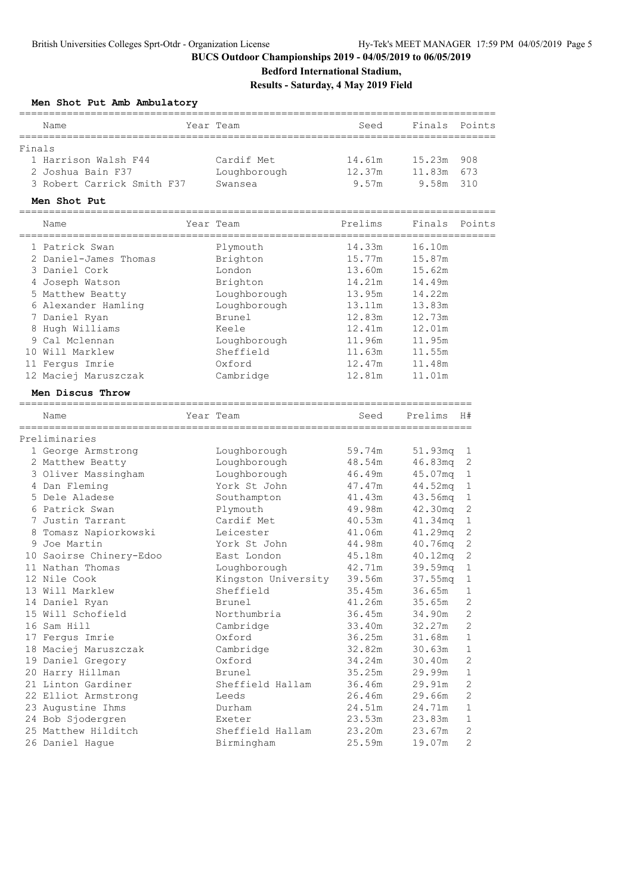# **Bedford International Stadium,**

**Results - Saturday, 4 May 2019 Field**

|  |  |  |  | Men Shot Put Amb Ambulatory |
|--|--|--|--|-----------------------------|
|--|--|--|--|-----------------------------|

|        | Name                               | Year Team           | Seed    | Finals                               | Points       |
|--------|------------------------------------|---------------------|---------|--------------------------------------|--------------|
| Finals |                                    |                     |         |                                      |              |
|        | 1 Harrison Walsh F44               | Cardif Met          | 14.61m  | 15.23m                               | 908          |
|        | 2 Joshua Bain F37                  | Loughborough        | 12.37m  | 11.83m                               | 673          |
|        | 3 Robert Carrick Smith F37         | Swansea             | 9.57m   | 9.58m                                | 310          |
|        | Men Shot Put                       |                     |         |                                      |              |
|        | --------------------------<br>Name | Year Team           | Prelims | Finals                               | Points       |
|        | ====================               |                     |         |                                      |              |
|        | 1 Patrick Swan                     | Plymouth            | 14.33m  | 16.10m                               |              |
|        | 2 Daniel-James Thomas              | Brighton            | 15.77m  | 15.87m                               |              |
|        | 3 Daniel Cork                      | London              | 13.60m  | 15.62m                               |              |
|        | 4 Joseph Watson                    | Brighton            | 14.21m  | 14.49m                               |              |
|        | 5 Matthew Beatty                   | Loughborough        | 13.95m  | 14.22m                               |              |
|        | 6 Alexander Hamling                | Loughborough        | 13.11m  | 13.83m                               |              |
|        | 7 Daniel Ryan                      | <b>Brunel</b>       | 12.83m  | 12.73m                               |              |
|        | 8 Hugh Williams                    | Keele               | 12.41m  | 12.01m                               |              |
|        | 9 Cal Mclennan                     | Loughborough        | 11.96m  | 11.95m                               |              |
|        | 10 Will Marklew                    | Sheffield           | 11.63m  | 11.55m                               |              |
|        | 11 Fergus Imrie                    | Oxford              | 12.47m  | 11.48m                               |              |
|        | 12 Maciej Maruszczak               | Cambridge           | 12.81m  | 11.01m                               |              |
|        | Men Discus Throw                   |                     |         |                                      |              |
|        |                                    |                     |         |                                      |              |
|        | Name<br>===============            | Year Team           | Seed    | Prelims<br>_________________________ | H#           |
|        | Preliminaries                      |                     |         |                                      |              |
|        | 1 George Armstrong                 | Loughborough        | 59.74m  | $51.93$ mq                           | 1            |
|        | 2 Matthew Beatty                   | Loughborough        | 48.54m  | $46.83$ mq                           | 2            |
|        | 3 Oliver Massingham                | Loughborough        | 46.49m  | 45.07mq                              | 1            |
|        | 4 Dan Fleming                      | York St John        | 47.47m  | 44.52mg                              | 1            |
|        | 5 Dele Aladese                     | Southampton         | 41.43m  | 43.56mg                              | 1            |
|        | 6 Patrick Swan                     | Plymouth            | 49.98m  | 42.30mg                              | 2            |
|        | 7 Justin Tarrant                   | Cardif Met          | 40.53m  | 41.34mg                              | 1            |
|        | 8 Tomasz Napiorkowski              | Leicester           | 41.06m  | 41.29mq                              | 2            |
|        | 9 Joe Martin                       | York St. John       | 44.98m  | $40.76$ mq                           | $\mathbf{2}$ |
|        | 10 Saoirse Chinery-Edoo            | East London         | 45.18m  | 40.12mg                              | $\mathbf{2}$ |
|        | 11 Nathan Thomas                   | Loughborough        | 42.71m  | 39.59mq                              | 1            |
|        | 12 Nile Cook                       | Kingston University | 39.56m  | 37.55mg                              | $\mathbf 1$  |
|        | 13 Will Marklew                    | Sheffield           | 35.45m  | 36.65m                               | 1            |
|        | 14 Daniel Ryan                     | Brunel              | 41.26m  | 35.65m                               | 2            |
|        | 15 Will Schofield                  | Northumbria         | 36.45m  | 34.90m                               | $\sqrt{2}$   |
|        | 16 Sam Hill                        | Cambridge           | 33.40m  | 32.27m                               | $\sqrt{2}$   |
|        | 17 Fergus Imrie                    | Oxford              | 36.25m  | 31.68m                               | $\mathbf{1}$ |
|        | 18 Maciej Maruszczak               | Cambridge           | 32.82m  | 30.63m                               | $\mathbf{1}$ |
|        | 19 Daniel Gregory                  | Oxford              | 34.24m  | 30.40m                               | 2            |
|        | 20 Harry Hillman                   | Brunel              | 35.25m  | 29.99m                               | $\mathbf 1$  |
|        | 21 Linton Gardiner                 | Sheffield Hallam    | 36.46m  | 29.91m                               | $\sqrt{2}$   |
|        | 22 Elliot Armstrong                | Leeds               | 26.46m  | 29.66m                               | $\sqrt{2}$   |
|        | 23 Augustine Ihms                  | Durham              | 24.51m  | 24.71m                               | $1\,$        |
|        | 24 Bob Sjodergren                  | Exeter              | 23.53m  | 23.83m                               | 1            |
|        | 25 Matthew Hilditch                | Sheffield Hallam    | 23.20m  | 23.67m                               | $\mathbf{2}$ |
|        | 26 Daniel Hague                    | Birmingham          | 25.59m  | 19.07m                               | $\mathbf{2}$ |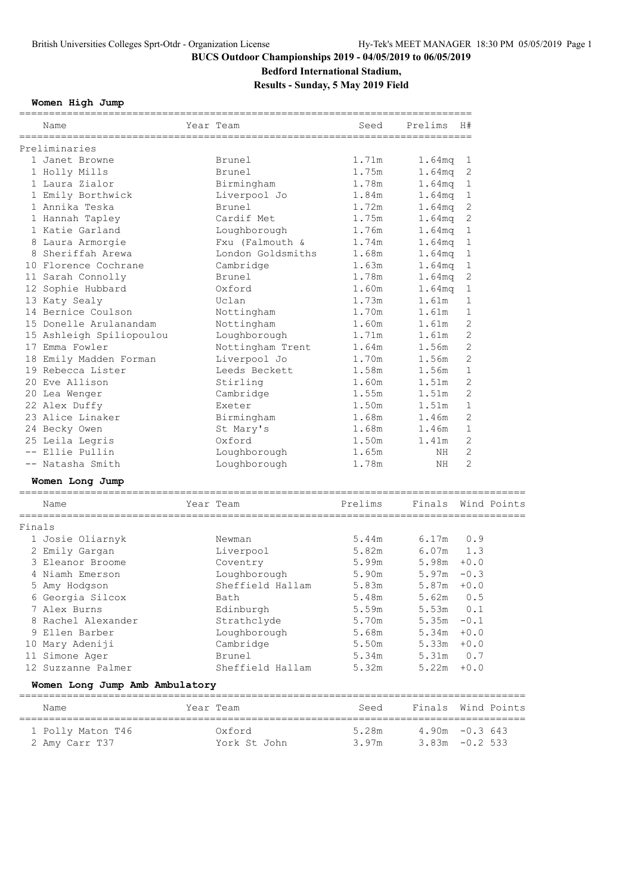**Bedford International Stadium,**

**Results - Sunday, 5 May 2019 Field**

**Women High Jump**

|        |                                                       | ===========       | ___________________________________ |                    |              |
|--------|-------------------------------------------------------|-------------------|-------------------------------------|--------------------|--------------|
|        | Name                                                  | Year Team         | Seed                                | Prelims            | H#           |
|        | Preliminaries                                         |                   |                                     |                    |              |
|        | 1 Janet Browne                                        | Brunel            | 1.71m                               | 1.64mq             | $\mathbf 1$  |
|        | 1 Holly Mills                                         | Brunel            | 1.75m                               | 1.64 <sub>mq</sub> | 2            |
|        | 1 Laura Zialor                                        | Birmingham        | 1.78m                               | 1.64 <sub>mq</sub> | 1            |
|        | 1 Emily Borthwick                                     | Liverpool Jo      | 1.84m                               | 1.64 <sub>mq</sub> | 1            |
|        | 1 Annika Teska                                        | Brunel            | 1.72m                               | 1.64mg             | 2            |
|        | 1 Hannah Tapley                                       | Cardif Met        | 1.75m                               | 1.64 <sub>mq</sub> | $\sqrt{2}$   |
|        |                                                       |                   | 1.76m                               |                    | $\mathbf 1$  |
|        | 1 Katie Garland                                       | Loughborough      |                                     | 1.64 <sub>mq</sub> |              |
|        | 8 Laura Armorgie                                      | Fxu (Falmouth &   | 1.74m                               | 1.64 <sub>mq</sub> | 1            |
|        | 8 Sheriffah Arewa                                     | London Goldsmiths | 1.68m                               | 1.64 <sub>mq</sub> | 1            |
|        | 10 Florence Cochrane                                  | Cambridge         | 1.63m                               | 1.64 <sub>mq</sub> | 1            |
|        | 11 Sarah Connolly                                     | Brunel            | 1.78m                               | 1.64mg             | 2            |
|        | 12 Sophie Hubbard                                     | Oxford            | 1.60m                               | 1.64 <sub>mq</sub> | $\mathbf 1$  |
|        | 13 Katy Sealy                                         | Uclan             | 1.73m                               | 1.61m              | 1            |
|        | 14 Bernice Coulson                                    | Nottingham        | 1.70m                               | 1.61m              | 1            |
|        | 15 Donelle Arulanandam                                | Nottingham        | 1.60m                               | 1.61m              | 2            |
|        | 15 Ashleigh Spiliopoulou                              | Loughborough      | 1.71m                               | 1.61m              | 2            |
|        | 17 Emma Fowler                                        | Nottingham Trent  | 1.64m                               | 1.56m              | 2            |
|        | 18 Emily Madden Forman                                | Liverpool Jo      | 1.70m                               | 1.56m              | $\mathbf{2}$ |
|        | 19 Rebecca Lister                                     | Leeds Beckett     | 1.58m                               | 1.56m              | $\mathbf 1$  |
|        | 20 Eve Allison                                        | Stirling          | 1.60m                               | 1.51m              | 2            |
|        | 20 Lea Wenger                                         | Cambridge         | 1.55m                               | 1.51m              | 2            |
|        | 22 Alex Duffy                                         | Exeter            | 1.50m                               | 1.51m              | $\mathbf 1$  |
|        | 23 Alice Linaker                                      | Birmingham        | 1.68m                               | 1.46m              | 2            |
|        | 24 Becky Owen                                         | St Mary's         | 1.68m                               | 1.46m              | $\mathbf 1$  |
|        | 25 Leila Legris                                       | Oxford            | 1.50m                               | 1.41m              | 2            |
|        | -- Ellie Pullin                                       | Loughborough      | 1.65m                               | NH                 | 2            |
|        | -- Natasha Smith                                      | Loughborough      | 1.78m                               | NH.                | 2            |
|        |                                                       |                   |                                     |                    |              |
|        | Women Long Jump<br>================================== |                   |                                     |                    |              |
|        | Name                                                  | Year Team         | Prelims                             | Finals Wind Points |              |
| Finals |                                                       |                   |                                     |                    |              |
|        | 1 Josie Oliarnyk                                      | Newman            | 5.44m                               | 6.17m              | 0.9          |
|        | 2 Emily Gargan                                        | Liverpool         | 5.82m                               | 6.07m              | 1.3          |
|        | 3 Eleanor Broome                                      | Coventry          | 5.99m                               | 5.98m              | $+0.0$       |
|        | 4 Niamh Emerson                                       | Loughborough      | 5.90m                               | 5.97m              | $-0.3$       |
|        | 5 Amy Hodgson                                         | Sheffield Hallam  | 5.83m                               | $5.87m + 0.0$      |              |
|        | 6 Georgia Silcox                                      | Bath              | 5.48m                               | 5.62m              | 0.5          |
|        | 7 Alex Burns                                          | Edinburgh         | 5.59m                               | 5.53m              | 0.1          |
|        | 8 Rachel Alexander                                    | Strathclyde       | 5.70m                               | 5.35m              | $-0.1$       |
|        | 9 Ellen Barber                                        | Loughborough      | 5.68m                               | $5.34m + 0.0$      |              |
|        | 10 Mary Adeniji                                       | Cambridge         | 5.50m                               | $5.33m + 0.0$      |              |
|        | 11 Simone Ager                                        | Brunel            | 5.34m                               | 5.31m 0.7          |              |
|        | 12 Suzzanne Palmer                                    | Sheffield Hallam  | 5.32m                               | 5.22m              | $+0.0$       |
|        |                                                       |                   |                                     |                    |              |
|        | Women Long Jump Amb Ambulatory                        |                   |                                     |                    |              |
|        | Name                                                  | Year Team         | Seed                                | Finals Wind Points |              |
|        | 1 Polly Maton T46                                     | Oxford            | 5.28m                               | $4.90m - 0.3643$   |              |
|        | 2 Amy Carr T37                                        | York St John      | 3.97m                               | $3.83m - 0.2533$   |              |
|        |                                                       |                   |                                     |                    |              |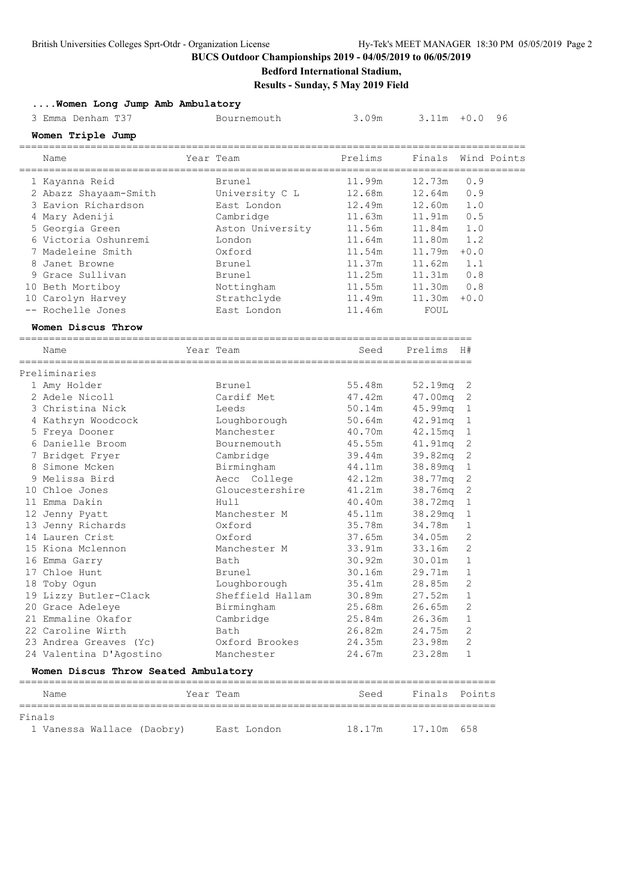# **Bedford International Stadium,**

**Results - Sunday, 5 May 2019 Field**

| Women Long Jump Amb Ambulatory       |            |                  |         |               |                |    |
|--------------------------------------|------------|------------------|---------|---------------|----------------|----|
| 3 Emma Denham T37                    |            | Bournemouth      | 3.09m   | $3.11m + 0.0$ |                | 96 |
| Women Triple Jump                    |            |                  |         |               |                |    |
| Name                                 |            | Year Team        | Prelims | Finals        | Wind Points    |    |
| 1 Kayanna Reid                       |            | Brunel           | 11.99m  | 12.73m        | 0.9            |    |
| 2 Abazz Shayaam-Smith                |            | University C L   | 12.68m  | 12.64m        | 0.9            |    |
| 3 Eavion Richardson                  |            | East London      | 12.49m  | 12.60m        | 1.0            |    |
| 4 Mary Adeniji                       |            | Cambridge        | 11.63m  | 11.91m        | 0.5            |    |
| 5 Georgia Green                      |            | Aston University | 11.56m  | 11.84m        | 1.0            |    |
| 6 Victoria Oshunremi                 |            | London           | 11.64m  | 11.80m        | 1.2            |    |
| 7 Madeleine Smith                    |            | Oxford           | 11.54m  | 11.79m        | $+0.0$         |    |
| 8 Janet Browne                       |            | Brunel           | 11.37m  | 11.62m        | 1.1            |    |
| 9 Grace Sullivan                     |            | Brunel           | 11.25m  | 11.31m        | 0.8            |    |
| 10 Beth Mortiboy                     |            | Nottingham       | 11.55m  | 11.30m        | 0.8            |    |
| 10 Carolyn Harvey                    |            | Strathclyde      | 11.49m  | 11.30m        | $+0.0$         |    |
| -- Rochelle Jones                    |            | East London      | 11.46m  | FOUL          |                |    |
| Women Discus Throw                   |            |                  |         |               |                |    |
| Name                                 |            | Year Team        | Seed    | Prelims H#    |                |    |
| Preliminaries                        |            |                  |         |               |                |    |
| 1 Amy Holder                         |            | Brunel           | 55.48m  | 52.19mg       | 2              |    |
| 2 Adele Nicoll                       |            | Cardif Met       | 47.42m  | 47.00mg       | 2              |    |
| 3 Christina Nick                     |            | Leeds            | 50.14m  | 45.99mg       | 1              |    |
|                                      |            |                  |         |               |                |    |
| 4 Kathryn Woodcock                   |            | Loughborough     | 50.64m  | 42.91mq       | 1              |    |
| 5 Freya Dooner                       |            | Manchester       | 40.70m  | 42.15mg       | 1              |    |
| 6 Danielle Broom                     |            | Bournemouth      | 45.55m  | 41.91mq       | 2              |    |
| 7 Bridget Fryer                      |            | Cambridge        | 39.44m  | 39.82mq       | $\mathbf{2}$   |    |
| 8 Simone Mcken                       |            | Birmingham       | 44.11m  | 38.89mq       | $\mathbf{1}$   |    |
| 9 Melissa Bird                       |            | Aecc College     | 42.12m  | 38.77mq       | $\mathbf{2}$   |    |
| 10 Chloe Jones                       |            | Gloucestershire  | 41.21m  | 38.76mg       | $\overline{c}$ |    |
| 11 Emma Dakin                        |            | Hull             | 40.40m  | 38.72mq       | 1              |    |
| 12 Jenny Pyatt                       |            | Manchester M     | 45.11m  | 38.29mg       | 1              |    |
| 13 Jenny Richards                    |            | Oxford           | 35.78m  | 34.78m        | 1              |    |
| 14 Lauren Crist                      |            | Oxford           | 37.65m  | 34.05m        | 2              |    |
| 15 Kiona Mclennon                    |            | Manchester M     | 33.91m  | 33.16m        | 2              |    |
| 16 Emma Garry                        |            | Bath             | 30.92m  | 30.01m        | 1              |    |
| 17 Chloe Hunt                        |            | Brunel           | 30.16m  | 29.71m        | $\mathbf 1$    |    |
| 18 Toby Ogun                         |            | Loughborough     | 35.41m  | 28.85m        | 2              |    |
| 19 Lizzy Butler-Clack                |            | Sheffield Hallam | 30.89m  | 27.52m        | 1              |    |
| 20 Grace Adeleye                     |            | Birmingham       | 25.68m  | 26.65m        | 2              |    |
| 21 Emmaline Okafor                   |            | Cambridge        | 25.84m  | 26.36m        | 1              |    |
| 22 Caroline Wirth                    |            | Bath             | 26.82m  | 24.75m        | 2              |    |
| 23 Andrea Greaves (Yc)               |            | Oxford Brookes   | 24.35m  | 23.98m        | 2              |    |
| 24 Valentina D'Agostino              |            | Manchester       | 24.67m  | 23.28m        | 1              |    |
| Women Discus Throw Seated Ambulatory | ========== |                  |         |               |                |    |
| Name                                 |            | Year Team        | Seed    | Finals        | Points         |    |
| Finals<br>1 Vanessa Wallace (Daobry) |            | East London      | 18.17m  | 17.10m        | 658            |    |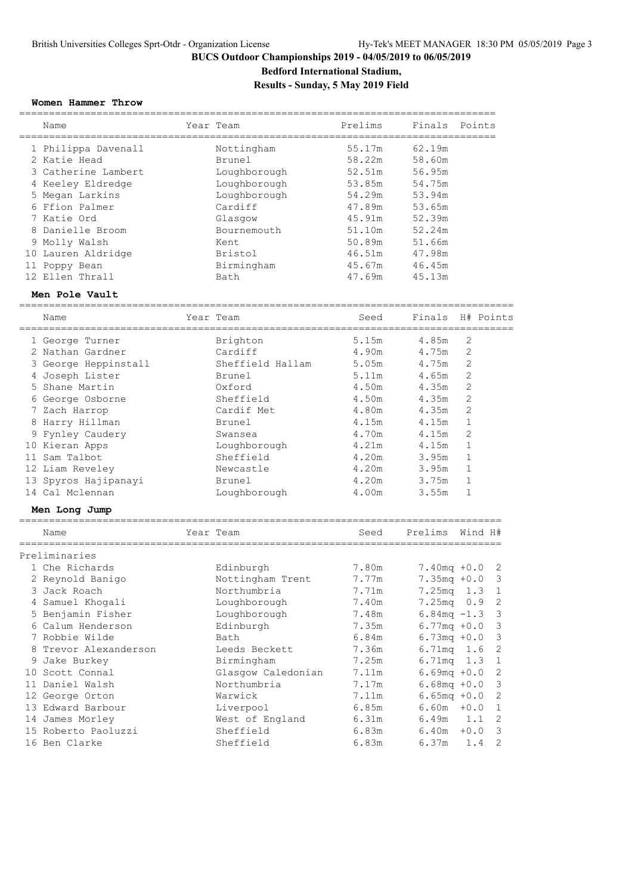**Bedford International Stadium,**

**Results - Sunday, 5 May 2019 Field**

### **Women Hammer Throw**

| Name                | Year Team    | Prelims | Finals Points |  |
|---------------------|--------------|---------|---------------|--|
| 1 Philippa Davenall | Nottingham   | 55.17m  | 62.19m        |  |
| 2 Katie Head        | Brunel       | 58.22m  | 58.60m        |  |
| 3 Catherine Lambert | Loughborough | 52.51m  | 56.95m        |  |
| 4 Keeley Eldredge   | Loughborough | 53.85m  | 54.75m        |  |
| 5 Megan Larkins     | Loughborough | 54.29m  | 53.94m        |  |
| 6 Ffion Palmer      | Cardiff      | 47.89m  | 53.65m        |  |
| 7 Katie Ord         | Glasqow      | 45.91m  | 52.39m        |  |
| 8 Danielle Broom    | Bournemouth  | 51.10m  | 52.24m        |  |
| 9 Molly Walsh       | Kent         | 50.89m  | 51.66m        |  |
| 10 Lauren Aldridge  | Bristol      | 46.51m  | 47.98m        |  |
| 11 Poppy Bean       | Birmingham   | 45.67m  | 46.45m        |  |
| 12 Ellen Thrall     | Bath         | 47.69m  | 45.13m        |  |

#### **Men Pole Vault**

| Name                  | Year Team          | Seed  | Finals             |                | H# Points      |
|-----------------------|--------------------|-------|--------------------|----------------|----------------|
| 1 George Turner       | Brighton           | 5.15m | 4.85m              | 2              |                |
| 2 Nathan Gardner      | Cardiff            | 4.90m | 4.75m              | $\overline{2}$ |                |
| 3 George Heppinstall  | Sheffield Hallam   | 5.05m | 4.75m              | $\overline{2}$ |                |
| 4 Joseph Lister       | Brunel             | 5.11m | 4.65m              | $\mathbf{2}$   |                |
| 5 Shane Martin        | Oxford             | 4.50m | 4.35m              | $\overline{2}$ |                |
| 6 George Osborne      | Sheffield          | 4.50m | 4.35m              | $\overline{c}$ |                |
| 7 Zach Harrop         | Cardif Met         | 4.80m | 4.35m              | $\overline{c}$ |                |
| 8 Harry Hillman       | Brunel             | 4.15m | 4.15m              | $\mathbf 1$    |                |
| 9 Fynley Caudery      | Swansea            | 4.70m | 4.15m              | $\overline{c}$ |                |
| 10 Kieran Apps        | Loughborough       | 4.21m | 4.15m              | $\mathbf{1}$   |                |
| 11 Sam Talbot         | Sheffield          | 4.20m | 3.95m              | $\mathbf{1}$   |                |
| 12 Liam Reveley       | Newcastle          | 4.20m | 3.95m              | $\mathbf{1}$   |                |
| 13 Spyros Hajipanayi  | Brunel             | 4.20m | 3.75m              | $\mathbf{1}$   |                |
| 14 Cal Mclennan       | Loughborough       | 4.00m | 3.55m              | $\mathbf{1}$   |                |
| Men Long Jump         |                    |       |                    |                |                |
| Name                  | Year Team          | Seed  | Prelims            | Wind H#        |                |
| Preliminaries         |                    |       |                    |                |                |
| 1 Che Richards        | Edinburgh          | 7.80m | $7.40mg + 0.0$     |                | 2              |
| 2 Reynold Banigo      | Nottingham Trent   | 7.77m | $7.35mg + 0.0$     |                | 3              |
| 3 Jack Roach          | Northumbria        | 7.71m | 7.25mg             | 1.3            | $\mathbf{1}$   |
| 4 Samuel Khogali      | Loughborough       | 7.40m | 7.25 <sub>mq</sub> | 0.9            | 2              |
| 5 Benjamin Fisher     | Loughborough       | 7.48m | $6.84mg - 1.3$     |                | $\mathsf 3$    |
| 6 Calum Henderson     | Edinburgh          | 7.35m | $6.77mg + 0.0$     |                | $\mathsf 3$    |
| 7 Robbie Wilde        | Bath               | 6.84m | $6.73mg + 0.0$     |                | $\mathsf 3$    |
| 8 Trevor Alexanderson | Leeds Beckett      | 7.36m | $6.71$ mq          | 1.6            | $\mathbf{2}$   |
| 9 Jake Burkey         | Birmingham         | 7.25m | $6.71$ mq          | 1.3            | $\mathbf{1}$   |
| 10 Scott Connal       | Glasgow Caledonian | 7.11m | $6.69mg + 0.0$     |                | 2              |
| 11 Daniel Walsh       | Northumbria        | 7.17m | $6.68mg + 0.0$     |                | 3              |
| 12 George Orton       | Warwick            | 7.11m | $6.65mg + 0.0$     |                | $\mathbf{2}$   |
| 13 Edward Barbour     | Liverpool          | 6.85m | 6.60m              | $+0.0$         | $\mathbf{1}$   |
| 14 James Morley       | West of England    | 6.31m | 6.49m              | 1.1            | $\overline{2}$ |
| 15 Roberto Paoluzzi   | Sheffield          | 6.83m | 6.40m              | $+0.0$         | 3              |
| 16 Ben Clarke         | Sheffield          | 6.83m | 6.37m              | 1.4            | $\overline{2}$ |
|                       |                    |       |                    |                |                |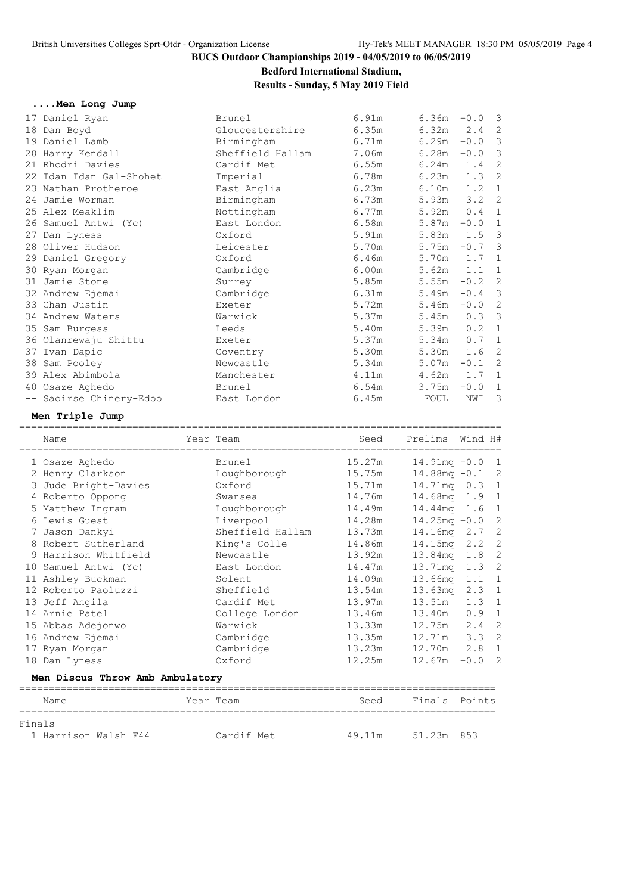### **Bedford International Stadium,**

### **Results - Sunday, 5 May 2019 Field**

| Men Long Jump           |                  |       |                 |          |                |
|-------------------------|------------------|-------|-----------------|----------|----------------|
| 17 Daniel Ryan          | Brunel           | 6.91m | $6.36m + 0.0$ 3 |          |                |
| 18 Dan Boyd             | Gloucestershire  | 6.35m | 6.32m           | 2.4      | 2              |
| 19 Daniel Lamb          | Birmingham       | 6.71m | 6.29m           | $+0.0$   | -3             |
| 20 Harry Kendall        | Sheffield Hallam | 7.06m | 6.28m           | $+0.0$   | -3             |
| 21 Rhodri Davies        | Cardif Met       | 6.55m | 6.24m           | 1.4      | $\overline{c}$ |
| 22 Idan Idan Gal-Shohet | Imperial         | 6.78m | 6.23m           | 1.3      | $\overline{c}$ |
| 23 Nathan Protheroe     | East Anglia      | 6.23m | 6.10m           | 1.2      | $\mathbf{1}$   |
| 24 Jamie Worman         | Birmingham       | 6.73m | 5.93m           | 3.2      | $\overline{c}$ |
| 25 Alex Meaklim         | Nottingham       | 6.77m | 5.92m           | 0.4      | $\mathbf{1}$   |
| 26 Samuel Antwi (Yc)    | East London      | 6.58m | 5.87m           | $+0.0$   | $\mathbf{1}$   |
| 27 Dan Lyness           | Oxford           | 5.91m | 5.83m           | 1.5      | 3              |
| 28 Oliver Hudson        | Leicester        | 5.70m | 5.75m           | $-0.7$   | 3              |
| 29 Daniel Gregory       | Oxford           | 6.46m | 5.70m           | 1.7      | $\mathbf{1}$   |
| 30 Ryan Morgan          | Cambridge        | 6.00m | 5.62m           | 1.1      | 1              |
| 31 Jamie Stone          | Surrey           | 5.85m | 5.55m           | $-0.2$   | $\overline{c}$ |
| 32 Andrew Ejemai        | Cambridge        | 6.31m | 5.49m           | $-0.4$ 3 |                |
| 33 Chan Justin          | Exeter           | 5.72m | 5.46m           | $+0.0$   | $\overline{c}$ |
| 34 Andrew Waters        | Warwick          | 5.37m | 5.45m           | 0.33     |                |
| 35 Sam Burgess          | Leeds            | 5.40m | 5.39m           | 0.2      | $\mathbf{1}$   |
| 36 Olanrewaju Shittu    | Exeter           | 5.37m | 5.34m           | 0.7      | 1              |
| 37 Ivan Dapic           | Coventry         | 5.30m | 5.30m           | 1.6      | $\overline{c}$ |
| 38 Sam Pooley           | Newcastle        | 5.34m | 5.07m           | $-0.1$   | $\overline{c}$ |
| 39 Alex Abimbola        | Manchester       | 4.11m | 4.62m           | 1.7      | $\mathbf{1}$   |
| 40 Osaze Aghedo         | Brunel           | 6.54m | 3.75m           | $+0.0$   | 1              |
| -- Saoirse Chinery-Edoo | East London      | 6.45m | FOUL            | NWI      | 3              |
|                         |                  |       |                 |          |                |

### **Men Triple Jump**

| Name                            | Year Team        | Seed   | Prelims           | Wind H#       |                |
|---------------------------------|------------------|--------|-------------------|---------------|----------------|
| 1 Osaze Aghedo                  | Brunel           | 15.27m | $14.91mg + 0.0$   |               | $\overline{1}$ |
| 2 Henry Clarkson                | Loughborough     | 15.75m | $14.88$ mg $-0.1$ |               | $\overline{c}$ |
| 3 Jude Bright-Davies            | Oxford           | 15.71m | 14.71mg 0.3 1     |               |                |
| 4 Roberto Oppong                | Swansea          | 14.76m | 14.68mq 1.9 1     |               |                |
| 5 Matthew Ingram                | Loughborough     | 14.49m | 14.44mg 1.6       |               | -1             |
| 6 Lewis Guest                   | Liverpool        | 14.28m | $14.25mg + 0.0$   |               | $\overline{c}$ |
| 7 Jason Dankyi                  | Sheffield Hallam | 13.73m | 14.16mg 2.7       |               | $\overline{c}$ |
| 8 Robert Sutherland             | King's Colle     | 14.86m | 14.15mg           | $2 \cdot 2$   | $\overline{c}$ |
| 9 Harrison Whitfield            | Newcastle        | 13.92m | 13.84mg           | 1.8           | $\overline{c}$ |
| 10 Samuel Antwi (Yc)            | East London      | 14.47m | 13.71mq           | 1.3           | $\overline{c}$ |
| 11 Ashley Buckman               | Solent           | 14.09m | 13.66mg           | 1.1           | 1              |
| 12 Roberto Paoluzzi             | Sheffield        | 13.54m | 13.63mg           | $2 \cdot 3$   | 1              |
| 13 Jeff Angila                  | Cardif Met       | 13.97m | 13.51m            | 1.3           | -1             |
| 14 Arnie Patel                  | College London   | 13.46m | 13.40m            | 0.9           | $\mathbf{1}$   |
| 15 Abbas Adejonwo               | Warwick          | 13.33m | $12.75m$ 2.4      |               | $\overline{c}$ |
| 16 Andrew Ejemai                | Cambridge        | 13.35m | 12.71m            | $3.3 \quad 2$ |                |
| 17 Ryan Morgan                  | Cambridge        | 13.23m | 12.70m            | 2.8           | 1              |
| 18 Dan Lyness                   | Oxford           | 12.25m | 12.67m            | $+0.0$        | $\overline{2}$ |
| Men Discus Throw Amb Ambulatory |                  |        |                   |               |                |
| Name                            | Year Team        | Seed   | Finals            | Points        |                |
|                                 |                  |        |                   |               |                |

|  | ٠ |
|--|---|

1 Harrison Walsh F44 Cardif Met 49.11m 51.23m 853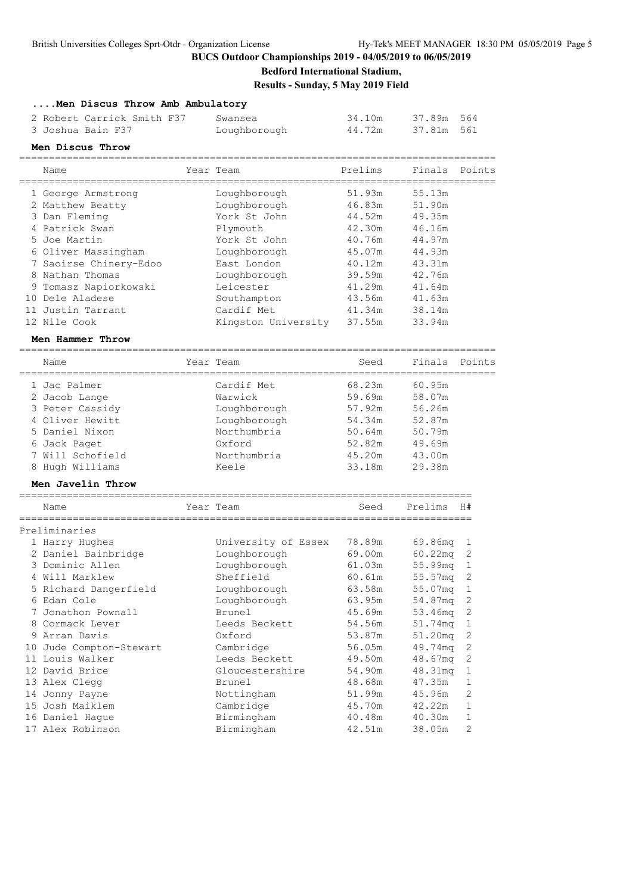**....Men Discus Throw Amb Ambulatory**

#### **BUCS Outdoor Championships 2019 - 04/05/2019 to 06/05/2019**

### **Bedford International Stadium, Results - Sunday, 5 May 2019 Field**

| 2 Robert Carrick Smith F37<br>3 Joshua Bain F37 | Swansea<br>Loughborough | 34.10m<br>44.72m | 37.89m 564<br>37.81m 561 |  |
|-------------------------------------------------|-------------------------|------------------|--------------------------|--|
| Men Discus Throw                                |                         |                  |                          |  |
| Name                                            | Year Team               | Prelims          | Finals Points            |  |

| 1 George Armstrong      | Loughborough        | 51.93m | 55.13m     |                |
|-------------------------|---------------------|--------|------------|----------------|
| 2 Matthew Beatty        | Loughborough        | 46.83m | 51.90m     |                |
| 3 Dan Fleming           | York St John        | 44.52m | 49.35m     |                |
| 4 Patrick Swan          | Plymouth            | 42.30m | 46.16m     |                |
| 5 Joe Martin            | York St John        | 40.76m | 44.97m     |                |
| 6 Oliver Massingham     | Loughborough        | 45.07m | 44.93m     |                |
| 7 Saoirse Chinery-Edoo  | East London         | 40.12m | 43.31m     |                |
| 8 Nathan Thomas         | Loughborough        | 39.59m | 42.76m     |                |
| 9 Tomasz Napiorkowski   | Leicester           | 41.29m | 41.64m     |                |
| 10 Dele Aladese         | Southampton         | 43.56m | 41.63m     |                |
| 11 Justin Tarrant       | Cardif Met          | 41.34m | 38.14m     |                |
| 12 Nile Cook            | Kingston University | 37.55m | 33.94m     |                |
| Men Hammer Throw        |                     |        |            |                |
| Name                    | Year Team           | Seed   | Finals     | Points         |
| 1 Jac Palmer            | Cardif Met          | 68.23m | 60.95m     |                |
| 2 Jacob Lange           | Warwick             | 59.69m | 58.07m     |                |
| 3 Peter Cassidy         | Loughborough        | 57.92m | 56.26m     |                |
| 4 Oliver Hewitt         | Loughborough        | 54.34m | 52.87m     |                |
| 5 Daniel Nixon          | Northumbria         | 50.64m | 50.79m     |                |
| 6 Jack Paget            | Oxford              | 52.82m | 49.69m     |                |
| 7 Will Schofield        | Northumbria         | 45.20m | 43.00m     |                |
| 8 Hugh Williams         | Keele               | 33.18m | 29.38m     |                |
| Men Javelin Throw       |                     |        |            |                |
| Name                    | Year Team           | Seed   | Prelims    | H#             |
|                         |                     |        |            |                |
| Preliminaries           |                     |        |            |                |
| 1 Harry Hughes          | University of Essex | 78.89m | 69.86mg    | ı              |
| 2 Daniel Bainbridge     | Loughborough        | 69.00m | $60.22$ mq | $\mathbf{2}$   |
| 3 Dominic Allen         | Loughborough        | 61.03m | 55.99mg    | $1\,$          |
| 4 Will Marklew          | Sheffield           | 60.61m | 55.57mg    | 2              |
| 5 Richard Dangerfield   | Loughborough        | 63.58m | 55.07mg    | $\mathbf{1}$   |
| 6 Edan Cole             | Loughborough        | 63.95m | 54.87mg    | $\mathbf{2}$   |
| 7 Jonathon Pownall      | Brunel              | 45.69m | 53.46mg    | 2              |
| 8 Cormack Lever         | Leeds Beckett       | 54.56m | 51.74mq    | 1              |
| 9 Arran Davis           | Oxford              | 53.87m | 51.20mg    | 2              |
| 10 Jude Compton-Stewart | Cambridge           | 56.05m | 49.74mg    | $\overline{2}$ |

11 Louis Walker Leeds Beckett 49.50m 48.67mq 2 12 David Brice Gloucestershire 54.90m 48.31mq 1 13 Alex Clegg Brunel 48.68m 47.35m 1 14 Jonny Payne Nottingham 51.99m 45.96m 2 15 Josh Maiklem Cambridge 45.70m 42.22m 1 16 Daniel Hague Birmingham 40.48m 40.30m 1 17 Alex Robinson Birmingham 42.51m 38.05m 2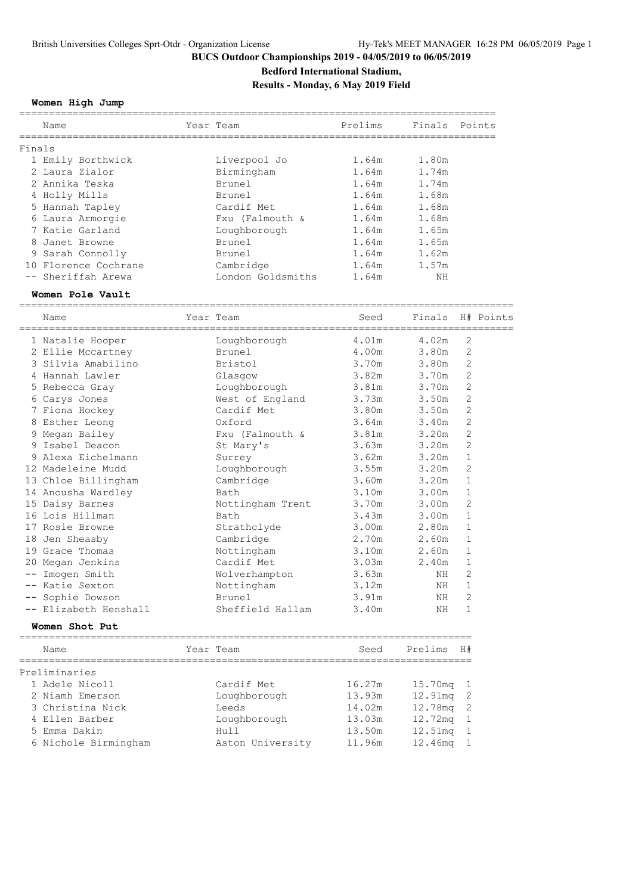### **Bedford International Stadium,**

**Results - Monday, 6 May 2019 Field**

**Women High Jump**

|        | Name                 | Year Team         | Prelims             | Finals Points |                  |  |
|--------|----------------------|-------------------|---------------------|---------------|------------------|--|
|        |                      |                   |                     |               |                  |  |
| Finals |                      |                   |                     |               |                  |  |
|        | 1 Emily Borthwick    | Liverpool Jo      | 1.64m               | 1.80m         |                  |  |
|        | 2 Laura Zialor       | Birmingham        | 1.64m               | 1.74m         |                  |  |
|        | 2 Annika Teska       | Brunel            | 1.64m               | 1.74m         |                  |  |
|        | 4 Holly Mills        | Brunel            | 1.64m               | 1.68m         |                  |  |
|        | 5 Hannah Tapley      | Cardif Met        | 1.64m               | 1.68m         |                  |  |
|        | 6 Laura Armorgie     | Fxu (Falmouth &   | 1.64m               | 1.68m         |                  |  |
|        | 7 Katie Garland      | Loughborough      | 1.64m               | 1.65m         |                  |  |
|        | 8 Janet Browne       | Brunel            | 1.64m               | 1.65m         |                  |  |
|        | 9 Sarah Connolly     | Brunel            | 1.64m               | 1.62m         |                  |  |
|        | 10 Florence Cochrane | Cambridge         | 1.64m               | 1.57m         |                  |  |
|        | -- Sheriffah Arewa   | London Goldsmiths | 1.64m               | NΗ            |                  |  |
|        | Women Pole Vault     |                   | =================== |               |                  |  |
|        | Name                 | Year Team         | Seed                |               | Finals H# Points |  |
|        | 1 Natalie Hooper     | Loughborough      | 4.01m 4.02m         |               | 2                |  |
|        | 2 Ellie Mccartney    | Brunel            | 4.00m 3.80m         |               | 2                |  |
|        | 3 Silvia Amabilino   | Bristol           | 3.70m               | 3.80m         | $\overline{2}$   |  |
|        | 4 Hannah Lawler      | Glasqow           | 3.82m 3.70m         |               | $\overline{2}$   |  |
|        | 5 Rebecca Gray       | Loughborough      | 3.81m               | 3.70m         | $\mathbf{2}$     |  |
|        | 6 Carys Jones        | West of England   | 3.73m               | 3.50m         | $\mathbf{2}$     |  |
|        | 7 Fiona Hockey       | Cardif Met        | 3.80m               | 3.50m         | $\overline{2}$   |  |
|        | 8 Esther Leong       | Oxford            | 3.64m               | 3.40m         | $\overline{2}$   |  |

| Name                  | Year Team        | Seed                                       | Finals               |                | H# Poir |
|-----------------------|------------------|--------------------------------------------|----------------------|----------------|---------|
| 1 Natalie Hooper      | Loughborough     | 4.01m                                      | ===========<br>4.02m | 2              |         |
| 2 Ellie Mccartney     | Brunel           | 4.00m                                      | 3.80m                | $\overline{2}$ |         |
| 3 Silvia Amabilino    | Bristol          | 3.70m                                      | 3.80m                | 2              |         |
| 4 Hannah Lawler       | Glasgow          | 3.82m                                      | 3.70m                | $\overline{2}$ |         |
| 5 Rebecca Gray        | Loughborough     | 3.81m                                      | 3.70m                | 2              |         |
| 6 Carys Jones         | West of England  | 3.73m                                      | 3.50m                | 2              |         |
| 7 Fiona Hockey        | Cardif Met       | 3.80m                                      | 3.50m                | $\overline{2}$ |         |
| 8 Esther Leong        | Oxford           | 3.64m                                      | 3.40m                | 2              |         |
| 9 Megan Bailey        | Fxu (Falmouth &  | 3.81m                                      | 3.20m                | $\overline{2}$ |         |
| 9 Isabel Deacon       | St Mary's        | 3.63m                                      | 3.20m                | $\overline{2}$ |         |
| 9 Alexa Eichelmann    | Surrey           | 3.62m                                      | 3.20m                | $\mathbf{1}$   |         |
| 12 Madeleine Mudd     | Loughborough     | 3.55m                                      | 3.20m                | $\overline{2}$ |         |
| 13 Chloe Billingham   | Cambridge        | 3.60m                                      | 3.20m                | 1              |         |
| 14 Anousha Wardley    | Bath             | 3.10 <sub>m</sub>                          | 3.00 <sub>m</sub>    | 1              |         |
| 15 Daisy Barnes       | Nottingham Trent | 3.70m                                      | 3.00m                | 2              |         |
| 16 Lois Hillman       | Bath             | 3.43m                                      | 3.00 <sub>m</sub>    | 1              |         |
| 17 Rosie Browne       | Strathclyde      | 3.00m                                      | 2.80m                | $\mathbf{1}$   |         |
| 18 Jen Sheasby        | Cambridge        | 2.70m                                      | 2.60m                | $\mathbf 1$    |         |
| 19 Grace Thomas       | Nottingham       | 3.10m                                      | 2.60m                | 1              |         |
| 20 Megan Jenkins      | Cardif Met       | 3.03m                                      | 2.40m                | 1              |         |
| -- Imogen Smith       | Wolverhampton    | 3.63m                                      | NH                   | $\overline{2}$ |         |
| -- Katie Sexton       | Nottingham       | 3.12m                                      | NH                   | $\mathbf 1$    |         |
| -- Sophie Dowson      | Brunel           | 3.91m                                      | NH                   | 2              |         |
| -- Elizabeth Henshall | Sheffield Hallam | 3.40m                                      | NH                   | 1              |         |
| Women Shot Put        |                  |                                            |                      |                |         |
| Name                  | Year Team        | ----------------------------------<br>Seed | Prelims              | H#             |         |
| Preliminaries         |                  |                                            |                      |                |         |
| 1 Adele Nicoll        | Cardif Met       | 16.27m                                     | 15.70 <sub>ma</sub>  |                |         |

| 1 Adele Nicoll       | Cardif Met       | 16.27m | $15.70mg$ 1    |  |
|----------------------|------------------|--------|----------------|--|
| 2 Niamh Emerson      | Loughborough     | 13.93m | 12.91mg 2      |  |
| 3 Christina Nick     | Leeds            | 14.02m | 12.78mg 2      |  |
| 4 Ellen Barber       | Loughborough     | 13.03m | 12.72mg 1      |  |
| 5 Emma Dakin         | Hull             | 13.50m | $12.51mg$ 1    |  |
| 6 Nichole Birmingham | Aston University | 11.96m | $12.46$ ma $1$ |  |
|                      |                  |        |                |  |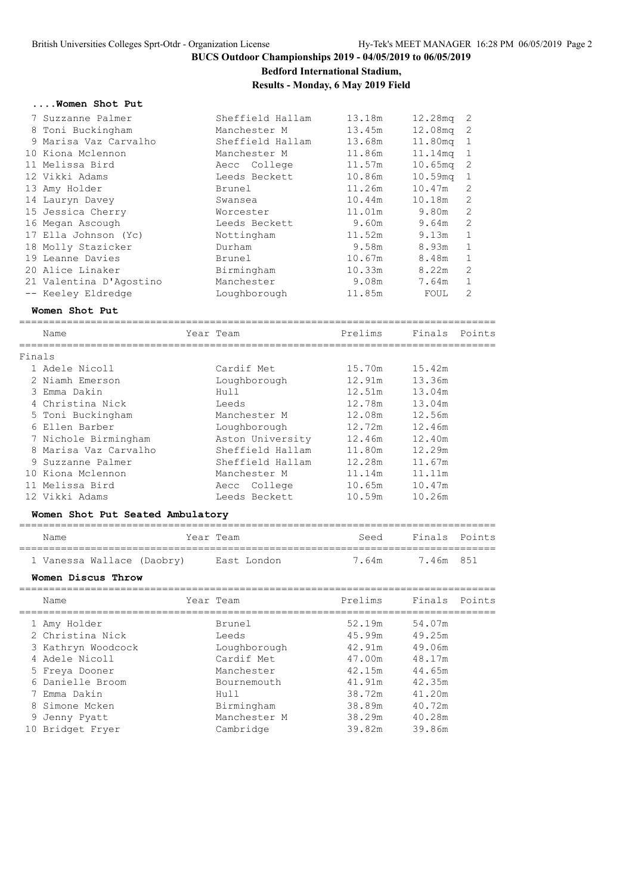**Bedford International Stadium,**

**Results - Monday, 6 May 2019 Field**

#### **....Women Shot Put**

| 7 Suzzanne Palmer       | Sheffield Hallam | 13.18m          | 12.28mg             | - 2           |
|-------------------------|------------------|-----------------|---------------------|---------------|
| 8 Toni Buckingham       | Manchester M     | 13.45m          | 12.08mg             | -2            |
| 9 Marisa Vaz Carvalho   | Sheffield Hallam | 13.68m          | 11.80mg             |               |
| 10 Kiona Mclennon       | Manchester M     | 11.86m          | 11.14mg             | $\mathbf{1}$  |
| 11 Melissa Bird         | Aecc College     | 11.57m          | $10.65$ mg          | -2            |
| 12 Vikki Adams          | Leeds Beckett    | 10.86m          | 10.59 <sub>mq</sub> |               |
| 13 Amy Holder           | Brunel           | 11.26m          | 10.47m              | $\mathcal{L}$ |
| 14 Lauryn Davey         | Swansea          | 10.44m          | 10.18m              | 2             |
| 15 Jessica Cherry       | Worcester        | 11 <b>.</b> 01m | 9.80m               | 2             |
| 16 Megan Ascough        | Leeds Beckett    | 9.60m           | 9.64m               | $\mathcal{L}$ |
| 17 Ella Johnson (Yc)    | Nottingham       | 11.52m          | 9.13m               |               |
| 18 Molly Stazicker      | Durham           | 9.58m           | 8.93m               | 1             |
| 19 Leanne Davies        | Brunel           | 10.67m          | 8.48m               | 1             |
| 20 Alice Linaker        | Birmingham       | 10.33m          | 8.22m               | 2             |
| 21 Valentina D'Agostino | Manchester       | 9.08m           | 7.64m               |               |
| -- Keeley Eldredge      | Loughborough     | 11.85m          | FOUL                | 2             |

#### **Women Shot Put**

================================================================================

|        | Name                             | Year Team        | Prelims | Finals Points |  |
|--------|----------------------------------|------------------|---------|---------------|--|
| Finals |                                  |                  |         |               |  |
|        | 1 Adele Nicoll                   | Cardif Met       | 15.70m  | 15.42m        |  |
|        | 2 Niamh Emerson                  | Loughborough     | 12.91m  | 13.36m        |  |
|        | 3 Emma Dakin                     | Hull             | 12.51m  | 13.04m        |  |
|        | 4 Christina Nick                 | Leeds            | 12.78m  | 13.04m        |  |
|        | 5 Toni Buckingham                | Manchester M     | 12.08m  | 12.56m        |  |
|        | 6 Ellen Barber                   | Loughborough     | 12.72m  | 12.46m        |  |
|        | 7 Nichole Birmingham             | Aston University | 12.46m  | 12.40m        |  |
|        | 8 Marisa Vaz Carvalho            | Sheffield Hallam | 11.80m  | 12.29m        |  |
|        | 9 Suzzanne Palmer                | Sheffield Hallam | 12.28m  | 11.67m        |  |
|        | 10 Kiona Mclennon                | Manchester M     | 11.14m  | 11.11m        |  |
|        | 11 Melissa Bird                  | Aecc College     | 10.65m  | 10.47m        |  |
|        | 12 Vikki Adams                   | Leeds Beckett    | 10.59m  | 10.26m        |  |
|        | Women Shot Put Seated Ambulatory |                  |         |               |  |

#### ================================================================================ Name Tear Team Seed Finals Points ================================================================================ 1 Wallace (Daobry) – East Londo

|  | I vanessa wallace (Daobry) | rast London | 7.4 MM 801 |  |
|--|----------------------------|-------------|------------|--|
|  |                            |             |            |  |

#### **Women Discus Throw**

| Name                                                                                                                                             | Year Team                                                         |                             | Prelims                                                                      | Finals Points                                                                |  |
|--------------------------------------------------------------------------------------------------------------------------------------------------|-------------------------------------------------------------------|-----------------------------|------------------------------------------------------------------------------|------------------------------------------------------------------------------|--|
| 1 Amy Holder<br>2 Christina Nick<br>3 Kathryn Woodcock<br>4 Adele Nicoll<br>5 Freya Dooner<br>6 Danielle Broom<br>7 Emma Dakin<br>8 Simone Mcken | Brunel<br>Leeds<br>Cardif Met<br>Manchester<br>Hull<br>Birmingham | Loughborough<br>Bournemouth | 52.19m<br>45.99m<br>42.91m<br>47.00m<br>42.15m<br>41.91m<br>38.72m<br>38.89m | 54.07m<br>49.25m<br>49.06m<br>48.17m<br>44.65m<br>42.35m<br>41.20m<br>40.72m |  |
| 9 Jenny Pyatt<br>10 Bridget Fryer                                                                                                                | Cambridge                                                         | Manchester M                | 38.29m<br>39.82m                                                             | 40.28m<br>39.86m                                                             |  |
|                                                                                                                                                  |                                                                   |                             |                                                                              |                                                                              |  |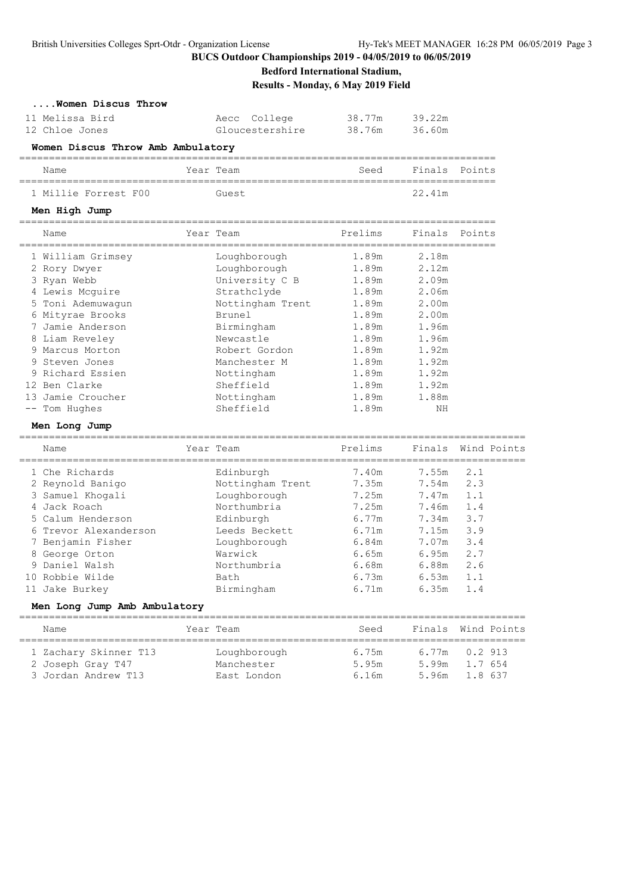**Bedford International Stadium,**

**Results - Monday, 6 May 2019 Field**

| Women Discus Throw |                 |        |        |
|--------------------|-----------------|--------|--------|
| 11 Melissa Bird    | Aecc College    | 38.77m | 39.22m |
| 12 Chloe Jones     | Gloucestershire | 38.76m | 36.60m |

| 38.77m | 39.22m |
|--------|--------|
| 38 76m | 36 60m |

### **Women Discus Throw Amb Ambulatory**

| Name                 | Year Team | Seed | Finals Points |  |
|----------------------|-----------|------|---------------|--|
|                      |           |      |               |  |
| 1 Millie Forrest F00 | Guest     |      | 22.41m        |  |

#### **Men High Jump**

| Name              | Year Team        | Prelims | Finals | Points |
|-------------------|------------------|---------|--------|--------|
|                   |                  |         |        |        |
| 1 William Grimsey | Loughborough     | 1.89m   | 2.18m  |        |
| 2 Rory Dwyer      | Loughborough     | 1.89m   | 2.12m  |        |
| 3 Ryan Webb       | University C B   | 1.89m   | 2.09m  |        |
| 4 Lewis Mcquire   | Strathclyde      | 1.89m   | 2.06m  |        |
| 5 Toni Ademuwaqun | Nottingham Trent | 1.89m   | 2.00m  |        |
| 6 Mityrae Brooks  | Brunel           | 1.89m   | 2.00m  |        |
| 7 Jamie Anderson  | Birmingham       | 1.89m   | 1.96m  |        |
| 8 Liam Reveley    | Newcastle        | 1.89m   | 1.96m  |        |
| 9 Marcus Morton   | Robert Gordon    | 1.89m   | 1.92m  |        |
| 9 Steven Jones    | Manchester M     | 1.89m   | 1.92m  |        |
| 9 Richard Essien  | Nottingham       | 1.89m   | 1.92m  |        |
| 12 Ben Clarke     | Sheffield        | 1.89m   | 1.92m  |        |
| 13 Jamie Croucher | Nottingham       | 1.89m   | 1.88m  |        |
| -- Tom Hughes     | Sheffield        | 1.89m   | NΗ     |        |

#### **Men Long Jump**

| Name                               | Year Team                     | Prelims        | Finals         | Wind Points |  |
|------------------------------------|-------------------------------|----------------|----------------|-------------|--|
| 1 Che Richards<br>2 Reynold Banigo | Edinburgh<br>Nottingham Trent | 7.40m<br>7.35m | 7.55m<br>7.54m | 2.1<br>2.3  |  |
| 3 Samuel Khogali                   | Loughborough                  | 7.25m          | 7.47m          | 1.1         |  |
| 4 Jack Roach                       | Northumbria                   | 7.25m          | 7.46m          | 1.4         |  |
| 5 Calum Henderson                  | Edinburgh                     | 6.77m          | 7.34m          | 3.7         |  |
| 6 Trevor Alexanderson              | Leeds Beckett                 | 6.71m          | 7.15m          | 3.9         |  |
| 7 Benjamin Fisher                  | Loughborough                  | 6.84m          | 7.07m          | 3.4         |  |
| 8 George Orton                     | Warwick                       | 6.65m          | 6.95m          | 2.7         |  |
| 9 Daniel Walsh                     | Northumbria                   | 6.68m          | 6.88m          | 2.6         |  |
| 10 Robbie Wilde                    | Bath                          | 6.73m          | 6.53m          | 1.1         |  |
| 11 Jake Burkey                     | Birmingham                    | 6.71m          | 6.35m          | 1.4         |  |
| .                                  |                               |                |                |             |  |

#### **Men Long Jump Amb Ambulatory**

| Name                                                              |  | Year Team                                 | Seed                    |  | Finals Wind Points                                |  |  |  |  |
|-------------------------------------------------------------------|--|-------------------------------------------|-------------------------|--|---------------------------------------------------|--|--|--|--|
| 1 Zachary Skinner T13<br>2 Joseph Gray T47<br>3 Jordan Andrew T13 |  | Loughborough<br>Manchester<br>East London | 6.75m<br>5.95m<br>6.16m |  | $6.77m$ 0.2 913<br>5.99m 1.7 654<br>5.96m 1.8 637 |  |  |  |  |